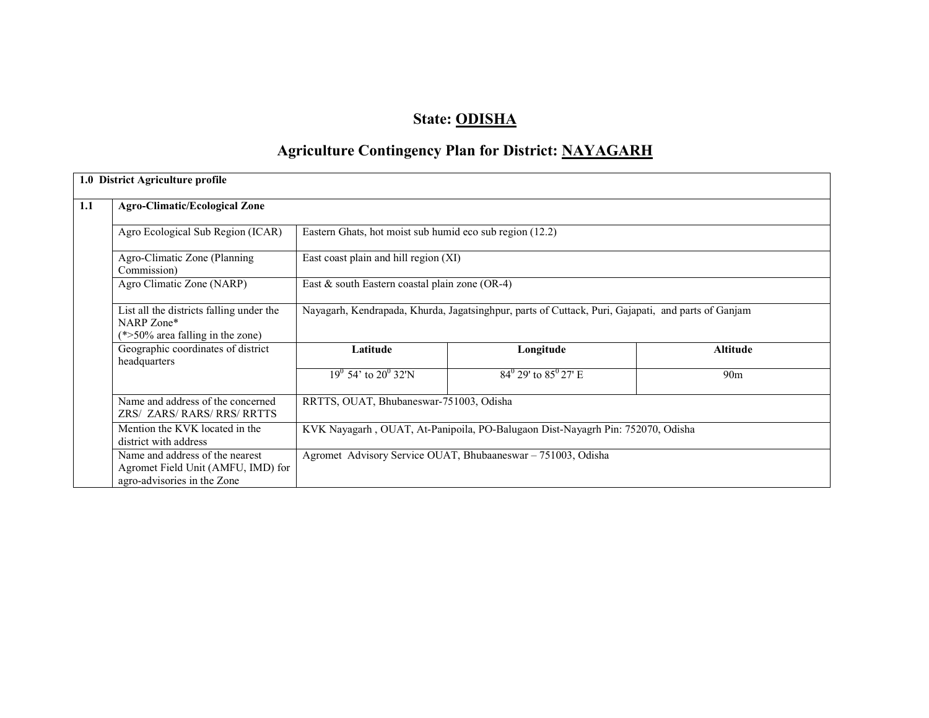## State: ODISHA

# Agriculture Contingency Plan for District: NAYAGARH

|     | 1.0 District Agriculture profile                                                                     |                                                                                                    |                                                          |                 |  |  |  |  |  |
|-----|------------------------------------------------------------------------------------------------------|----------------------------------------------------------------------------------------------------|----------------------------------------------------------|-----------------|--|--|--|--|--|
| 1.1 | <b>Agro-Climatic/Ecological Zone</b>                                                                 |                                                                                                    |                                                          |                 |  |  |  |  |  |
|     | Agro Ecological Sub Region (ICAR)                                                                    |                                                                                                    | Eastern Ghats, hot moist sub humid eco sub region (12.2) |                 |  |  |  |  |  |
|     | Agro-Climatic Zone (Planning<br>Commission)                                                          | East coast plain and hill region (XI)                                                              |                                                          |                 |  |  |  |  |  |
|     | Agro Climatic Zone (NARP)                                                                            | East $&$ south Eastern coastal plain zone (OR-4)                                                   |                                                          |                 |  |  |  |  |  |
|     | List all the districts falling under the<br>NARP Zone*<br>$(*>50\%$ area falling in the zone)        | Nayagarh, Kendrapada, Khurda, Jagatsinghpur, parts of Cuttack, Puri, Gajapati, and parts of Ganjam |                                                          |                 |  |  |  |  |  |
|     | Geographic coordinates of district<br>headquarters                                                   | Latitude                                                                                           | Longitude                                                | <b>Altitude</b> |  |  |  |  |  |
|     |                                                                                                      | $19^0$ 54' to $20^0$ 32'N                                                                          | $84^{\circ}$ 29' to $85^{\circ}$ 27' E                   | 90 <sub>m</sub> |  |  |  |  |  |
|     | Name and address of the concerned<br>ZRS/ ZARS/ RARS/ RRS/ RRTTS                                     | RRTTS, OUAT, Bhubaneswar-751003, Odisha                                                            |                                                          |                 |  |  |  |  |  |
|     | Mention the KVK located in the<br>district with address                                              | KVK Nayagarh, OUAT, At-Panipoila, PO-Balugaon Dist-Nayagrh Pin: 752070, Odisha                     |                                                          |                 |  |  |  |  |  |
|     | Name and address of the nearest<br>Agromet Field Unit (AMFU, IMD) for<br>agro-advisories in the Zone | Agromet Advisory Service OUAT, Bhubaaneswar – 751003, Odisha                                       |                                                          |                 |  |  |  |  |  |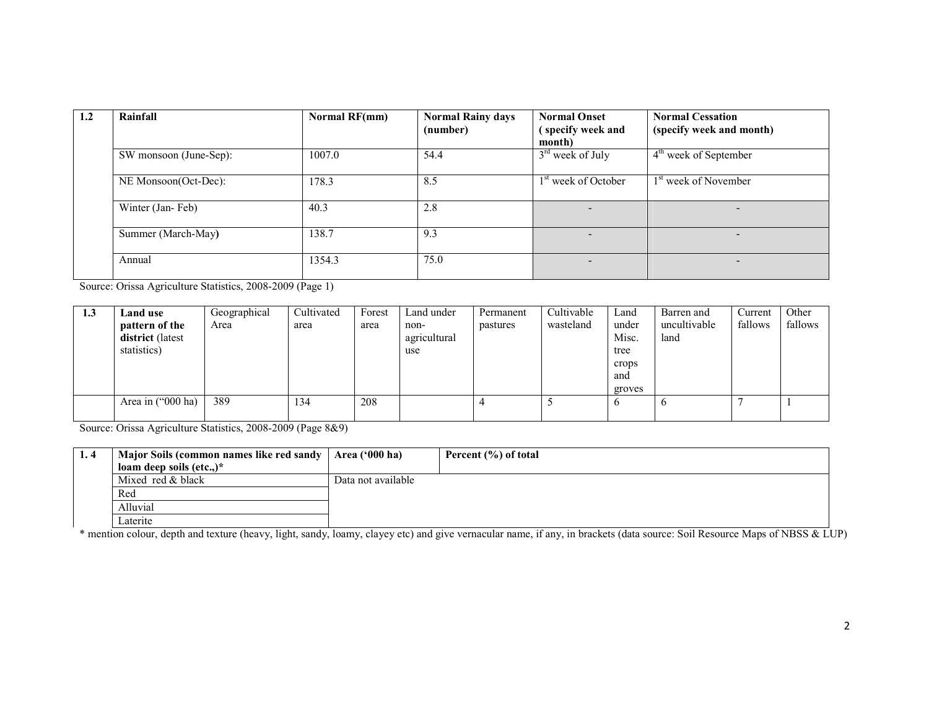| 1.2 | Rainfall               | Normal RF(mm) | <b>Normal Rainy days</b><br>(number) | <b>Normal Onset</b><br>(specify week and | <b>Normal Cessation</b><br>(specify week and month) |
|-----|------------------------|---------------|--------------------------------------|------------------------------------------|-----------------------------------------------------|
|     | SW monsoon (June-Sep): | 1007.0        | 54.4                                 | month)<br>$3rd$ week of July             | $4th$ week of September                             |
|     |                        |               |                                      |                                          |                                                     |
|     | NE Monsoon(Oct-Dec):   | 178.3         | 8.5                                  | 1 <sup>st</sup> week of October          | 1 <sup>st</sup> week of November                    |
|     | Winter (Jan-Feb)       | 40.3          | 2.8                                  |                                          | -                                                   |
|     | Summer (March-May)     | 138.7         | 9.3                                  |                                          |                                                     |
|     | Annual                 | 1354.3        | 75.0                                 | $\overline{\phantom{0}}$                 | -                                                   |

Source: Orissa Agriculture Statistics, 2008-2009 (Page 1)

| 1.3 | Land use          | Geographical | Cultivated | Forest | Land under   | Permanent | Cultivable | Land   | Barren and   | Current | Other   |
|-----|-------------------|--------------|------------|--------|--------------|-----------|------------|--------|--------------|---------|---------|
|     | pattern of the    | Area         | area       | area   | non-         | pastures  | wasteland  | under  | uncultivable | fallows | fallows |
|     | district (latest  |              |            |        | agricultural |           |            | Misc.  | land         |         |         |
|     | statistics)       |              |            |        | use          |           |            | tree   |              |         |         |
|     |                   |              |            |        |              |           |            | crops  |              |         |         |
|     |                   |              |            |        |              |           |            | and    |              |         |         |
|     |                   |              |            |        |              |           |            | groves |              |         |         |
|     | Area in ("000 ha) | 389          | .34        | 208    |              |           |            | b      | $\circ$      |         |         |
|     |                   |              |            |        |              |           |            |        |              |         |         |

Source: Orissa Agriculture Statistics, 2008-2009 (Page 8&9)

| 1.4 | Major Soils (common names like red sandy   Area ('000 ha) |                    | Percent (%) of total |
|-----|-----------------------------------------------------------|--------------------|----------------------|
|     | loam deep soils $(\text{etc.})^*$                         |                    |                      |
|     | Mixed red & black                                         | Data not available |                      |
|     | Red                                                       |                    |                      |
|     | Alluvial                                                  |                    |                      |
|     | Laterite                                                  |                    |                      |

\* mention colour, depth and texture (heavy, light, sandy, loamy, clayey etc) and give vernacular name, if any, in brackets (data source: Soil Resource Maps of NBSS & LUP)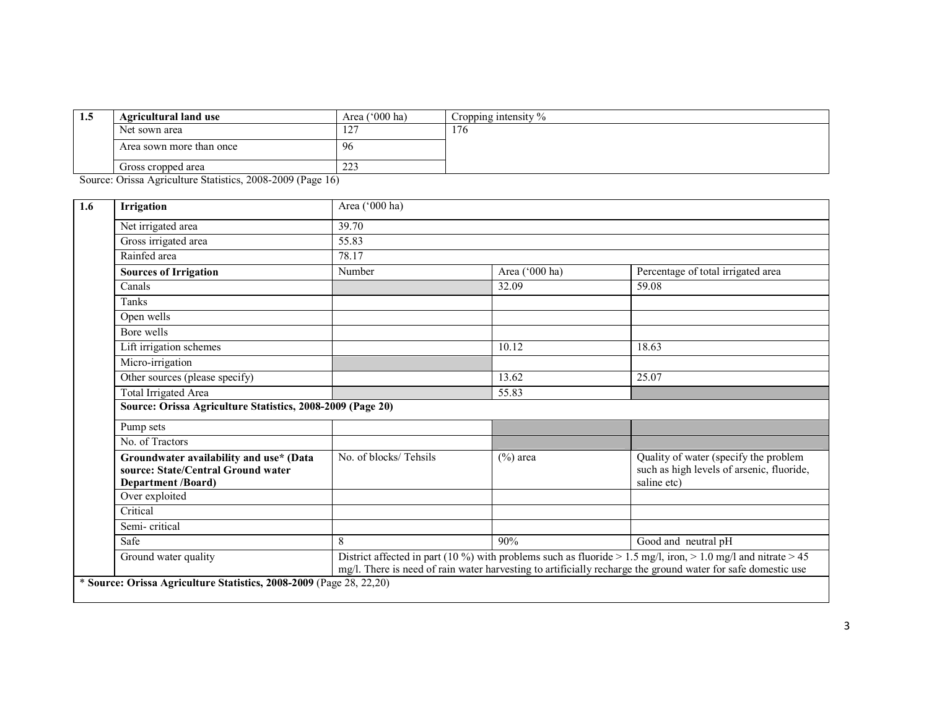| L.J    | <b>Agricultural land use</b>                                                | Area $('000 ha)$       | Cropping intensity $\%$ |
|--------|-----------------------------------------------------------------------------|------------------------|-------------------------|
|        | Net sown area                                                               | 1.27<br>$\overline{1}$ | 176                     |
|        | Area sown more than once                                                    | -96                    |                         |
|        | Gross cropped area                                                          | $\sim$<br>44-          |                         |
| $\sim$ | $\sim$ $\sim$ $\sim$ $\sim$ $\sim$ $\sim$<br>$\sim$ $\sim$<br>$\sim$ $\sim$ |                        |                         |

Source: Orissa Agriculture Statistics, 2008-2009 (Page 16)

|                                                                               | Area ('000 ha)        |                |                                                                                                   |  |  |  |
|-------------------------------------------------------------------------------|-----------------------|----------------|---------------------------------------------------------------------------------------------------|--|--|--|
| Net irrigated area                                                            | 39.70                 |                |                                                                                                   |  |  |  |
| Gross irrigated area                                                          | 55.83                 |                |                                                                                                   |  |  |  |
| Rainfed area                                                                  | 78.17                 |                |                                                                                                   |  |  |  |
| <b>Sources of Irrigation</b>                                                  | Number                | Area ('000 ha) | Percentage of total irrigated area                                                                |  |  |  |
| Canals                                                                        |                       | 32.09          | 59.08                                                                                             |  |  |  |
| Tanks                                                                         |                       |                |                                                                                                   |  |  |  |
| Open wells                                                                    |                       |                |                                                                                                   |  |  |  |
| Bore wells                                                                    |                       |                |                                                                                                   |  |  |  |
| Lift irrigation schemes                                                       |                       | 10.12          | 18.63                                                                                             |  |  |  |
| Micro-irrigation                                                              |                       |                |                                                                                                   |  |  |  |
| Other sources (please specify)                                                |                       | 13.62          | 25.07                                                                                             |  |  |  |
| <b>Total Irrigated Area</b>                                                   |                       | 55.83          |                                                                                                   |  |  |  |
| Source: Orissa Agriculture Statistics, 2008-2009 (Page 20)                    |                       |                |                                                                                                   |  |  |  |
|                                                                               |                       |                |                                                                                                   |  |  |  |
| Pump sets                                                                     |                       |                |                                                                                                   |  |  |  |
| No. of Tractors                                                               |                       |                |                                                                                                   |  |  |  |
| Groundwater availability and use* (Data<br>source: State/Central Ground water | No. of blocks/Tehsils | $(\%)$ area    | Quality of water (specify the problem<br>such as high levels of arsenic, fluoride,<br>saline etc) |  |  |  |
| <b>Department /Board)</b><br>Over exploited                                   |                       |                |                                                                                                   |  |  |  |
| Critical                                                                      |                       |                |                                                                                                   |  |  |  |
| Semi-critical                                                                 |                       |                |                                                                                                   |  |  |  |
| Safe                                                                          | 8                     | 90%            | Good and neutral pH                                                                               |  |  |  |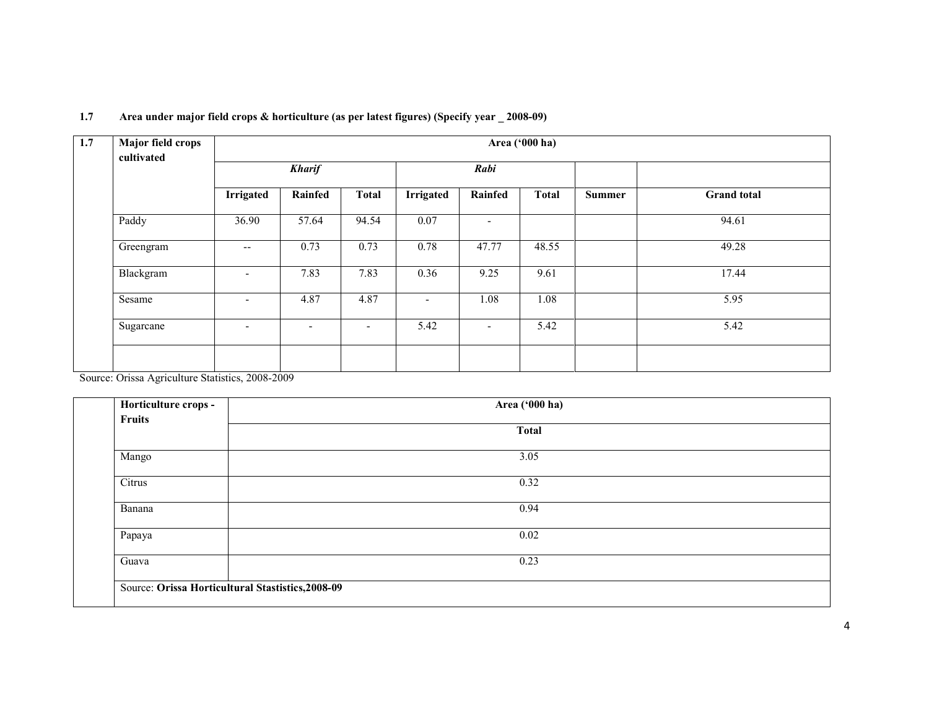| 1.7 | Major field crops<br>cultivated | Area ('000 ha)           |                          |                          |                  |                          |              |               |                    |  |
|-----|---------------------------------|--------------------------|--------------------------|--------------------------|------------------|--------------------------|--------------|---------------|--------------------|--|
|     |                                 |                          | <b>Kharif</b>            |                          |                  | Rabi                     |              |               |                    |  |
|     |                                 | <b>Irrigated</b>         | Rainfed                  | <b>Total</b>             | <b>Irrigated</b> | Rainfed                  | <b>Total</b> | <b>Summer</b> | <b>Grand</b> total |  |
|     | Paddy                           | 36.90                    | 57.64                    | 94.54                    | 0.07             | $\overline{\phantom{a}}$ |              |               | 94.61              |  |
|     | Greengram                       | $\overline{\phantom{a}}$ | 0.73                     | 0.73                     | 0.78             | 47.77                    | 48.55        |               | 49.28              |  |
|     | Blackgram                       | $\overline{\phantom{a}}$ | 7.83                     | 7.83                     | 0.36             | 9.25                     | 9.61         |               | 17.44              |  |
|     | Sesame                          | $\overline{\phantom{a}}$ | 4.87                     | 4.87                     | ٠                | 1.08                     | 1.08         |               | 5.95               |  |
|     | Sugarcane                       | $\overline{\phantom{a}}$ | $\overline{\phantom{a}}$ | $\overline{\phantom{a}}$ | 5.42             | $\overline{\phantom{a}}$ | 5.42         |               | 5.42               |  |
|     |                                 |                          |                          |                          |                  |                          |              |               |                    |  |

#### 1.7 Area under major field crops & horticulture (as per latest figures) (Specify year \_ 2008-09)

Source: Orissa Agriculture Statistics, 2008-2009

| Horticulture crops -                              | Area ('000 ha) |  |
|---------------------------------------------------|----------------|--|
| Fruits                                            |                |  |
|                                                   | <b>Total</b>   |  |
| Mango                                             | 3.05           |  |
| Citrus                                            | 0.32           |  |
| Banana                                            | 0.94           |  |
| Papaya                                            | 0.02           |  |
| Guava                                             | 0.23           |  |
|                                                   |                |  |
| Source: Orissa Horticultural Stastistics, 2008-09 |                |  |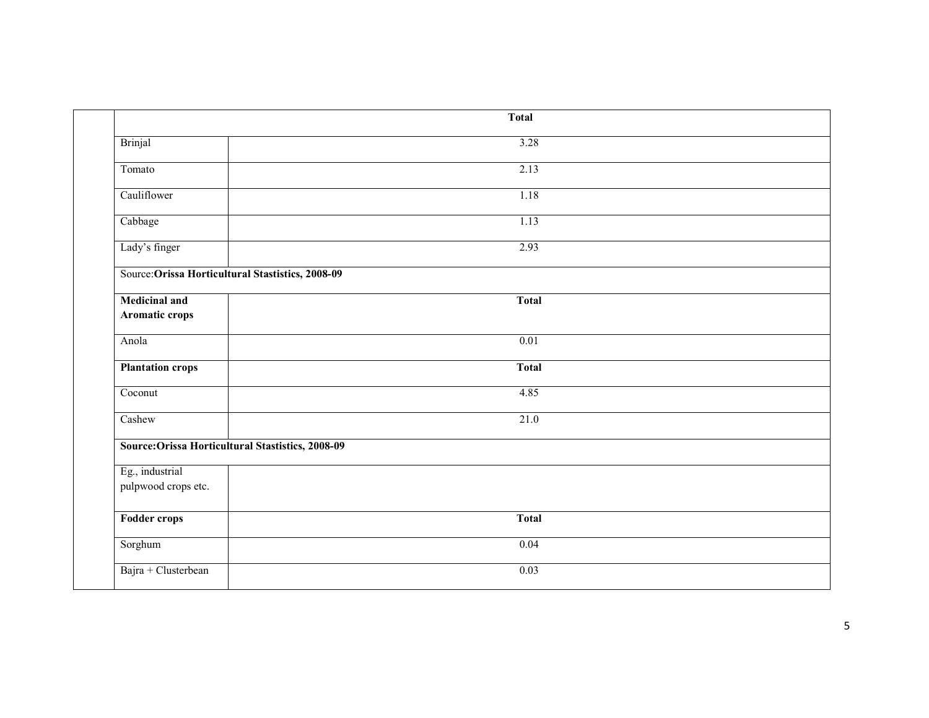|                                                   | <b>Total</b> |  |
|---------------------------------------------------|--------------|--|
| Brinjal                                           | 3.28         |  |
| Tomato                                            | 2.13         |  |
| Cauliflower                                       | 1.18         |  |
| Cabbage                                           | 1.13         |  |
| Lady's finger                                     | 2.93         |  |
| Source: Orissa Horticultural Stastistics, 2008-09 |              |  |
| <b>Medicinal and</b><br>Aromatic crops            | <b>Total</b> |  |
| Anola                                             | 0.01         |  |
| <b>Plantation crops</b>                           | <b>Total</b> |  |
| Coconut                                           | 4.85         |  |
| Cashew                                            | 21.0         |  |
| Source: Orissa Horticultural Stastistics, 2008-09 |              |  |
| Eg., industrial<br>pulpwood crops etc.            |              |  |
| <b>Fodder crops</b>                               | <b>Total</b> |  |
| Sorghum                                           | 0.04         |  |
| Bajra + Clusterbean                               | 0.03         |  |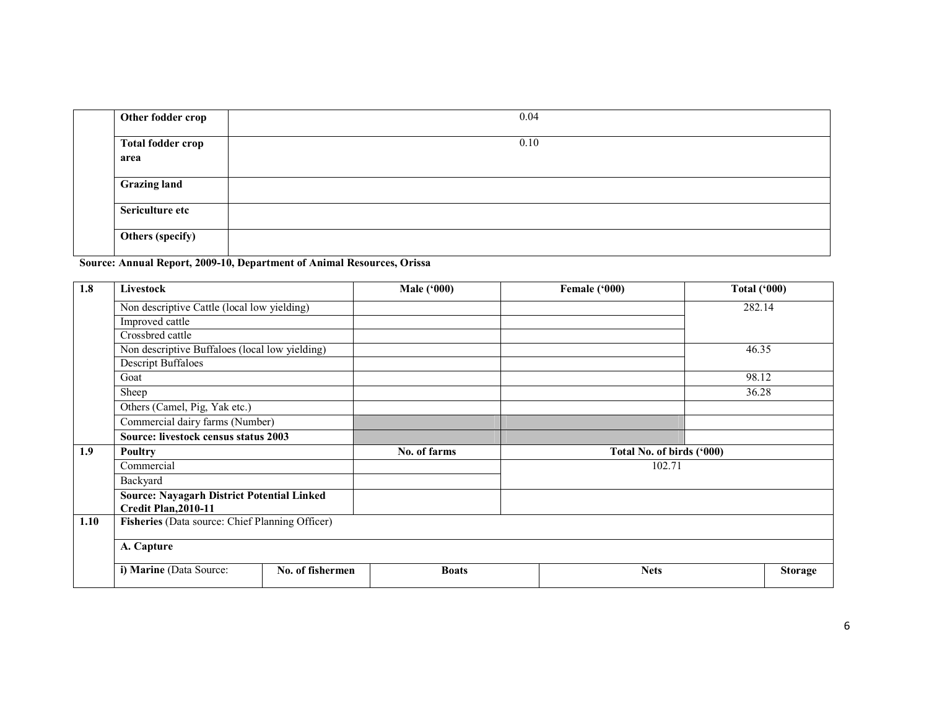| Other fodder crop                | 0.04 |
|----------------------------------|------|
| <b>Total fodder crop</b><br>area | 0.10 |
| <b>Grazing land</b>              |      |
| Sericulture etc                  |      |
| Others (specify)                 |      |

Source: Annual Report, 2009-10, Department of Animal Resources, Orissa

| 1.8  | <b>Livestock</b>                                  |                  | Male ('000)  | Female ('000)             | <b>Total ('000)</b> |  |  |  |
|------|---------------------------------------------------|------------------|--------------|---------------------------|---------------------|--|--|--|
|      | Non descriptive Cattle (local low yielding)       |                  |              |                           | 282.14              |  |  |  |
|      | Improved cattle                                   |                  |              |                           |                     |  |  |  |
|      | Crossbred cattle                                  |                  |              |                           |                     |  |  |  |
|      | Non descriptive Buffaloes (local low yielding)    |                  |              |                           | 46.35               |  |  |  |
|      | Descript Buffaloes                                |                  |              |                           |                     |  |  |  |
|      | Goat                                              |                  |              |                           | 98.12               |  |  |  |
|      | Sheep                                             |                  |              |                           | 36.28               |  |  |  |
|      | Others (Camel, Pig, Yak etc.)                     |                  |              |                           |                     |  |  |  |
|      | Commercial dairy farms (Number)                   |                  |              |                           |                     |  |  |  |
|      | Source: livestock census status 2003              |                  |              |                           |                     |  |  |  |
| 1.9  | Poultry                                           |                  | No. of farms | Total No. of birds ('000) |                     |  |  |  |
|      | Commercial                                        |                  |              | 102.71                    |                     |  |  |  |
|      | Backyard                                          |                  |              |                           |                     |  |  |  |
|      | <b>Source: Nayagarh District Potential Linked</b> |                  |              |                           |                     |  |  |  |
|      | Credit Plan, 2010-11                              |                  |              |                           |                     |  |  |  |
| 1.10 | Fisheries (Data source: Chief Planning Officer)   |                  |              |                           |                     |  |  |  |
|      | A. Capture                                        |                  |              |                           |                     |  |  |  |
|      | i) Marine (Data Source:                           | No. of fishermen | <b>Boats</b> | <b>Nets</b>               | <b>Storage</b>      |  |  |  |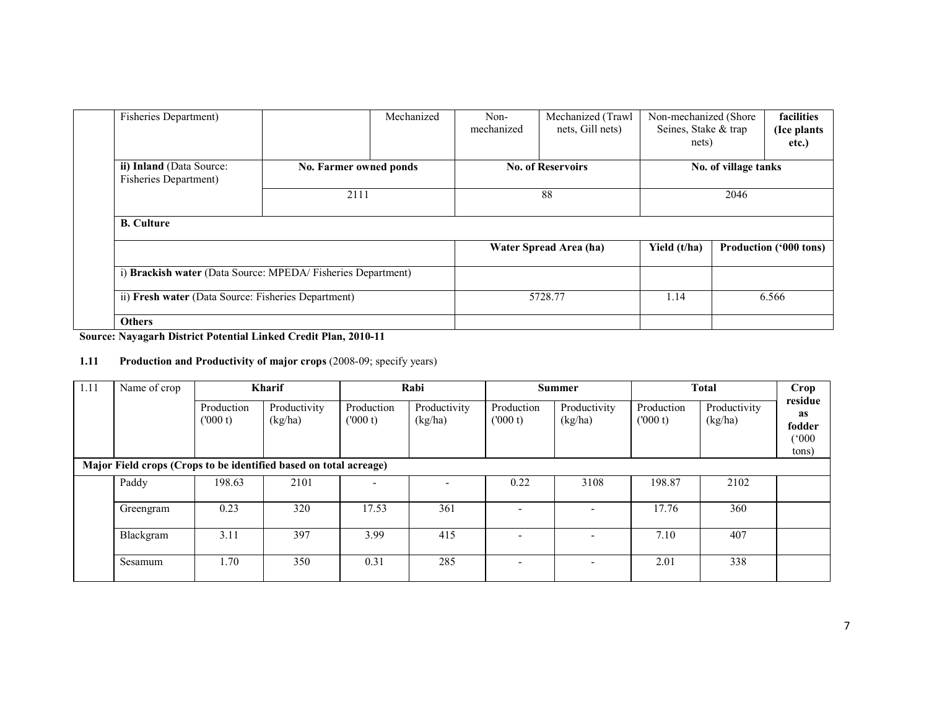| <b>Fisheries Department)</b>                      |                                                              | Mechanized | Non-<br>mechanized | Mechanized (Trawl<br>nets, Gill nets) | Non-mechanized (Shore<br>Seines, Stake & trap<br>nets) |  | facilities<br>(Ice plants)<br>etc.) |
|---------------------------------------------------|--------------------------------------------------------------|------------|--------------------|---------------------------------------|--------------------------------------------------------|--|-------------------------------------|
| ii) Inland (Data Source:<br>Fisheries Department) | No. Farmer owned ponds                                       |            |                    | <b>No. of Reservoirs</b>              | No. of village tanks                                   |  |                                     |
|                                                   | 2111                                                         |            | 88                 |                                       | 2046                                                   |  |                                     |
| <b>B.</b> Culture                                 |                                                              |            |                    |                                       |                                                        |  |                                     |
|                                                   |                                                              |            |                    | Water Spread Area (ha)                | Yield (t/ha)                                           |  | <b>Production ('000 tons)</b>       |
|                                                   | i) Brackish water (Data Source: MPEDA/ Fisheries Department) |            |                    |                                       |                                                        |  |                                     |
|                                                   | ii) Fresh water (Data Source: Fisheries Department)          |            | 5728.77            |                                       | 1.14<br>6.566                                          |  |                                     |
| <b>Others</b>                                     |                                                              |            |                    |                                       |                                                        |  |                                     |

Source: Nayagarh District Potential Linked Credit Plan, 2010-11

#### 1.11 Production and Productivity of major crops (2008-09; specify years)

| 1.11                                                              | Name of crop |                       | <b>Kharif</b>           |                       | Rabi                    |                          | <b>Summer</b>            |                       | <b>Total</b>            | Crop                                      |
|-------------------------------------------------------------------|--------------|-----------------------|-------------------------|-----------------------|-------------------------|--------------------------|--------------------------|-----------------------|-------------------------|-------------------------------------------|
|                                                                   |              | Production<br>(000 t) | Productivity<br>(kg/ha) | Production<br>(000 t) | Productivity<br>(kg/ha) | Production<br>(000 t)    | Productivity<br>(kg/ha)  | Production<br>(000 t) | Productivity<br>(kg/ha) | residue<br>as<br>fodder<br>(000)<br>tons) |
| Major Field crops (Crops to be identified based on total acreage) |              |                       |                         |                       |                         |                          |                          |                       |                         |                                           |
|                                                                   | Paddy        | 198.63                | 2101                    |                       |                         | 0.22                     | 3108                     | 198.87                | 2102                    |                                           |
|                                                                   | Greengram    | 0.23                  | 320                     | 17.53                 | 361                     | $\overline{\phantom{a}}$ | ۰.                       | 17.76                 | 360                     |                                           |
|                                                                   | Blackgram    | 3.11                  | 397                     | 3.99                  | 415                     |                          | ۰.                       | 7.10                  | 407                     |                                           |
|                                                                   | Sesamum      | 1.70                  | 350                     | 0.31                  | 285                     | $\overline{\phantom{0}}$ | $\overline{\phantom{a}}$ | 2.01                  | 338                     |                                           |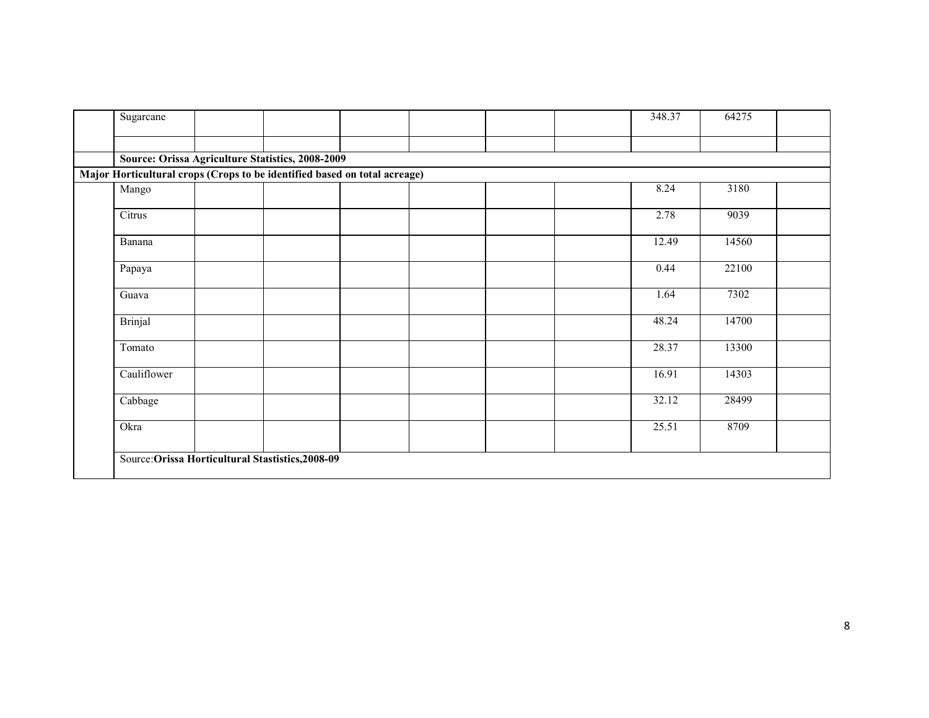| Sugarcane      |                                                                           |  | 348.37 | 64275 |
|----------------|---------------------------------------------------------------------------|--|--------|-------|
|                |                                                                           |  |        |       |
|                | Source: Orissa Agriculture Statistics, 2008-2009                          |  |        |       |
|                | Major Horticultural crops (Crops to be identified based on total acreage) |  |        |       |
| Mango          |                                                                           |  | 8.24   | 3180  |
| Citrus         |                                                                           |  | 2.78   | 9039  |
| Banana         |                                                                           |  | 12.49  | 14560 |
| Papaya         |                                                                           |  | 0.44   | 22100 |
| Guava          |                                                                           |  | 1.64   | 7302  |
| <b>Brinjal</b> |                                                                           |  | 48.24  | 14700 |
| Tomato         |                                                                           |  | 28.37  | 13300 |
| Cauliflower    |                                                                           |  | 16.91  | 14303 |
| Cabbage        |                                                                           |  | 32.12  | 28499 |
| Okra           |                                                                           |  | 25.51  | 8709  |
|                | Source: Orissa Horticultural Stastistics, 2008-09                         |  |        |       |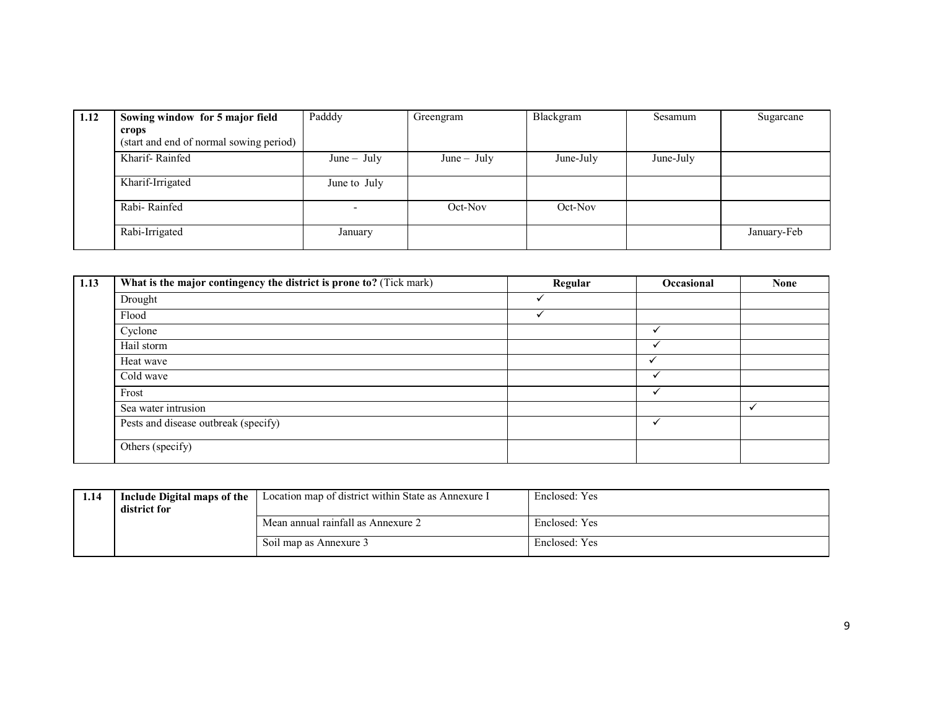| 1.12 | Sowing window for 5 major field         | Padddy        | Greengram     | Blackgram | Sesamum   | Sugarcane   |
|------|-----------------------------------------|---------------|---------------|-----------|-----------|-------------|
|      | crops                                   |               |               |           |           |             |
|      | (start and end of normal sowing period) |               |               |           |           |             |
|      | Kharif-Rainfed                          | $June - July$ | $June - July$ | June-July | June-July |             |
|      | Kharif-Irrigated                        | June to July  |               |           |           |             |
|      | Rabi-Rainfed                            |               | Oct-Nov       | Oct-Nov   |           |             |
|      | Rabi-Irrigated                          | January       |               |           |           | January-Feb |

| 1.13 | What is the major contingency the district is prone to? (Tick mark) | Regular | Occasional   | <b>None</b> |
|------|---------------------------------------------------------------------|---------|--------------|-------------|
|      | Drought                                                             |         |              |             |
|      | Flood                                                               |         |              |             |
|      | Cyclone                                                             |         |              |             |
|      | Hail storm                                                          |         |              |             |
|      | Heat wave                                                           |         |              |             |
|      | Cold wave                                                           |         | $\checkmark$ |             |
|      | Frost                                                               |         |              |             |
|      | Sea water intrusion                                                 |         |              | $\cdot$     |
|      | Pests and disease outbreak (specify)                                |         | $\checkmark$ |             |
|      | Others (specify)                                                    |         |              |             |

| 1.14 | Include Digital maps of the<br>district for | Location map of district within State as Annexure I | Enclosed: Yes |
|------|---------------------------------------------|-----------------------------------------------------|---------------|
|      |                                             | Mean annual rainfall as Annexure 2                  | Enclosed: Yes |
|      |                                             | Soil map as Annexure 3                              | Enclosed: Yes |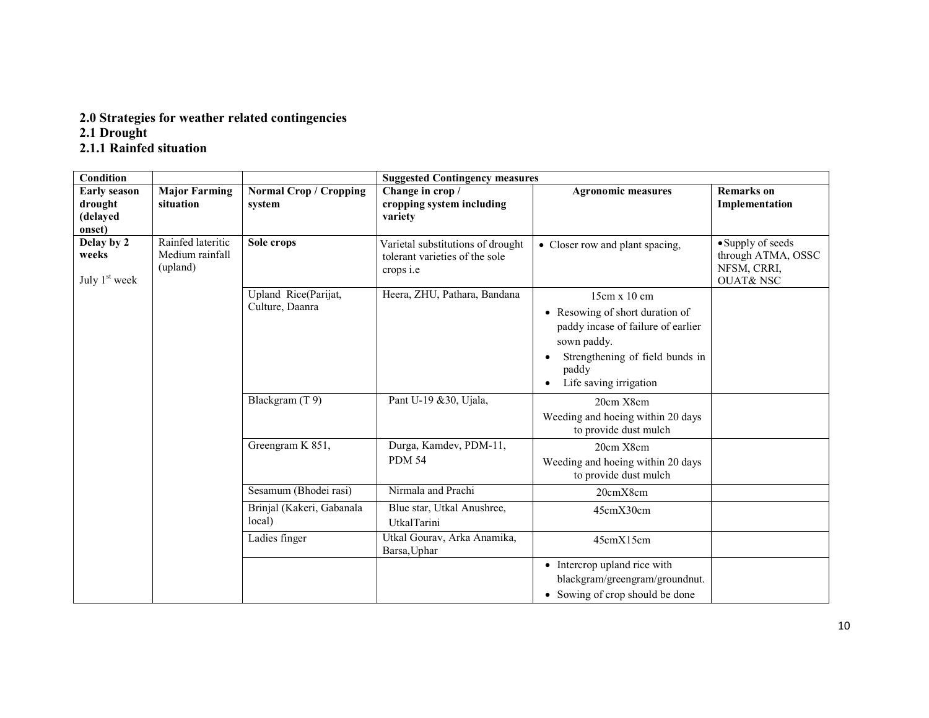# 2.0 Strategies for weather related contingencies 2.1 Drought 2.1.1 Rainfed situation

| Condition                                            |                                                  |                                         | <b>Suggested Contingency measures</b>                                                   |                                                                                                                                                                            |                                                                               |  |
|------------------------------------------------------|--------------------------------------------------|-----------------------------------------|-----------------------------------------------------------------------------------------|----------------------------------------------------------------------------------------------------------------------------------------------------------------------------|-------------------------------------------------------------------------------|--|
| <b>Early season</b><br>drought<br>(delayed<br>onset) | <b>Major Farming</b><br>situation                | <b>Normal Crop / Cropping</b><br>system | Change in crop /<br>cropping system including<br>variety                                | <b>Agronomic measures</b>                                                                                                                                                  | <b>Remarks</b> on<br>Implementation                                           |  |
| Delay by 2<br>weeks<br>July 1 <sup>st</sup> week     | Rainfed lateritic<br>Medium rainfall<br>(upland) | Sole crops                              | Varietal substitutions of drought<br>tolerant varieties of the sole<br>crops <i>i.e</i> | • Closer row and plant spacing,                                                                                                                                            | • Supply of seeds<br>through ATMA, OSSC<br>NFSM, CRRI,<br><b>OUAT&amp;NSC</b> |  |
|                                                      |                                                  | Upland Rice(Parijat,<br>Culture, Daanra | Heera, ZHU, Pathara, Bandana                                                            | 15cm x 10 cm<br>• Resowing of short duration of<br>paddy incase of failure of earlier<br>sown paddy.<br>Strengthening of field bunds in<br>paddy<br>Life saving irrigation |                                                                               |  |
|                                                      |                                                  | Blackgram (T9)                          | Pant U-19 & 30, Ujala,                                                                  | 20cm X8cm<br>Weeding and hoeing within 20 days<br>to provide dust mulch                                                                                                    |                                                                               |  |
|                                                      |                                                  | Greengram K 851,                        | Durga, Kamdev, PDM-11,<br><b>PDM 54</b>                                                 | 20cm X8cm<br>Weeding and hoeing within 20 days<br>to provide dust mulch                                                                                                    |                                                                               |  |
|                                                      |                                                  | Sesamum (Bhodei rasi)                   | Nirmala and Prachi                                                                      | 20cmX8cm                                                                                                                                                                   |                                                                               |  |
|                                                      |                                                  | Brinjal (Kakeri, Gabanala<br>local)     | Blue star, Utkal Anushree,<br><b>UtkalTarini</b>                                        | 45cmX30cm                                                                                                                                                                  |                                                                               |  |
|                                                      |                                                  | Ladies finger                           | Utkal Gourav, Arka Anamika,<br>Barsa, Uphar                                             | 45cmX15cm                                                                                                                                                                  |                                                                               |  |
|                                                      |                                                  |                                         |                                                                                         | • Intercrop upland rice with<br>blackgram/greengram/groundnut.<br>• Sowing of crop should be done                                                                          |                                                                               |  |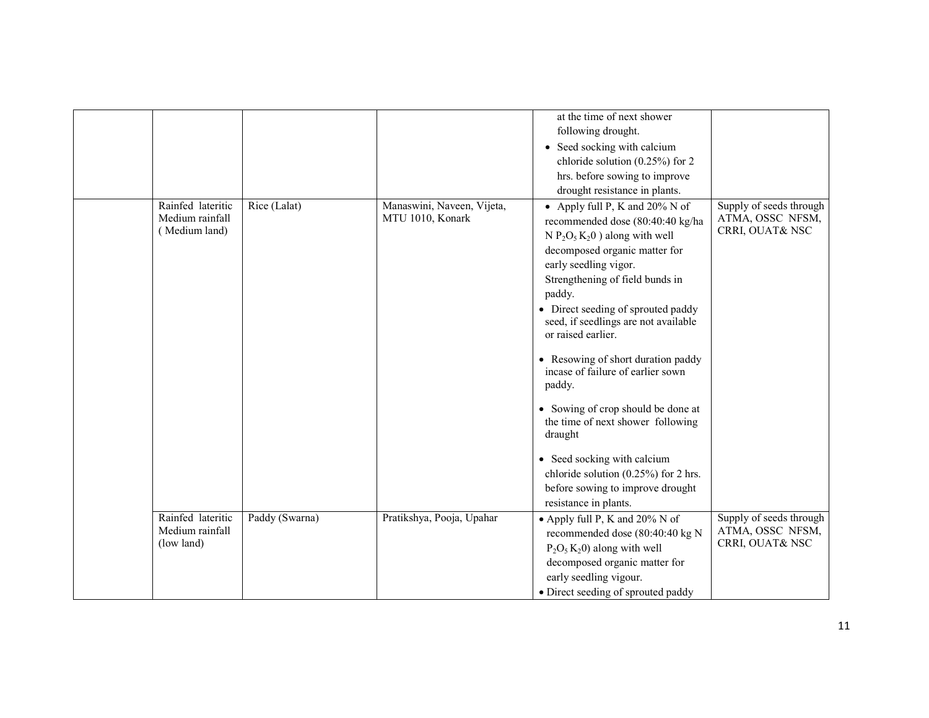| Rainfed lateritic                                  | Rice (Lalat)   | Manaswini, Naveen, Vijeta, | at the time of next shower<br>following drought.<br>• Seed socking with calcium<br>chloride solution $(0.25\%)$ for 2<br>hrs. before sowing to improve<br>drought resistance in plants.<br>• Apply full P, K and $20\%$ N of                                                                                                                                                                                                                                                                                                                                                                      | Supply of seeds through                                        |
|----------------------------------------------------|----------------|----------------------------|---------------------------------------------------------------------------------------------------------------------------------------------------------------------------------------------------------------------------------------------------------------------------------------------------------------------------------------------------------------------------------------------------------------------------------------------------------------------------------------------------------------------------------------------------------------------------------------------------|----------------------------------------------------------------|
| Medium rainfall<br>(Medium land)                   |                | MTU 1010, Konark           | recommended dose (80:40:40 kg/ha<br>$N P_2O_5K_2O$ ) along with well<br>decomposed organic matter for<br>early seedling vigor.<br>Strengthening of field bunds in<br>paddy.<br>• Direct seeding of sprouted paddy<br>seed, if seedlings are not available<br>or raised earlier.<br>• Resowing of short duration paddy<br>incase of failure of earlier sown<br>paddy.<br>• Sowing of crop should be done at<br>the time of next shower following<br>draught<br>• Seed socking with calcium<br>chloride solution $(0.25\%)$ for 2 hrs.<br>before sowing to improve drought<br>resistance in plants. | ATMA, OSSC NFSM,<br>CRRI, OUAT& NSC                            |
| Rainfed lateritic<br>Medium rainfall<br>(low land) | Paddy (Swarna) | Pratikshya, Pooja, Upahar  | • Apply full P, K and 20% N of<br>recommended dose (80:40:40 kg N<br>$P_2O_5K_2O$ ) along with well<br>decomposed organic matter for<br>early seedling vigour.<br>• Direct seeding of sprouted paddy                                                                                                                                                                                                                                                                                                                                                                                              | Supply of seeds through<br>ATMA, OSSC NFSM,<br>CRRI, OUAT& NSC |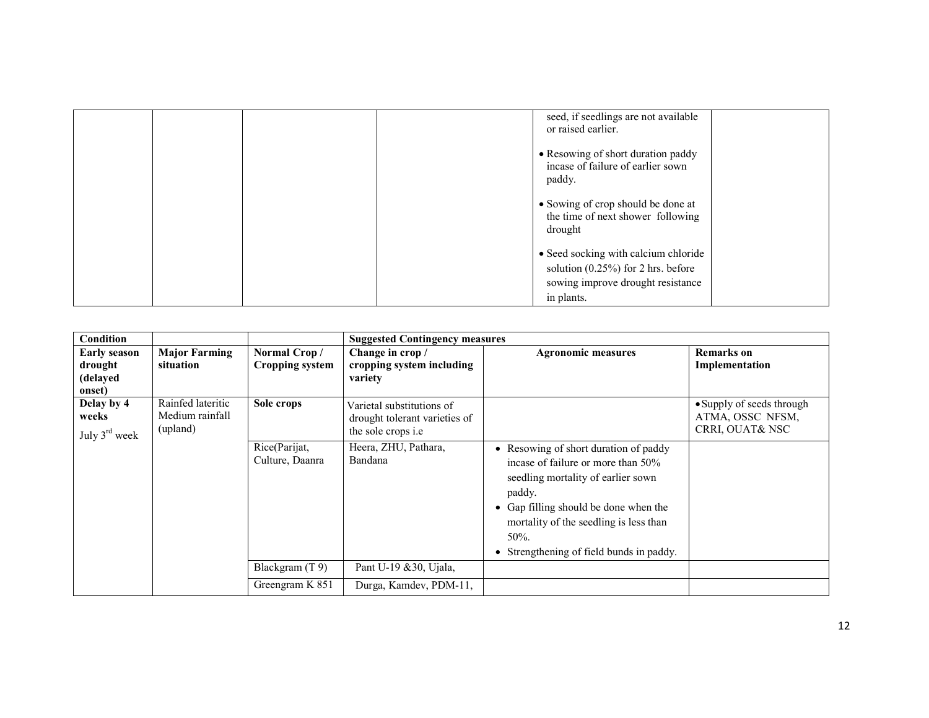|  |  | seed, if seedlings are not available<br>or raised earlier.                                                         |  |
|--|--|--------------------------------------------------------------------------------------------------------------------|--|
|  |  | • Resowing of short duration paddy<br>incase of failure of earlier sown<br>paddy.                                  |  |
|  |  | • Sowing of crop should be done at<br>the time of next shower following<br>drought                                 |  |
|  |  | • Seed socking with calcium chloride<br>solution $(0.25\%)$ for 2 hrs. before<br>sowing improve drought resistance |  |
|  |  | in plants.                                                                                                         |  |

| Condition                                            |                                                  |                                        | <b>Suggested Contingency measures</b>                                                   |                                                                                                                                                                                                                                                                        |                                                                             |
|------------------------------------------------------|--------------------------------------------------|----------------------------------------|-----------------------------------------------------------------------------------------|------------------------------------------------------------------------------------------------------------------------------------------------------------------------------------------------------------------------------------------------------------------------|-----------------------------------------------------------------------------|
| <b>Early season</b><br>drought<br>(delayed<br>onset) | <b>Major Farming</b><br>situation                | Normal Crop/<br><b>Cropping system</b> | Change in crop /<br>cropping system including<br>variety                                | <b>Agronomic measures</b>                                                                                                                                                                                                                                              | <b>Remarks</b> on<br>Implementation                                         |
| Delay by 4<br>weeks<br>July $3^{\text{rd}}$ week     | Rainfed lateritic<br>Medium rainfall<br>(upland) | Sole crops                             | Varietal substitutions of<br>drought tolerant varieties of<br>the sole crops <i>i.e</i> |                                                                                                                                                                                                                                                                        | • Supply of seeds through<br>ATMA, OSSC NFSM,<br><b>CRRI, OUAT&amp; NSC</b> |
|                                                      |                                                  | Rice(Parijat,<br>Culture, Daanra       | Heera, ZHU, Pathara,<br>Bandana                                                         | • Resowing of short duration of paddy<br>incase of failure or more than 50%<br>seedling mortality of earlier sown<br>paddy.<br>• Gap filling should be done when the<br>mortality of the seedling is less than<br>$50\%$ .<br>• Strengthening of field bunds in paddy. |                                                                             |
|                                                      |                                                  | Blackgram $(T 9)$                      | Pant U-19 & 30, Ujala,                                                                  |                                                                                                                                                                                                                                                                        |                                                                             |
|                                                      |                                                  | Greengram K 851                        | Durga, Kamdev, PDM-11,                                                                  |                                                                                                                                                                                                                                                                        |                                                                             |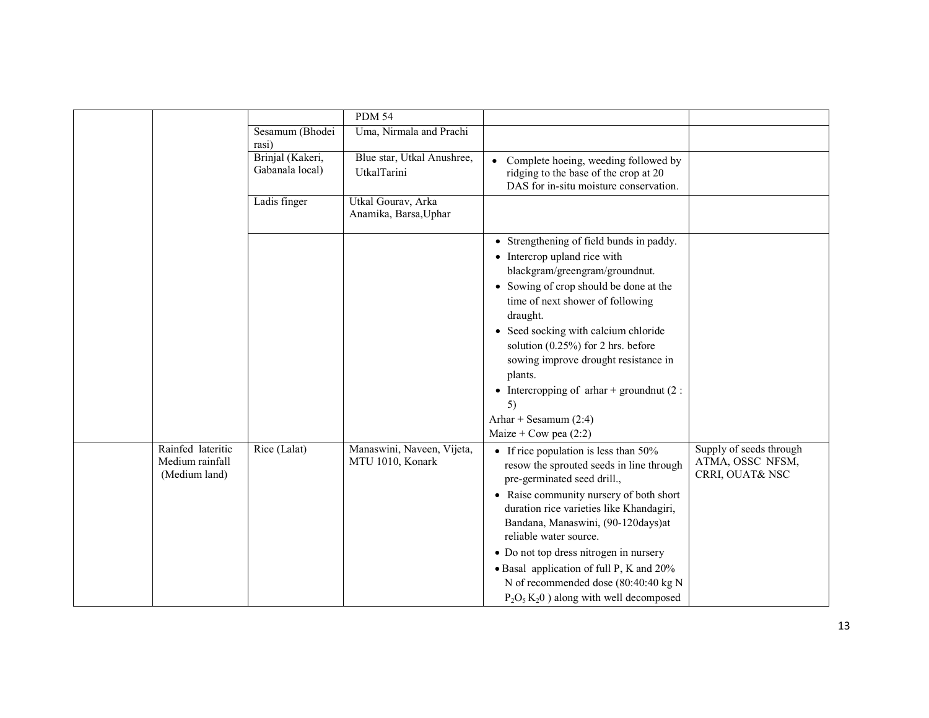|                                                       |                                     | <b>PDM 54</b>                                  |                                                                                                                                                                                                                                                                                                                                                                                                                                                    |                                                                |
|-------------------------------------------------------|-------------------------------------|------------------------------------------------|----------------------------------------------------------------------------------------------------------------------------------------------------------------------------------------------------------------------------------------------------------------------------------------------------------------------------------------------------------------------------------------------------------------------------------------------------|----------------------------------------------------------------|
|                                                       | Sesamum (Bhodei<br>rasi)            | Uma, Nirmala and Prachi                        |                                                                                                                                                                                                                                                                                                                                                                                                                                                    |                                                                |
|                                                       | Brinjal (Kakeri,<br>Gabanala local) | Blue star, Utkal Anushree,<br>UtkalTarini      | Complete hoeing, weeding followed by<br>ridging to the base of the crop at 20<br>DAS for in-situ moisture conservation.                                                                                                                                                                                                                                                                                                                            |                                                                |
|                                                       | Ladis finger                        | Utkal Gourav, Arka<br>Anamika, Barsa, Uphar    |                                                                                                                                                                                                                                                                                                                                                                                                                                                    |                                                                |
|                                                       |                                     |                                                | • Strengthening of field bunds in paddy.<br>• Intercrop upland rice with<br>blackgram/greengram/groundnut.<br>• Sowing of crop should be done at the<br>time of next shower of following<br>draught.<br>• Seed socking with calcium chloride<br>solution $(0.25\%)$ for 2 hrs. before<br>sowing improve drought resistance in<br>plants.<br>• Intercropping of $arhar +$ groundnut (2:<br>5)<br>Arhar + Sesamum $(2:4)$<br>Maize + Cow pea $(2:2)$ |                                                                |
| Rainfed lateritic<br>Medium rainfall<br>(Medium land) | Rice (Lalat)                        | Manaswini, Naveen, Vijeta,<br>MTU 1010, Konark | • If rice population is less than 50%<br>resow the sprouted seeds in line through<br>pre-germinated seed drill.,<br>• Raise community nursery of both short<br>duration rice varieties like Khandagiri,<br>Bandana, Manaswini, (90-120days)at<br>reliable water source.<br>• Do not top dress nitrogen in nursery<br>• Basal application of full P, K and 20%<br>N of recommended dose (80:40:40 kg N<br>$P_2O_5K_2O$ ) along with well decomposed | Supply of seeds through<br>ATMA, OSSC NFSM,<br>CRRI, OUAT& NSC |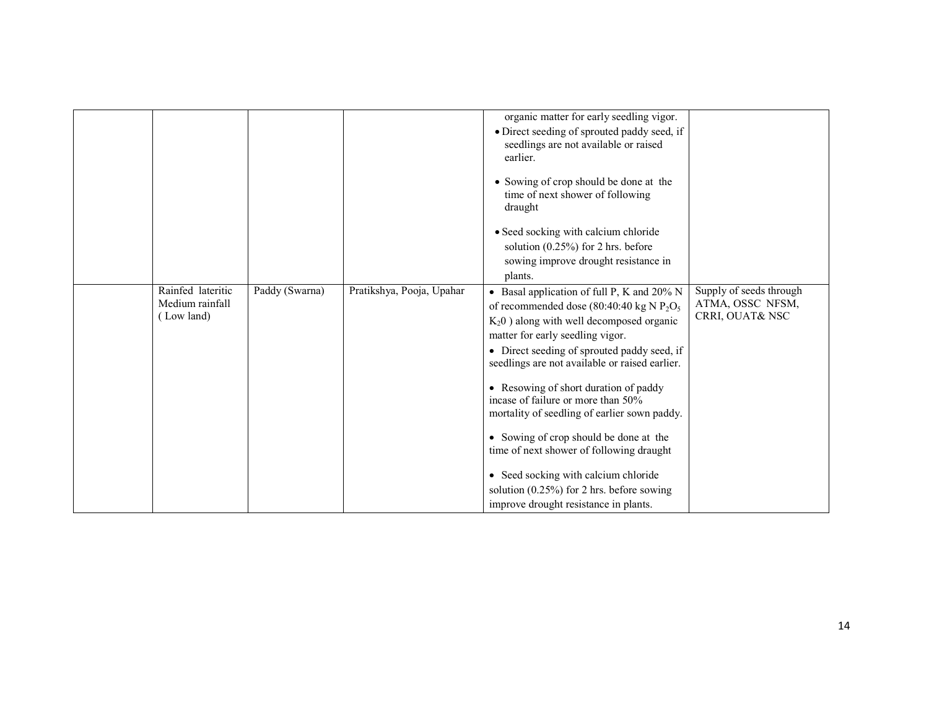| Rainfed lateritic             | Paddy (Swarna) | Pratikshya, Pooja, Upahar | organic matter for early seedling vigor.<br>• Direct seeding of sprouted paddy seed, if<br>seedlings are not available or raised<br>earlier.<br>• Sowing of crop should be done at the<br>time of next shower of following<br>draught<br>• Seed socking with calcium chloride<br>solution $(0.25\%)$ for 2 hrs. before<br>sowing improve drought resistance in<br>plants.<br>• Basal application of full P, K and 20% N | Supply of seeds through             |
|-------------------------------|----------------|---------------------------|-------------------------------------------------------------------------------------------------------------------------------------------------------------------------------------------------------------------------------------------------------------------------------------------------------------------------------------------------------------------------------------------------------------------------|-------------------------------------|
| Medium rainfall<br>(Low land) |                |                           | of recommended dose (80:40:40 kg N $P_2O_5$ )<br>$K_2$ 0) along with well decomposed organic<br>matter for early seedling vigor.<br>• Direct seeding of sprouted paddy seed, if<br>seedlings are not available or raised earlier.<br>• Resowing of short duration of paddy                                                                                                                                              | ATMA, OSSC NFSM,<br>CRRI, OUAT& NSC |
|                               |                |                           | incase of failure or more than 50%<br>mortality of seedling of earlier sown paddy.<br>• Sowing of crop should be done at the<br>time of next shower of following draught<br>• Seed socking with calcium chloride<br>solution $(0.25\%)$ for 2 hrs. before sowing<br>improve drought resistance in plants.                                                                                                               |                                     |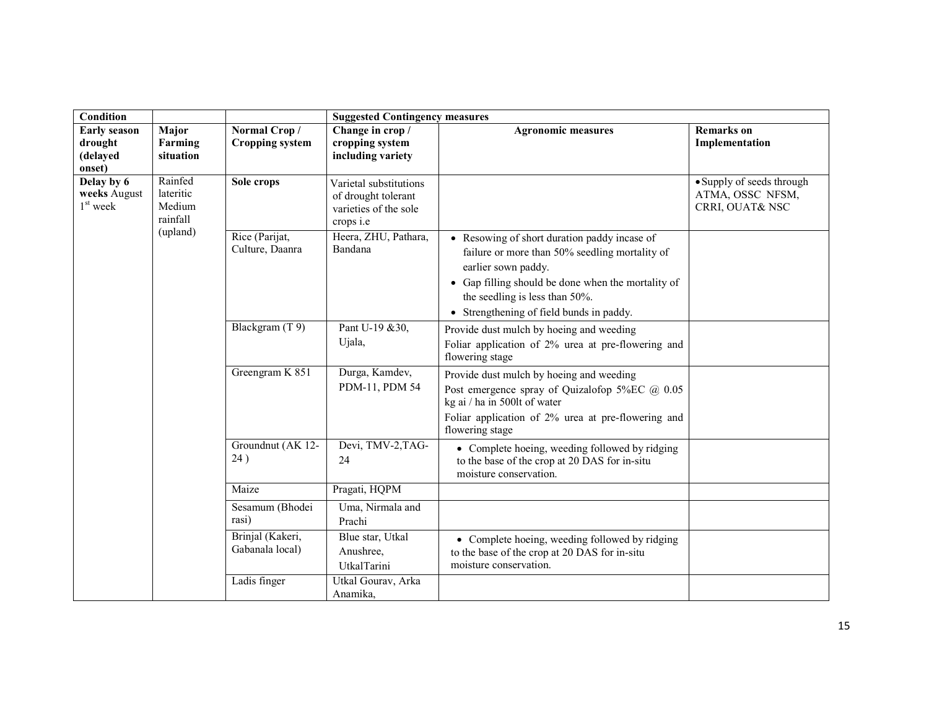| Condition                                            |                                            |                                        | <b>Suggested Contingency measures</b>                                                      |                                                                                                                                                                                                                                                           |                                                                  |  |  |
|------------------------------------------------------|--------------------------------------------|----------------------------------------|--------------------------------------------------------------------------------------------|-----------------------------------------------------------------------------------------------------------------------------------------------------------------------------------------------------------------------------------------------------------|------------------------------------------------------------------|--|--|
| <b>Early season</b><br>drought<br>(delayed<br>onset) | Major<br>Farming<br>situation              | Normal Crop/<br><b>Cropping system</b> | Change in crop /<br>cropping system<br>including variety                                   | <b>Agronomic measures</b>                                                                                                                                                                                                                                 | <b>Remarks</b> on<br>Implementation                              |  |  |
| Delay by 6<br>weeks August<br>$1st$ week             | Rainfed<br>lateritic<br>Medium<br>rainfall | Sole crops                             | Varietal substitutions<br>of drought tolerant<br>varieties of the sole<br>crops <i>i.e</i> |                                                                                                                                                                                                                                                           | • Supply of seeds through<br>ATMA, OSSC NFSM,<br>CRRI, OUAT& NSC |  |  |
|                                                      | (upland)                                   | Rice (Parijat,<br>Culture, Daanra      | Heera, ZHU, Pathara,<br>Bandana                                                            | • Resowing of short duration paddy incase of<br>failure or more than 50% seedling mortality of<br>earlier sown paddy.<br>• Gap filling should be done when the mortality of<br>the seedling is less than 50%.<br>• Strengthening of field bunds in paddy. |                                                                  |  |  |
|                                                      |                                            | Blackgram (T 9)                        | Pant U-19 & 30,<br>Ujala,                                                                  | Provide dust mulch by hoeing and weeding<br>Foliar application of 2% urea at pre-flowering and<br>flowering stage                                                                                                                                         |                                                                  |  |  |
|                                                      |                                            | Greengram K 851                        | Durga, Kamdev,<br>PDM-11, PDM 54                                                           | Provide dust mulch by hoeing and weeding<br>Post emergence spray of Quizalofop 5%EC @ 0.05<br>kg ai / ha in 500lt of water<br>Foliar application of 2% urea at pre-flowering and<br>flowering stage                                                       |                                                                  |  |  |
|                                                      |                                            | Groundnut (AK 12-<br>24)               | Devi, TMV-2, TAG-<br>24                                                                    | • Complete hoeing, weeding followed by ridging<br>to the base of the crop at 20 DAS for in-situ<br>moisture conservation.                                                                                                                                 |                                                                  |  |  |
|                                                      |                                            | Maize                                  | Pragati, HQPM                                                                              |                                                                                                                                                                                                                                                           |                                                                  |  |  |
|                                                      |                                            | Sesamum (Bhodei<br>rasi)               | Uma, Nirmala and<br>Prachi                                                                 |                                                                                                                                                                                                                                                           |                                                                  |  |  |
|                                                      |                                            | Brinjal (Kakeri,<br>Gabanala local)    | Blue star, Utkal<br>Anushree,<br><b>UtkalTarini</b>                                        | • Complete hoeing, weeding followed by ridging<br>to the base of the crop at 20 DAS for in-situ<br>moisture conservation.                                                                                                                                 |                                                                  |  |  |
|                                                      |                                            | Ladis finger                           | Utkal Gourav, Arka<br>Anamika,                                                             |                                                                                                                                                                                                                                                           |                                                                  |  |  |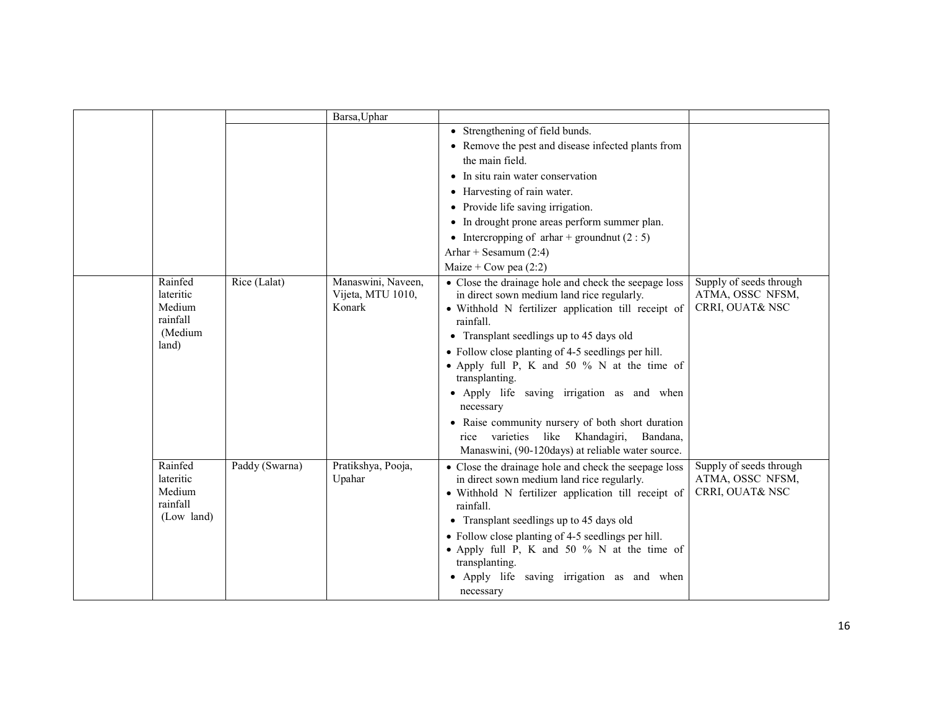|                                                                |                | Barsa, Uphar                                      |                                                                                                                                                                                                                                                                                                                                                                                                                                                                                                                                                              |                                                                |
|----------------------------------------------------------------|----------------|---------------------------------------------------|--------------------------------------------------------------------------------------------------------------------------------------------------------------------------------------------------------------------------------------------------------------------------------------------------------------------------------------------------------------------------------------------------------------------------------------------------------------------------------------------------------------------------------------------------------------|----------------------------------------------------------------|
|                                                                |                |                                                   | • Strengthening of field bunds.                                                                                                                                                                                                                                                                                                                                                                                                                                                                                                                              |                                                                |
|                                                                |                |                                                   | • Remove the pest and disease infected plants from                                                                                                                                                                                                                                                                                                                                                                                                                                                                                                           |                                                                |
|                                                                |                |                                                   | the main field.                                                                                                                                                                                                                                                                                                                                                                                                                                                                                                                                              |                                                                |
|                                                                |                |                                                   | • In situ rain water conservation                                                                                                                                                                                                                                                                                                                                                                                                                                                                                                                            |                                                                |
|                                                                |                |                                                   | • Harvesting of rain water.                                                                                                                                                                                                                                                                                                                                                                                                                                                                                                                                  |                                                                |
|                                                                |                |                                                   | Provide life saving irrigation.<br>$\bullet$                                                                                                                                                                                                                                                                                                                                                                                                                                                                                                                 |                                                                |
|                                                                |                |                                                   | • In drought prone areas perform summer plan.                                                                                                                                                                                                                                                                                                                                                                                                                                                                                                                |                                                                |
|                                                                |                |                                                   | • Intercropping of arhar + groundnut $(2:5)$                                                                                                                                                                                                                                                                                                                                                                                                                                                                                                                 |                                                                |
|                                                                |                |                                                   | Arhar + Sesamum $(2:4)$                                                                                                                                                                                                                                                                                                                                                                                                                                                                                                                                      |                                                                |
|                                                                |                |                                                   | Maize + Cow pea $(2:2)$                                                                                                                                                                                                                                                                                                                                                                                                                                                                                                                                      |                                                                |
| Rainfed<br>lateritic<br>Medium<br>rainfall<br>(Medium<br>land) | Rice (Lalat)   | Manaswini, Naveen,<br>Vijeta, MTU 1010,<br>Konark | • Close the drainage hole and check the seepage loss<br>in direct sown medium land rice regularly.<br>· Withhold N fertilizer application till receipt of<br>rainfall.<br>• Transplant seedlings up to 45 days old<br>• Follow close planting of 4-5 seedlings per hill.<br>• Apply full P, K and 50 % N at the time of<br>transplanting.<br>• Apply life saving irrigation as and when<br>necessary<br>• Raise community nursery of both short duration<br>rice varieties like Khandagiri,<br>Bandana,<br>Manaswini, (90-120days) at reliable water source. | Supply of seeds through<br>ATMA, OSSC NFSM,<br>CRRI, OUAT& NSC |
| Rainfed<br>lateritic<br>Medium<br>rainfall<br>(Low land)       | Paddy (Swarna) | Pratikshya, Pooja,<br>Upahar                      | • Close the drainage hole and check the seepage loss<br>in direct sown medium land rice regularly.<br>• Withhold N fertilizer application till receipt of<br>rainfall.<br>• Transplant seedlings up to 45 days old<br>• Follow close planting of 4-5 seedlings per hill.<br>• Apply full P, K and 50 % N at the time of<br>transplanting.<br>• Apply life saving irrigation as and when<br>necessary                                                                                                                                                         | Supply of seeds through<br>ATMA, OSSC NFSM,<br>CRRI, OUAT& NSC |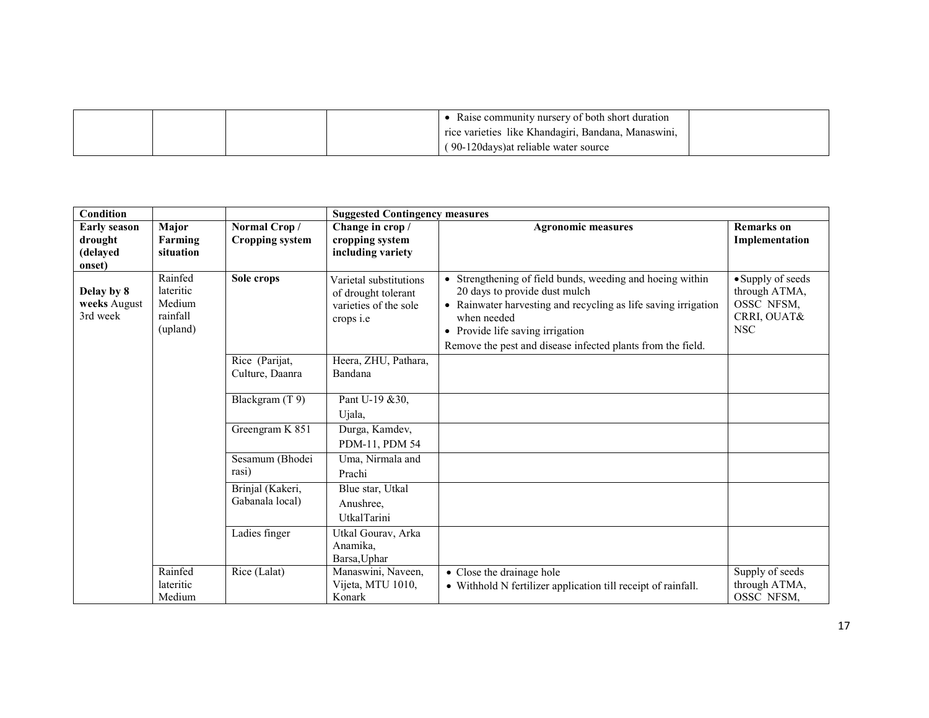|  | Raise community nursery of both short duration      |  |
|--|-----------------------------------------------------|--|
|  | rice varieties like Khandagiri, Bandana, Manaswini, |  |
|  | (90-120 days) at reliable water source              |  |

| Condition                                            |                                                        |                                        | <b>Suggested Contingency measures</b>                                                      |                                                                                                                                                                                                                                                                                |                                                                               |
|------------------------------------------------------|--------------------------------------------------------|----------------------------------------|--------------------------------------------------------------------------------------------|--------------------------------------------------------------------------------------------------------------------------------------------------------------------------------------------------------------------------------------------------------------------------------|-------------------------------------------------------------------------------|
| <b>Early season</b><br>drought<br>(delayed<br>onset) | Major<br>Farming<br>situation                          | Normal Crop/<br><b>Cropping system</b> | Change in crop /<br>cropping system<br>including variety                                   | <b>Agronomic measures</b>                                                                                                                                                                                                                                                      | <b>Remarks</b> on<br>Implementation                                           |
| Delay by 8<br>weeks August<br>3rd week               | Rainfed<br>lateritic<br>Medium<br>rainfall<br>(upland) | Sole crops                             | Varietal substitutions<br>of drought tolerant<br>varieties of the sole<br>crops <i>i.e</i> | • Strengthening of field bunds, weeding and hoeing within<br>20 days to provide dust mulch<br>• Rainwater harvesting and recycling as life saving irrigation<br>when needed<br>• Provide life saving irrigation<br>Remove the pest and disease infected plants from the field. | • Supply of seeds<br>through ATMA,<br>OSSC NFSM,<br>CRRI, OUAT&<br><b>NSC</b> |
|                                                      |                                                        | Rice (Parijat,<br>Culture, Daanra      | Heera, ZHU, Pathara,<br>Bandana                                                            |                                                                                                                                                                                                                                                                                |                                                                               |
|                                                      |                                                        | Blackgram (T 9)                        | Pant U-19 & 30,<br>Ujala,                                                                  |                                                                                                                                                                                                                                                                                |                                                                               |
|                                                      |                                                        | Greengram K 851                        | Durga, Kamdev,<br>PDM-11, PDM 54                                                           |                                                                                                                                                                                                                                                                                |                                                                               |
|                                                      |                                                        | Sesamum (Bhodei<br>rasi)               | Uma, Nirmala and<br>Prachi                                                                 |                                                                                                                                                                                                                                                                                |                                                                               |
|                                                      |                                                        | Brinjal (Kakeri,<br>Gabanala local)    | Blue star, Utkal<br>Anushree.<br><b>UtkalTarini</b>                                        |                                                                                                                                                                                                                                                                                |                                                                               |
|                                                      |                                                        | Ladies finger                          | Utkal Gourav, Arka<br>Anamika,<br>Barsa, Uphar                                             |                                                                                                                                                                                                                                                                                |                                                                               |
|                                                      | Rainfed<br>lateritic<br>Medium                         | Rice (Lalat)                           | Manaswini, Naveen,<br>Vijeta, MTU 1010,<br>Konark                                          | • Close the drainage hole<br>• Withhold N fertilizer application till receipt of rainfall.                                                                                                                                                                                     | Supply of seeds<br>through ATMA,<br>OSSC NFSM.                                |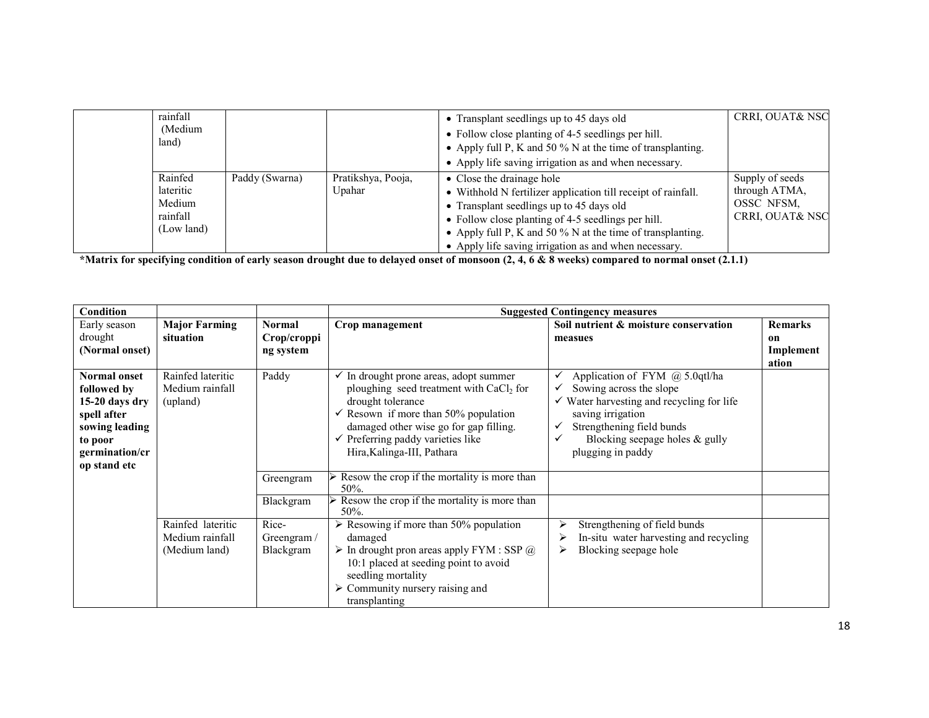| rainfall<br>(Medium<br>land)                             |                |                              | • Transplant seedlings up to 45 days old<br>• Follow close planting of 4-5 seedlings per hill.<br>• Apply full P, K and 50 % N at the time of transplanting.<br>• Apply life saving irrigation as and when necessary.                                                                                               | <b>CRRI, OUAT&amp; NSC</b>                                                   |
|----------------------------------------------------------|----------------|------------------------------|---------------------------------------------------------------------------------------------------------------------------------------------------------------------------------------------------------------------------------------------------------------------------------------------------------------------|------------------------------------------------------------------------------|
| Rainfed<br>lateritic<br>Medium<br>rainfall<br>(Low land) | Paddy (Swarna) | Pratikshya, Pooja,<br>Upahar | • Close the drainage hole<br>• Withhold N fertilizer application till receipt of rainfall.<br>• Transplant seedlings up to 45 days old<br>• Follow close planting of 4-5 seedlings per hill.<br>• Apply full P, K and 50 % N at the time of transplanting.<br>• Apply life saving irrigation as and when necessary. | Supply of seeds<br>through ATMA,<br>OSSC NFSM.<br><b>CRRI, OUAT&amp; NSC</b> |

\*Matrix for specifying condition of early season drought due to delayed onset of monsoon (2, 4, 6 & 8 weeks) compared to normal onset (2.1.1)

| Condition           |                      |               |                                                            | <b>Suggested Contingency measures</b>                |                |
|---------------------|----------------------|---------------|------------------------------------------------------------|------------------------------------------------------|----------------|
| Early season        | <b>Major Farming</b> | <b>Normal</b> | Crop management                                            | Soil nutrient & moisture conservation                | <b>Remarks</b> |
| drought             | situation            | Crop/croppi   |                                                            | measues                                              | on             |
| (Normal onset)      |                      | ng system     |                                                            |                                                      | Implement      |
|                     |                      |               |                                                            |                                                      | ation          |
| <b>Normal onset</b> | Rainfed lateritic    | Paddy         | $\checkmark$ In drought prone areas, adopt summer          | Application of FYM @ 5.0qtl/ha                       |                |
| followed by         | Medium rainfall      |               | ploughing seed treatment with CaCl <sub>2</sub> for        | Sowing across the slope                              |                |
| 15-20 days dry      | (upland)             |               | drought tolerance                                          | $\checkmark$ Water harvesting and recycling for life |                |
| spell after         |                      |               | $\checkmark$ Resown if more than 50% population            | saving irrigation                                    |                |
| sowing leading      |                      |               | damaged other wise go for gap filling.                     | Strengthening field bunds<br>✓                       |                |
| to poor             |                      |               | $\checkmark$ Preferring paddy varieties like               | Blocking seepage holes $&$ gully<br>✓                |                |
| germination/cr      |                      |               | Hira, Kalinga-III, Pathara                                 | plugging in paddy                                    |                |
| op stand etc        |                      |               |                                                            |                                                      |                |
|                     |                      | Greengram     | Resow the crop if the mortality is more than<br>50%.       |                                                      |                |
|                     |                      | Blackgram     | Resow the crop if the mortality is more than<br>50%.       |                                                      |                |
|                     | Rainfed lateritic    | Rice-         | $\triangleright$ Resowing if more than 50% population      | Strengthening of field bunds<br>⋗                    |                |
|                     | Medium rainfall      | Greengram $/$ | damaged                                                    | In-situ water harvesting and recycling<br>⋗          |                |
|                     | (Medium land)        | Blackgram     | $\triangleright$ In drought pron areas apply FYM : SSP $@$ | Blocking seepage hole<br>⋗                           |                |
|                     |                      |               | 10:1 placed at seeding point to avoid                      |                                                      |                |
|                     |                      |               | seedling mortality                                         |                                                      |                |
|                     |                      |               | $\triangleright$ Community nursery raising and             |                                                      |                |
|                     |                      |               | transplanting                                              |                                                      |                |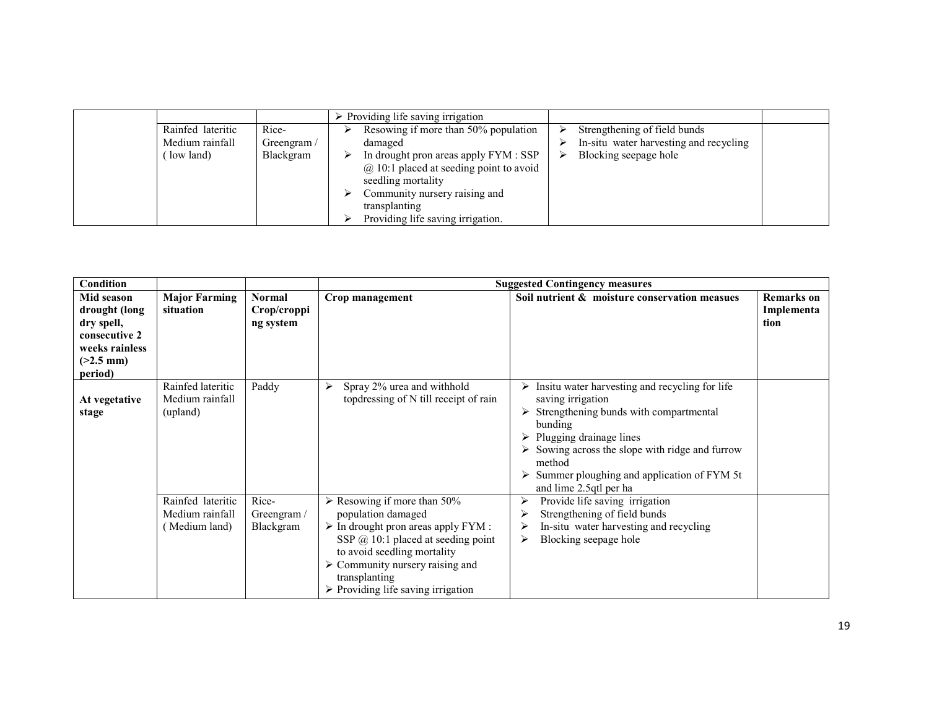|                   |            | $\triangleright$ Providing life saving irrigation                                                          |                                        |  |
|-------------------|------------|------------------------------------------------------------------------------------------------------------|----------------------------------------|--|
| Rainfed lateritic | Rice-      | Resowing if more than 50% population                                                                       | Strengthening of field bunds           |  |
| Medium rainfall   | Greengram/ | damaged                                                                                                    | In-situ water harvesting and recycling |  |
| low land)         | Blackgram  | In drought pron areas apply FYM : SSP<br>$(a)$ 10:1 placed at seeding point to avoid<br>seedling mortality | Blocking seepage hole<br>⋗             |  |
|                   |            | Community nursery raising and<br>transplanting<br>Providing life saving irrigation.                        |                                        |  |

| Condition                                                                                              |                                                       |                                           |                                                                                                                                                                                                                                                                                                                         | <b>Suggested Contingency measures</b>                                                                                                                                                                                                                                                                   |                                         |
|--------------------------------------------------------------------------------------------------------|-------------------------------------------------------|-------------------------------------------|-------------------------------------------------------------------------------------------------------------------------------------------------------------------------------------------------------------------------------------------------------------------------------------------------------------------------|---------------------------------------------------------------------------------------------------------------------------------------------------------------------------------------------------------------------------------------------------------------------------------------------------------|-----------------------------------------|
| Mid season<br>drought (long<br>dry spell,<br>consecutive 2<br>weeks rainless<br>$(>2.5$ mm)<br>period) | <b>Major Farming</b><br>situation                     | <b>Normal</b><br>Crop/croppi<br>ng system | Crop management                                                                                                                                                                                                                                                                                                         | Soil nutrient & moisture conservation measues                                                                                                                                                                                                                                                           | <b>Remarks</b> on<br>Implementa<br>tion |
| At vegetative<br>stage                                                                                 | Rainfed lateritic<br>Medium rainfall<br>(upland)      | Paddy                                     | Spray 2% urea and withhold<br>⋗<br>top dressing of N till receipt of rain                                                                                                                                                                                                                                               | Insitu water harvesting and recycling for life<br>saving irrigation<br>Strengthening bunds with compartmental<br>bunding<br>Plugging drainage lines<br>$\triangleright$ Sowing across the slope with ridge and furrow<br>method<br>Summer ploughing and application of FYM 5t<br>and lime 2.5qtl per ha |                                         |
|                                                                                                        | Rainfed lateritic<br>Medium rainfall<br>(Medium land) | Rice-<br>Greengram/<br>Blackgram          | $\triangleright$ Resowing if more than 50%<br>population damaged<br>$\triangleright$ In drought pron areas apply FYM :<br>SSP $(a)$ 10:1 placed at seeding point<br>to avoid seedling mortality<br>$\triangleright$ Community nursery raising and<br>transplanting<br>$\triangleright$ Providing life saving irrigation | Provide life saving irrigation<br>➤<br>Strengthening of field bunds<br>In-situ water harvesting and recycling<br>Blocking seepage hole<br>≻                                                                                                                                                             |                                         |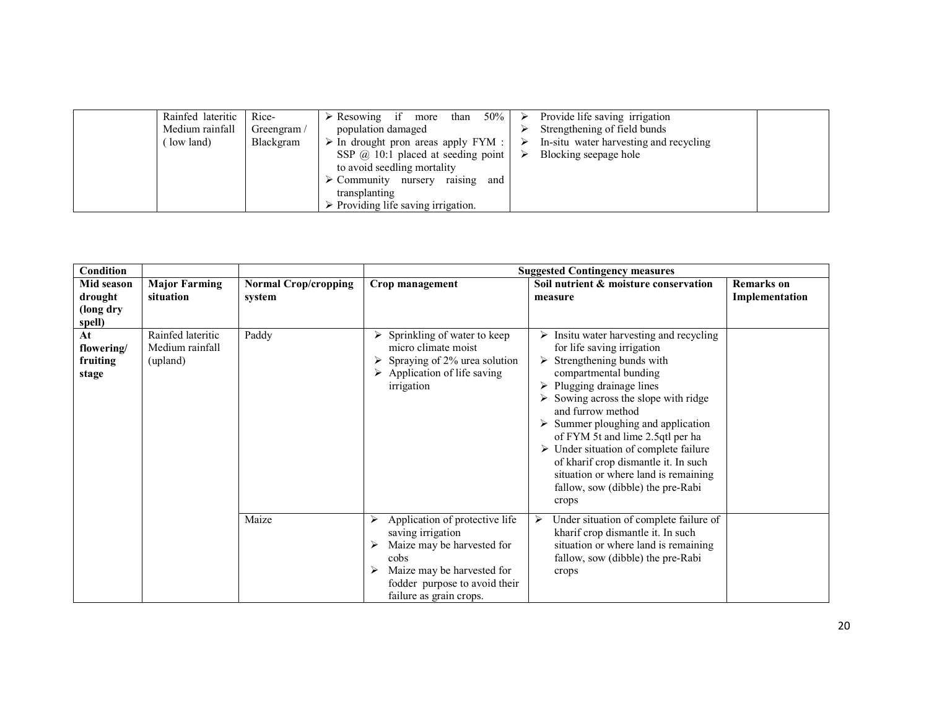| Medium rainfall<br>population damaged<br>Greengram $/$<br>low land)<br>Blackgram<br>$\triangleright$ In drought pron areas apply FYM : $\triangleright$<br>SSP $\omega$ 10:1 placed at seeding point<br>to avoid seedling mortality<br>raising<br>$\triangleright$ Community nursery<br>and<br>transplanting<br>$\triangleright$ Providing life saving irrigation. | Provide life saving irrigation<br>Strengthening of field bunds<br>In-situ water harvesting and recycling<br>Blocking seepage hole |
|--------------------------------------------------------------------------------------------------------------------------------------------------------------------------------------------------------------------------------------------------------------------------------------------------------------------------------------------------------------------|-----------------------------------------------------------------------------------------------------------------------------------|
|--------------------------------------------------------------------------------------------------------------------------------------------------------------------------------------------------------------------------------------------------------------------------------------------------------------------------------------------------------------------|-----------------------------------------------------------------------------------------------------------------------------------|

| <b>Condition</b>                             |                                                  |                                       |                                                                                                                                                                                     | <b>Suggested Contingency measures</b>                                                                                                                                                                                                                                                                                                                                                                                                                                                                                              |                                     |
|----------------------------------------------|--------------------------------------------------|---------------------------------------|-------------------------------------------------------------------------------------------------------------------------------------------------------------------------------------|------------------------------------------------------------------------------------------------------------------------------------------------------------------------------------------------------------------------------------------------------------------------------------------------------------------------------------------------------------------------------------------------------------------------------------------------------------------------------------------------------------------------------------|-------------------------------------|
| Mid season<br>drought<br>(long dry<br>spell) | <b>Major Farming</b><br>situation                | <b>Normal Crop/cropping</b><br>system | Crop management                                                                                                                                                                     | Soil nutrient & moisture conservation<br>measure                                                                                                                                                                                                                                                                                                                                                                                                                                                                                   | <b>Remarks</b> on<br>Implementation |
| At<br>flowering/<br>fruiting<br>stage        | Rainfed lateritic<br>Medium rainfall<br>(upland) | Paddy                                 | Sprinkling of water to keep<br>micro climate moist<br>$\triangleright$ Spraying of 2% urea solution<br>$\triangleright$ Application of life saving<br>irrigation                    | Insitu water harvesting and recycling<br>for life saving irrigation<br>Strengthening bunds with<br>$\triangleright$<br>compartmental bunding<br>Plugging drainage lines<br>$\triangleright$ Sowing across the slope with ridge<br>and furrow method<br>$\triangleright$ Summer ploughing and application<br>of FYM 5t and lime 2.5qtl per ha<br>$\triangleright$ Under situation of complete failure<br>of kharif crop dismantle it. In such<br>situation or where land is remaining<br>fallow, sow (dibble) the pre-Rabi<br>crops |                                     |
|                                              |                                                  | Maize                                 | Application of protective life<br>saving irrigation<br>Maize may be harvested for<br>cobs<br>Maize may be harvested for<br>fodder purpose to avoid their<br>failure as grain crops. | Under situation of complete failure of<br>≻<br>kharif crop dismantle it. In such<br>situation or where land is remaining<br>fallow, sow (dibble) the pre-Rabi<br>crops                                                                                                                                                                                                                                                                                                                                                             |                                     |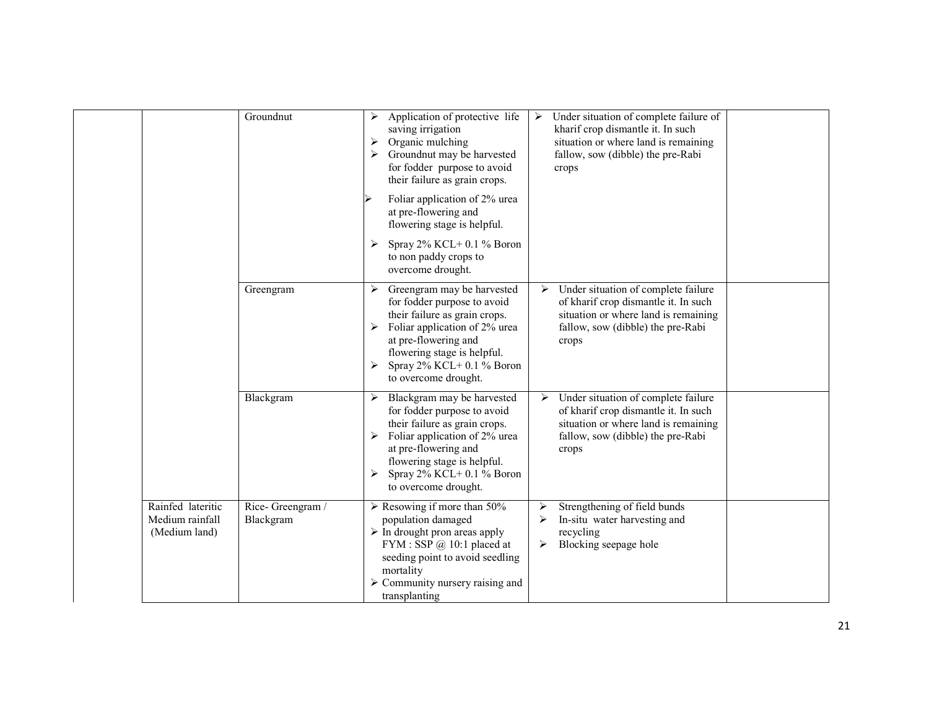|                                                       | Groundnut                     | Application of protective life<br>⋗<br>saving irrigation<br>Organic mulching<br>➤<br>Groundnut may be harvested<br>for fodder purpose to avoid<br>their failure as grain crops.                                                                                     | Under situation of complete failure of<br>➤<br>kharif crop dismantle it. In such<br>situation or where land is remaining<br>fallow, sow (dibble) the pre-Rabi<br>crops |  |
|-------------------------------------------------------|-------------------------------|---------------------------------------------------------------------------------------------------------------------------------------------------------------------------------------------------------------------------------------------------------------------|------------------------------------------------------------------------------------------------------------------------------------------------------------------------|--|
|                                                       |                               | Foliar application of 2% urea<br>at pre-flowering and<br>flowering stage is helpful.                                                                                                                                                                                |                                                                                                                                                                        |  |
|                                                       |                               | Spray $2\%$ KCL+ 0.1 $\%$ Boron<br>to non paddy crops to<br>overcome drought.                                                                                                                                                                                       |                                                                                                                                                                        |  |
|                                                       | Greengram                     | Greengram may be harvested<br>≻<br>for fodder purpose to avoid<br>their failure as grain crops.<br>Foliar application of 2% urea<br>at pre-flowering and<br>flowering stage is helpful.<br>Spray $2\%$ KCL+ 0.1 $\%$ Boron<br>to overcome drought.                  | Under situation of complete failure<br>➤<br>of kharif crop dismantle it. In such<br>situation or where land is remaining<br>fallow, sow (dibble) the pre-Rabi<br>crops |  |
|                                                       | Blackgram                     | Blackgram may be harvested<br>➤<br>for fodder purpose to avoid<br>their failure as grain crops.<br>Foliar application of 2% urea<br>at pre-flowering and<br>flowering stage is helpful.<br>Spray 2% KCL+ 0.1 % Boron<br>➤<br>to overcome drought.                   | Under situation of complete failure<br>➤<br>of kharif crop dismantle it. In such<br>situation or where land is remaining<br>fallow, sow (dibble) the pre-Rabi<br>crops |  |
| Rainfed lateritic<br>Medium rainfall<br>(Medium land) | Rice-Greengram /<br>Blackgram | $\triangleright$ Resowing if more than 50%<br>population damaged<br>$\triangleright$ In drought pron areas apply<br>FYM : SSP $@$ 10:1 placed at<br>seeding point to avoid seedling<br>mortality<br>$\triangleright$ Community nursery raising and<br>transplanting | Strengthening of field bunds<br>≻<br>In-situ water harvesting and<br>≻<br>recycling<br>Blocking seepage hole<br>➤                                                      |  |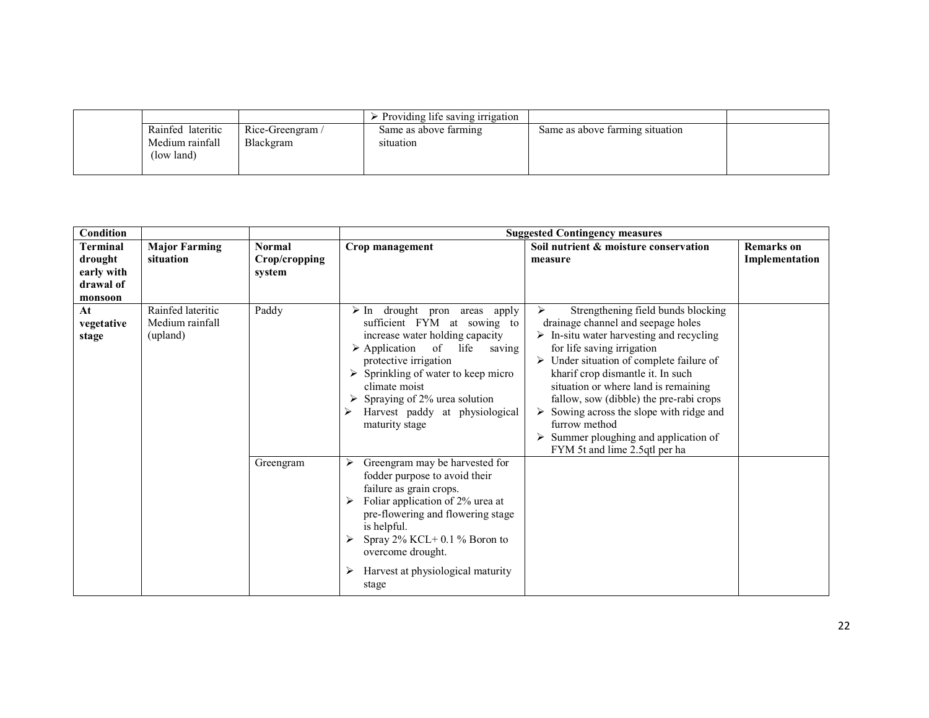|                               |                  | Providing life saving irrigation |                                 |  |
|-------------------------------|------------------|----------------------------------|---------------------------------|--|
| Rainfed lateritic             | Rice-Greengram / | Same as above farming            | Same as above farming situation |  |
| Medium rainfall<br>(low land) | Blackgram        | situation                        |                                 |  |

| <b>Condition</b>                                                 |                                                  |                                          |                                                                                                                                                                                                                                                                                                                                                            | <b>Suggested Contingency measures</b>                                                                                                                                                                                                                                                                                                                                                                                                                                                                                          |                                     |
|------------------------------------------------------------------|--------------------------------------------------|------------------------------------------|------------------------------------------------------------------------------------------------------------------------------------------------------------------------------------------------------------------------------------------------------------------------------------------------------------------------------------------------------------|--------------------------------------------------------------------------------------------------------------------------------------------------------------------------------------------------------------------------------------------------------------------------------------------------------------------------------------------------------------------------------------------------------------------------------------------------------------------------------------------------------------------------------|-------------------------------------|
| <b>Terminal</b><br>drought<br>early with<br>drawal of<br>monsoon | <b>Major Farming</b><br>situation                | <b>Normal</b><br>Crop/cropping<br>system | Crop management                                                                                                                                                                                                                                                                                                                                            | Soil nutrient & moisture conservation<br>measure                                                                                                                                                                                                                                                                                                                                                                                                                                                                               | <b>Remarks</b> on<br>Implementation |
| At<br>vegetative<br>stage                                        | Rainfed lateritic<br>Medium rainfall<br>(upland) | Paddy                                    | drought pron areas<br>$\triangleright$ In<br>apply<br>sufficient FYM at sowing to<br>increase water holding capacity<br>$\triangleright$ Application of life<br>saving<br>protective irrigation<br>$\triangleright$ Sprinkling of water to keep micro<br>climate moist<br>Spraying of 2% urea solution<br>Harvest paddy at physiological<br>maturity stage | Strengthening field bunds blocking<br>⋗<br>drainage channel and seepage holes<br>$\triangleright$ In-situ water harvesting and recycling<br>for life saving irrigation<br>$\triangleright$ Under situation of complete failure of<br>kharif crop dismantle it. In such<br>situation or where land is remaining<br>fallow, sow (dibble) the pre-rabi crops<br>$\triangleright$ Sowing across the slope with ridge and<br>furrow method<br>$\triangleright$ Summer ploughing and application of<br>FYM 5t and lime 2.5qtl per ha |                                     |
|                                                                  |                                                  | Greengram                                | Greengram may be harvested for<br>⋗<br>fodder purpose to avoid their<br>failure as grain crops.<br>Foliar application of 2% urea at<br>pre-flowering and flowering stage<br>is helpful.<br>Spray $2\%$ KCL+ 0.1 % Boron to<br>overcome drought.<br>Harvest at physiological maturity<br>⋗<br>stage                                                         |                                                                                                                                                                                                                                                                                                                                                                                                                                                                                                                                |                                     |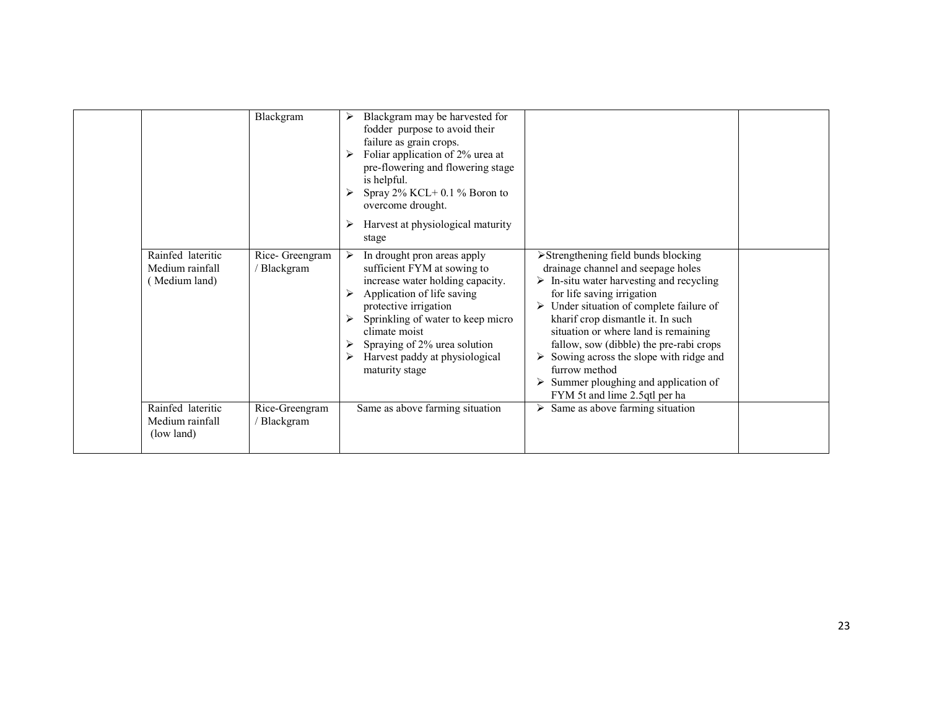|                                                       | Blackgram                    | Blackgram may be harvested for<br>➤<br>fodder purpose to avoid their<br>failure as grain crops.<br>Foliar application of 2% urea at<br>pre-flowering and flowering stage<br>is helpful.<br>Spray $2\%$ KCL+ 0.1 % Boron to<br>overcome drought.<br>Harvest at physiological maturity<br>stage        |                                                                                                                                                                                                                                                                                                                                                                                                                                                                                                                           |  |
|-------------------------------------------------------|------------------------------|------------------------------------------------------------------------------------------------------------------------------------------------------------------------------------------------------------------------------------------------------------------------------------------------------|---------------------------------------------------------------------------------------------------------------------------------------------------------------------------------------------------------------------------------------------------------------------------------------------------------------------------------------------------------------------------------------------------------------------------------------------------------------------------------------------------------------------------|--|
| Rainfed lateritic<br>Medium rainfall<br>(Medium land) | Rice- Greengram<br>Blackgram | In drought pron areas apply<br>➤<br>sufficient FYM at sowing to<br>increase water holding capacity.<br>Application of life saving<br>protective irrigation<br>Sprinkling of water to keep micro<br>climate moist<br>Spraying of 2% urea solution<br>Harvest paddy at physiological<br>maturity stage | $\triangleright$ Strengthening field bunds blocking<br>drainage channel and seepage holes<br>$\triangleright$ In-situ water harvesting and recycling<br>for life saving irrigation<br>Under situation of complete failure of<br>kharif crop dismantle it. In such<br>situation or where land is remaining<br>fallow, sow (dibble) the pre-rabi crops<br>$\triangleright$ Sowing across the slope with ridge and<br>furrow method<br>$\triangleright$ Summer ploughing and application of<br>FYM 5t and lime 2.5qtl per ha |  |
| Rainfed lateritic<br>Medium rainfall<br>(low land)    | Rice-Greengram<br>Blackgram  | Same as above farming situation                                                                                                                                                                                                                                                                      | Same as above farming situation                                                                                                                                                                                                                                                                                                                                                                                                                                                                                           |  |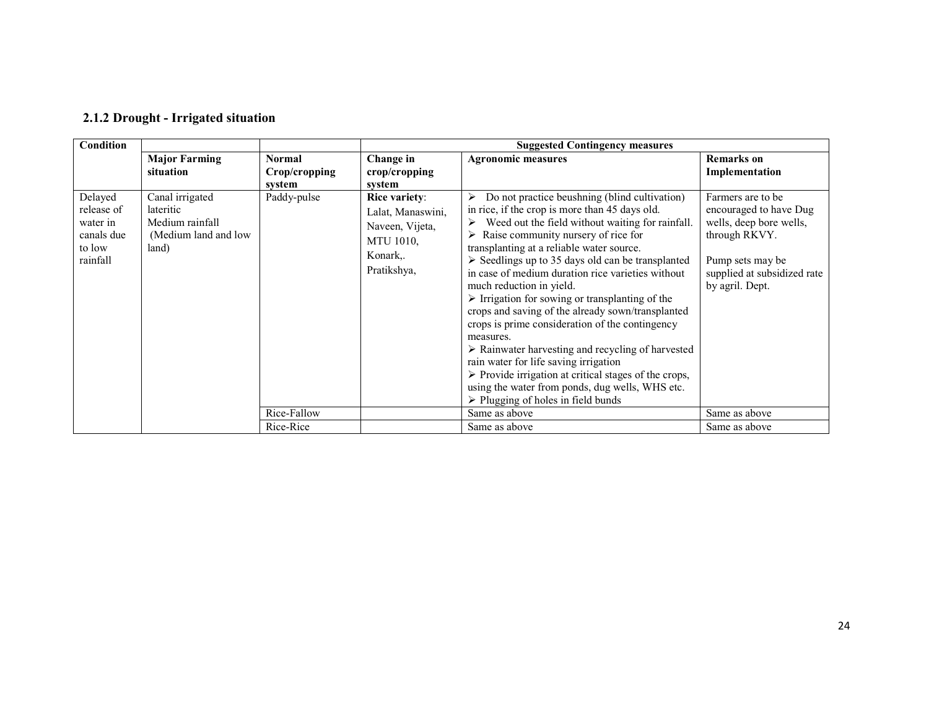| Condition                                                             |                                                                                   |               |                                                                                               | <b>Suggested Contingency measures</b>                                                                                                                                                                                                                                                                                                                                                                                                                                                                                                                                                                                                                                                                                                                                                                                                                                                 |                                                                                                                                                                |
|-----------------------------------------------------------------------|-----------------------------------------------------------------------------------|---------------|-----------------------------------------------------------------------------------------------|---------------------------------------------------------------------------------------------------------------------------------------------------------------------------------------------------------------------------------------------------------------------------------------------------------------------------------------------------------------------------------------------------------------------------------------------------------------------------------------------------------------------------------------------------------------------------------------------------------------------------------------------------------------------------------------------------------------------------------------------------------------------------------------------------------------------------------------------------------------------------------------|----------------------------------------------------------------------------------------------------------------------------------------------------------------|
|                                                                       | <b>Major Farming</b>                                                              | <b>Normal</b> | Change in                                                                                     | <b>Agronomic measures</b>                                                                                                                                                                                                                                                                                                                                                                                                                                                                                                                                                                                                                                                                                                                                                                                                                                                             | <b>Remarks</b> on                                                                                                                                              |
|                                                                       | situation                                                                         | Crop/cropping | crop/cropping                                                                                 |                                                                                                                                                                                                                                                                                                                                                                                                                                                                                                                                                                                                                                                                                                                                                                                                                                                                                       | Implementation                                                                                                                                                 |
|                                                                       |                                                                                   | system        | system                                                                                        |                                                                                                                                                                                                                                                                                                                                                                                                                                                                                                                                                                                                                                                                                                                                                                                                                                                                                       |                                                                                                                                                                |
| Delayed<br>release of<br>water in<br>canals due<br>to low<br>rainfall | Canal irrigated<br>lateritic<br>Medium rainfall<br>(Medium land and low)<br>land) | Paddy-pulse   | Rice variety:<br>Lalat, Manaswini,<br>Naveen, Vijeta,<br>MTU 1010,<br>Konark,.<br>Pratikshya, | Do not practice beushning (blind cultivation)<br>in rice, if the crop is more than 45 days old.<br>Weed out the field without waiting for rainfall.<br>Raise community nursery of rice for<br>⋗<br>transplanting at a reliable water source.<br>$\triangleright$ Seedlings up to 35 days old can be transplanted<br>in case of medium duration rice varieties without<br>much reduction in yield.<br>$\triangleright$ Irrigation for sowing or transplanting of the<br>crops and saving of the already sown/transplanted<br>crops is prime consideration of the contingency<br>measures.<br>$\triangleright$ Rainwater harvesting and recycling of harvested<br>rain water for life saving irrigation<br>$\triangleright$ Provide irrigation at critical stages of the crops,<br>using the water from ponds, dug wells, WHS etc.<br>$\triangleright$ Plugging of holes in field bunds | Farmers are to be.<br>encouraged to have Dug<br>wells, deep bore wells,<br>through RKVY.<br>Pump sets may be<br>supplied at subsidized rate<br>by agril. Dept. |
|                                                                       |                                                                                   | Rice-Fallow   |                                                                                               | Same as above                                                                                                                                                                                                                                                                                                                                                                                                                                                                                                                                                                                                                                                                                                                                                                                                                                                                         | Same as above                                                                                                                                                  |
|                                                                       |                                                                                   | Rice-Rice     |                                                                                               | Same as above                                                                                                                                                                                                                                                                                                                                                                                                                                                                                                                                                                                                                                                                                                                                                                                                                                                                         | Same as above                                                                                                                                                  |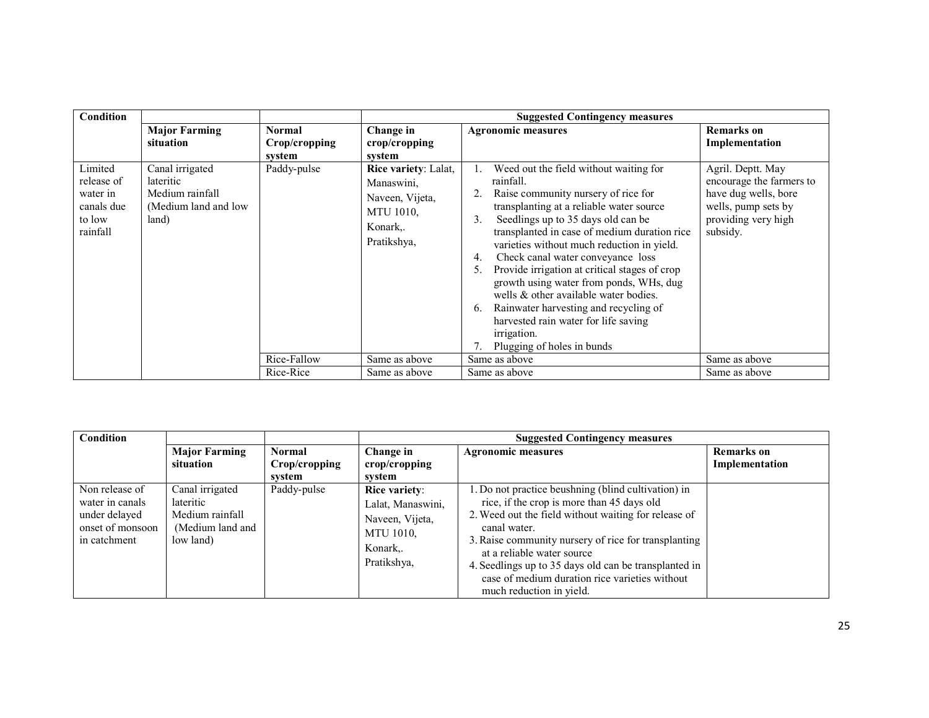| Condition                                                             |                                                                                   |                         | <b>Suggested Contingency measures</b>                                                                |                                                                                                                                                                                                                                                                                                                                                                                                                                                                                                                                                                                                                               |                                                                                                                                 |  |
|-----------------------------------------------------------------------|-----------------------------------------------------------------------------------|-------------------------|------------------------------------------------------------------------------------------------------|-------------------------------------------------------------------------------------------------------------------------------------------------------------------------------------------------------------------------------------------------------------------------------------------------------------------------------------------------------------------------------------------------------------------------------------------------------------------------------------------------------------------------------------------------------------------------------------------------------------------------------|---------------------------------------------------------------------------------------------------------------------------------|--|
|                                                                       | <b>Major Farming</b><br>situation                                                 | <b>Normal</b>           | Change in                                                                                            | <b>Agronomic measures</b>                                                                                                                                                                                                                                                                                                                                                                                                                                                                                                                                                                                                     | <b>Remarks</b> on                                                                                                               |  |
|                                                                       |                                                                                   | Crop/cropping<br>system | crop/cropping<br>system                                                                              |                                                                                                                                                                                                                                                                                                                                                                                                                                                                                                                                                                                                                               | Implementation                                                                                                                  |  |
| Limited<br>release of<br>water in<br>canals due<br>to low<br>rainfall | Canal irrigated<br>lateritic<br>Medium rainfall<br>(Medium land and low)<br>land) | Paddy-pulse             | Rice variety: Lalat,<br>Manaswini,<br>Naveen, Vijeta,<br><b>MTU 1010.</b><br>Konark,.<br>Pratikshya, | Weed out the field without waiting for<br>rainfall.<br>Raise community nursery of rice for<br>transplanting at a reliable water source<br>Seedlings up to 35 days old can be<br>$\mathbf{3}$ .<br>transplanted in case of medium duration rice<br>varieties without much reduction in yield.<br>Check canal water conveyance loss<br>4.<br>Provide irrigation at critical stages of crop<br>5.<br>growth using water from ponds, WHs, dug<br>wells & other available water bodies.<br>Rainwater harvesting and recycling of<br>6.<br>harvested rain water for life saving<br><i>irrigation.</i><br>Plugging of holes in bunds | Agril. Deptt. May<br>encourage the farmers to<br>have dug wells, bore<br>wells, pump sets by<br>providing very high<br>subsidy. |  |
|                                                                       |                                                                                   | Rice-Fallow             | Same as above                                                                                        | Same as above                                                                                                                                                                                                                                                                                                                                                                                                                                                                                                                                                                                                                 | Same as above                                                                                                                   |  |
|                                                                       |                                                                                   | Rice-Rice               | Same as above                                                                                        | Same as above                                                                                                                                                                                                                                                                                                                                                                                                                                                                                                                                                                                                                 | Same as above                                                                                                                   |  |

| Condition                                                                              |                                                                                  |               | <b>Suggested Contingency measures</b>                                                                       |                                                                                                                                                                                                                                                                                                                                                                                                       |                   |
|----------------------------------------------------------------------------------------|----------------------------------------------------------------------------------|---------------|-------------------------------------------------------------------------------------------------------------|-------------------------------------------------------------------------------------------------------------------------------------------------------------------------------------------------------------------------------------------------------------------------------------------------------------------------------------------------------------------------------------------------------|-------------------|
|                                                                                        | <b>Major Farming</b>                                                             | <b>Normal</b> | Change in                                                                                                   | <b>Agronomic measures</b>                                                                                                                                                                                                                                                                                                                                                                             | <b>Remarks</b> on |
|                                                                                        | situation                                                                        | Crop/cropping | crop/cropping                                                                                               |                                                                                                                                                                                                                                                                                                                                                                                                       | Implementation    |
|                                                                                        |                                                                                  | svstem        | svstem                                                                                                      |                                                                                                                                                                                                                                                                                                                                                                                                       |                   |
| Non release of<br>water in canals<br>under delayed<br>onset of monsoon<br>in catchment | Canal irrigated<br>lateritic<br>Medium rainfall<br>(Medium land and<br>low land) | Paddy-pulse   | <b>Rice variety:</b><br>Lalat, Manaswini,<br>Naveen, Vijeta,<br><b>MTU 1010.</b><br>Konark,.<br>Pratikshya, | . Do not practice beushning (blind cultivation) in<br>rice, if the crop is more than 45 days old<br>2. Weed out the field without waiting for release of<br>canal water.<br>3. Raise community nursery of rice for transplanting<br>at a reliable water source<br>4. Seedlings up to 35 days old can be transplanted in<br>case of medium duration rice varieties without<br>much reduction in yield. |                   |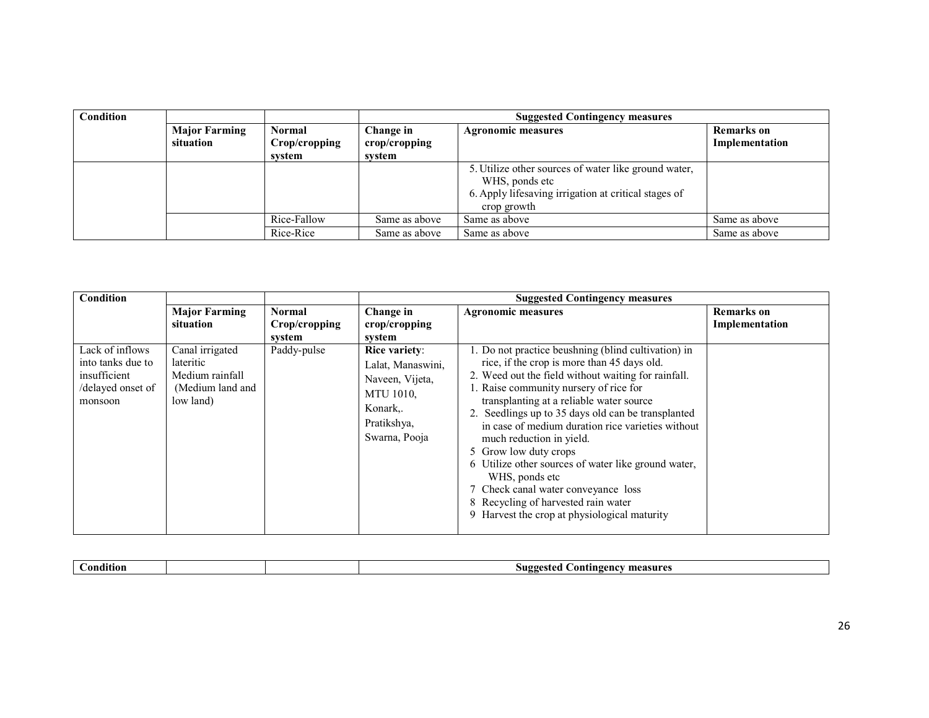| <b>Condition</b> |                      |               | <b>Suggested Contingency measures</b> |                                                      |                |  |
|------------------|----------------------|---------------|---------------------------------------|------------------------------------------------------|----------------|--|
|                  | <b>Major Farming</b> | <b>Normal</b> | Change in                             | <b>Agronomic measures</b><br><b>Remarks</b> on       |                |  |
|                  | situation            | Crop/cropping | crop/cropping                         |                                                      | Implementation |  |
|                  |                      | svstem        | system                                |                                                      |                |  |
|                  |                      |               |                                       | 5. Utilize other sources of water like ground water, |                |  |
|                  |                      |               |                                       | WHS, ponds etc                                       |                |  |
|                  |                      |               |                                       | 6. Apply lifesaving irrigation at critical stages of |                |  |
|                  |                      |               |                                       | crop growth                                          |                |  |
|                  |                      | Rice-Fallow   | Same as above                         | Same as above                                        | Same as above  |  |
|                  |                      | Rice-Rice     | Same as above                         | Same as above                                        | Same as above  |  |

| Condition                                                                            |                                                                                  |                                          |                                                                                                                | <b>Suggested Contingency measures</b>                                                                                                                                                                                                                                                                                                                                                                                                                                                                                                                                                                               |                                     |
|--------------------------------------------------------------------------------------|----------------------------------------------------------------------------------|------------------------------------------|----------------------------------------------------------------------------------------------------------------|---------------------------------------------------------------------------------------------------------------------------------------------------------------------------------------------------------------------------------------------------------------------------------------------------------------------------------------------------------------------------------------------------------------------------------------------------------------------------------------------------------------------------------------------------------------------------------------------------------------------|-------------------------------------|
|                                                                                      | <b>Major Farming</b><br>situation                                                | <b>Normal</b><br>Crop/cropping<br>system | Change in<br>crop/cropping<br>system                                                                           | <b>Agronomic measures</b>                                                                                                                                                                                                                                                                                                                                                                                                                                                                                                                                                                                           | <b>Remarks</b> on<br>Implementation |
| Lack of inflows<br>into tanks due to<br>insufficient<br>/delayed onset of<br>monsoon | Canal irrigated<br>lateritic<br>Medium rainfall<br>(Medium land and<br>low land) | Paddy-pulse                              | Rice variety:<br>Lalat, Manaswini,<br>Naveen, Vijeta,<br>MTU 1010,<br>Konark,.<br>Pratikshya,<br>Swarna, Pooja | 1. Do not practice beushning (blind cultivation) in<br>rice, if the crop is more than 45 days old.<br>2. Weed out the field without waiting for rainfall.<br>. Raise community nursery of rice for<br>transplanting at a reliable water source<br>2. Seedlings up to 35 days old can be transplanted<br>in case of medium duration rice varieties without<br>much reduction in yield.<br>5 Grow low duty crops<br>6 Utilize other sources of water like ground water,<br>WHS, ponds etc<br>Check canal water conveyance loss<br>8 Recycling of harvested rain water<br>9 Harvest the crop at physiological maturity |                                     |

| -<br>mdifior | .suc<br>measur<br>angency.<br>oni |
|--------------|-----------------------------------|
|              | - -                               |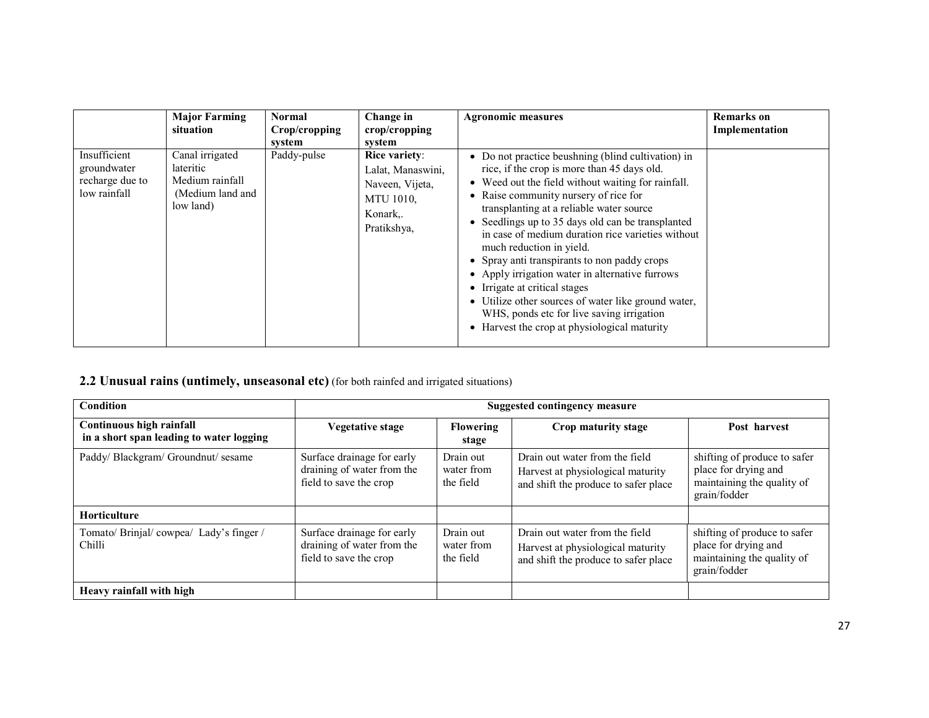|                                                                | <b>Major Farming</b><br>situation                                                | Normal<br>Crop/cropping<br>system | Change in<br>crop/cropping<br>svstem                                                                      | <b>Agronomic measures</b>                                                                                                                                                                                                                                                                                                                                                                                                                                                                                                                                                                                                                                          | <b>Remarks</b> on<br>Implementation |
|----------------------------------------------------------------|----------------------------------------------------------------------------------|-----------------------------------|-----------------------------------------------------------------------------------------------------------|--------------------------------------------------------------------------------------------------------------------------------------------------------------------------------------------------------------------------------------------------------------------------------------------------------------------------------------------------------------------------------------------------------------------------------------------------------------------------------------------------------------------------------------------------------------------------------------------------------------------------------------------------------------------|-------------------------------------|
| Insufficient<br>groundwater<br>recharge due to<br>low rainfall | Canal irrigated<br>lateritic<br>Medium rainfall<br>(Medium land and<br>low land) | Paddy-pulse                       | <b>Rice variety:</b><br>Lalat, Manaswini,<br>Naveen, Vijeta,<br><b>MTU 1010,</b><br>Konark<br>Pratikshya, | • Do not practice beushning (blind cultivation) in<br>rice, if the crop is more than 45 days old.<br>Weed out the field without waiting for rainfall.<br>• Raise community nursery of rice for<br>transplanting at a reliable water source<br>• Seedlings up to 35 days old can be transplanted<br>in case of medium duration rice varieties without<br>much reduction in yield.<br>• Spray anti transpirants to non paddy crops<br>Apply irrigation water in alternative furrows<br>• Irrigate at critical stages<br>Utilize other sources of water like ground water,<br>WHS, ponds etc for live saving irrigation<br>Harvest the crop at physiological maturity |                                     |

#### **2.2 Unusual rains (untimely, unseasonal etc)** (for both rainfed and irrigated situations)

| <b>Condition</b>                                                     | <b>Suggested contingency measure</b>                                               |                                      |                                                                                                             |                                                                                                    |  |  |
|----------------------------------------------------------------------|------------------------------------------------------------------------------------|--------------------------------------|-------------------------------------------------------------------------------------------------------------|----------------------------------------------------------------------------------------------------|--|--|
| Continuous high rainfall<br>in a short span leading to water logging | <b>Vegetative stage</b>                                                            | <b>Flowering</b><br>stage            | Crop maturity stage                                                                                         | Post harvest                                                                                       |  |  |
| Paddy/ Blackgram/ Groundnut/ sesame                                  | Surface drainage for early<br>draining of water from the<br>field to save the crop | Drain out<br>water from<br>the field | Drain out water from the field<br>Harvest at physiological maturity<br>and shift the produce to safer place | shifting of produce to safer<br>place for drying and<br>maintaining the quality of<br>grain/fodder |  |  |
| <b>Horticulture</b>                                                  |                                                                                    |                                      |                                                                                                             |                                                                                                    |  |  |
| Tomato/ Brinjal/ cowpea/ Lady's finger /<br>Chilli                   | Surface drainage for early<br>draining of water from the<br>field to save the crop | Drain out<br>water from<br>the field | Drain out water from the field<br>Harvest at physiological maturity<br>and shift the produce to safer place | shifting of produce to safer<br>place for drying and<br>maintaining the quality of<br>grain/fodder |  |  |
| Heavy rainfall with high                                             |                                                                                    |                                      |                                                                                                             |                                                                                                    |  |  |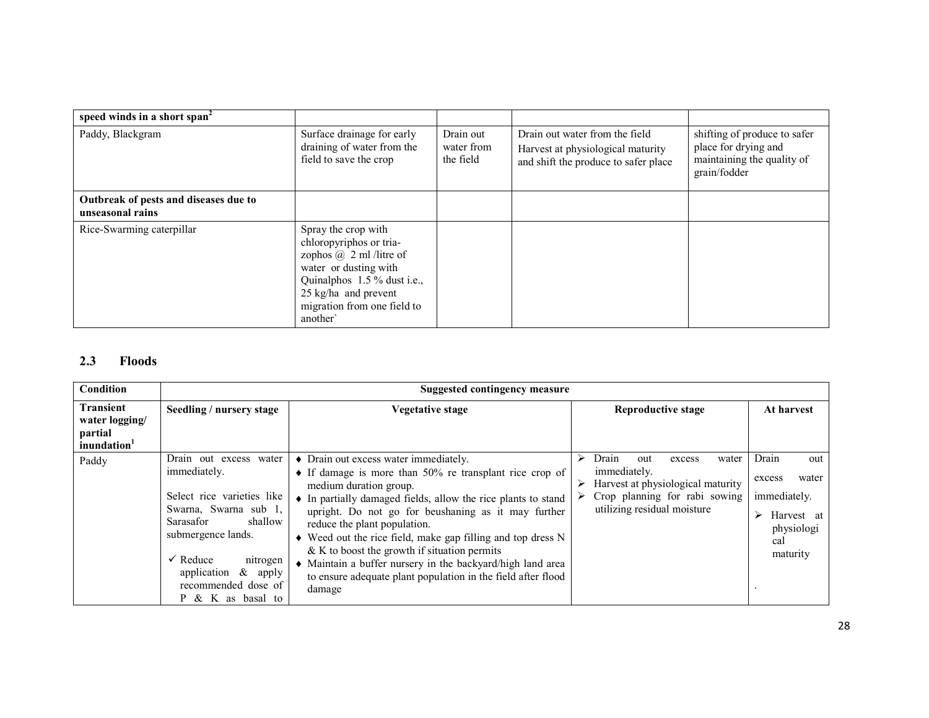| speed winds in a short span <sup>2</sup>                  |                                                                                                                                                                                                            |                                      |                                                                                                             |                                                                                                    |
|-----------------------------------------------------------|------------------------------------------------------------------------------------------------------------------------------------------------------------------------------------------------------------|--------------------------------------|-------------------------------------------------------------------------------------------------------------|----------------------------------------------------------------------------------------------------|
| Paddy, Blackgram                                          | Surface drainage for early<br>draining of water from the<br>field to save the crop                                                                                                                         | Drain out<br>water from<br>the field | Drain out water from the field<br>Harvest at physiological maturity<br>and shift the produce to safer place | shifting of produce to safer<br>place for drying and<br>maintaining the quality of<br>grain/fodder |
| Outbreak of pests and diseases due to<br>unseasonal rains |                                                                                                                                                                                                            |                                      |                                                                                                             |                                                                                                    |
| Rice-Swarming caterpillar                                 | Spray the crop with<br>chloropyriphos or tria-<br>zophos $\omega$ 2 ml /litre of<br>water or dusting with<br>Quinalphos 1.5 % dust i.e.,<br>25 kg/ha and prevent<br>migration from one field to<br>another |                                      |                                                                                                             |                                                                                                    |

#### 2.3 Floods

| <b>Condition</b>                                                         | Suggested contingency measure                                                                                                                                                                                                                              |                                                                                                                                                                                                                                                                                                                                                                                                                                                                                                                                                             |                                                                                                                                                                |                                                                                                     |  |  |  |  |  |
|--------------------------------------------------------------------------|------------------------------------------------------------------------------------------------------------------------------------------------------------------------------------------------------------------------------------------------------------|-------------------------------------------------------------------------------------------------------------------------------------------------------------------------------------------------------------------------------------------------------------------------------------------------------------------------------------------------------------------------------------------------------------------------------------------------------------------------------------------------------------------------------------------------------------|----------------------------------------------------------------------------------------------------------------------------------------------------------------|-----------------------------------------------------------------------------------------------------|--|--|--|--|--|
| <b>Transient</b><br>water logging/<br>partial<br>inundation <sup>1</sup> | Seedling / nursery stage                                                                                                                                                                                                                                   | <b>Vegetative stage</b>                                                                                                                                                                                                                                                                                                                                                                                                                                                                                                                                     | <b>Reproductive stage</b>                                                                                                                                      | At harvest                                                                                          |  |  |  |  |  |
| Paddy                                                                    | Drain out excess water<br>immediately.<br>Select rice varieties like<br>Swarna, Swarna sub 1,<br>shallow<br>Sarasafor<br>submergence lands.<br>$\checkmark$ Reduce<br>nitrogen<br>$\&$ apply<br>application<br>recommended dose of<br>$P \& K$ as basal to | • Drain out excess water immediately.<br>$\bullet$ If damage is more than 50% re transplant rice crop of<br>medium duration group.<br>• In partially damaged fields, allow the rice plants to stand<br>upright. Do not go for beushaning as it may further<br>reduce the plant population.<br>$\bullet$ Weed out the rice field, make gap filling and top dress N<br>$& K$ to boost the growth if situation permits<br>• Maintain a buffer nursery in the backyard/high land area<br>to ensure adequate plant population in the field after flood<br>damage | Drain<br>⋗<br>water<br>out<br>excess<br>immediately.<br>Harvest at physiological maturity<br>⋗<br>Crop planning for rabi sowing<br>utilizing residual moisture | Drain<br>out<br>water<br>excess<br>immediately.<br>Harvest at<br>⋗<br>physiologi<br>cal<br>maturity |  |  |  |  |  |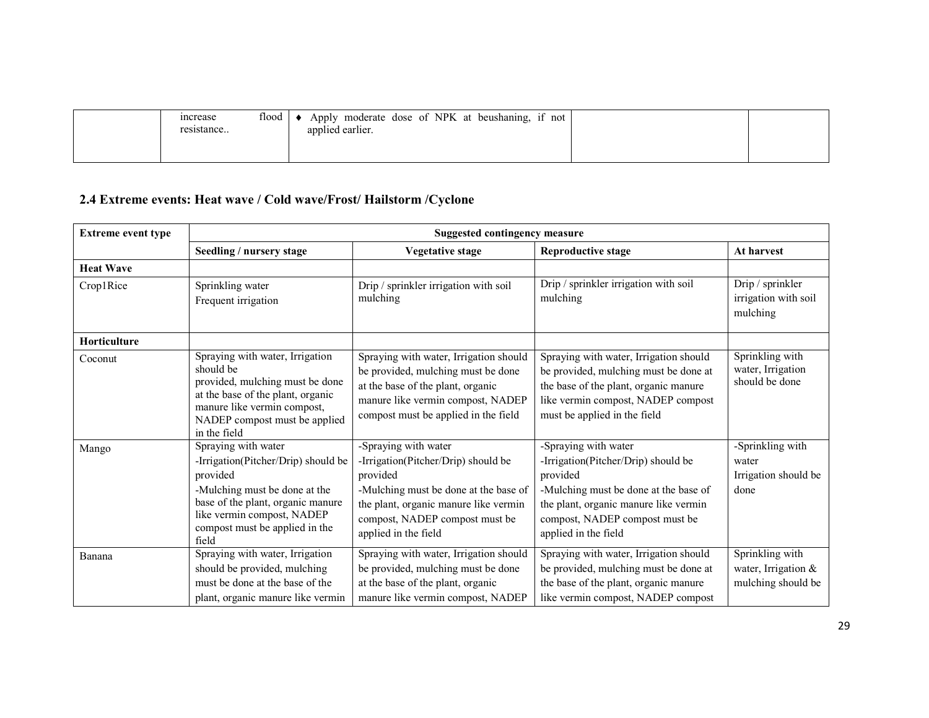| flood  <br>increase<br>resistance | Apply moderate dose of NPK at beushaning, if not<br>applied earlier. |  |
|-----------------------------------|----------------------------------------------------------------------|--|
|                                   |                                                                      |  |

#### 2.4 Extreme events: Heat wave / Cold wave/Frost/ Hailstorm /Cyclone

| <b>Extreme event type</b> | <b>Suggested contingency measure</b>                                                                                                                                                                                  |                                                                                                                                                                                                                     |                                                                                                                                                                                                                     |                                                              |  |  |
|---------------------------|-----------------------------------------------------------------------------------------------------------------------------------------------------------------------------------------------------------------------|---------------------------------------------------------------------------------------------------------------------------------------------------------------------------------------------------------------------|---------------------------------------------------------------------------------------------------------------------------------------------------------------------------------------------------------------------|--------------------------------------------------------------|--|--|
|                           | Seedling / nursery stage                                                                                                                                                                                              | Vegetative stage                                                                                                                                                                                                    | <b>Reproductive stage</b>                                                                                                                                                                                           | <b>At harvest</b>                                            |  |  |
| <b>Heat Wave</b>          |                                                                                                                                                                                                                       |                                                                                                                                                                                                                     |                                                                                                                                                                                                                     |                                                              |  |  |
| Crop1Rice                 | Sprinkling water<br>Frequent irrigation                                                                                                                                                                               | Drip / sprinkler irrigation with soil<br>mulching                                                                                                                                                                   | Drip / sprinkler irrigation with soil<br>mulching                                                                                                                                                                   | Drip / sprinkler<br>irrigation with soil<br>mulching         |  |  |
| <b>Horticulture</b>       |                                                                                                                                                                                                                       |                                                                                                                                                                                                                     |                                                                                                                                                                                                                     |                                                              |  |  |
| Coconut                   | Spraying with water, Irrigation<br>should be<br>provided, mulching must be done<br>at the base of the plant, organic<br>manure like vermin compost,<br>NADEP compost must be applied<br>in the field                  | Spraying with water, Irrigation should<br>be provided, mulching must be done<br>at the base of the plant, organic<br>manure like vermin compost, NADEP<br>compost must be applied in the field                      | Spraying with water, Irrigation should<br>be provided, mulching must be done at<br>the base of the plant, organic manure<br>like vermin compost, NADEP compost<br>must be applied in the field                      | Sprinkling with<br>water, Irrigation<br>should be done       |  |  |
| Mango                     | Spraying with water<br>-Irrigation(Pitcher/Drip) should be<br>provided<br>-Mulching must be done at the<br>base of the plant, organic manure<br>like vermin compost, NADEP<br>compost must be applied in the<br>field | -Spraying with water<br>-Irrigation(Pitcher/Drip) should be<br>provided<br>-Mulching must be done at the base of<br>the plant, organic manure like vermin<br>compost, NADEP compost must be<br>applied in the field | -Spraying with water<br>-Irrigation(Pitcher/Drip) should be<br>provided<br>-Mulching must be done at the base of<br>the plant, organic manure like vermin<br>compost, NADEP compost must be<br>applied in the field | -Sprinkling with<br>water<br>Irrigation should be<br>done    |  |  |
| Banana                    | Spraying with water, Irrigation<br>should be provided, mulching<br>must be done at the base of the<br>plant, organic manure like vermin                                                                               | Spraying with water, Irrigation should<br>be provided, mulching must be done<br>at the base of the plant, organic<br>manure like vermin compost, NADEP                                                              | Spraying with water, Irrigation should<br>be provided, mulching must be done at<br>the base of the plant, organic manure<br>like vermin compost, NADEP compost                                                      | Sprinkling with<br>water, Irrigation &<br>mulching should be |  |  |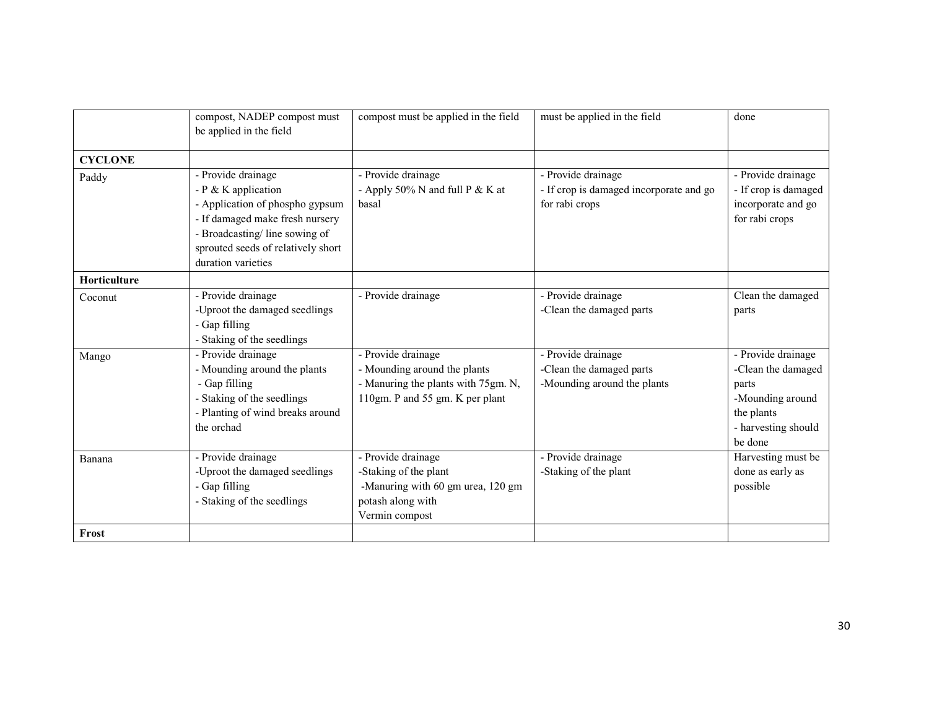|                | compost, NADEP compost must<br>be applied in the field                                                                                                                                                         | compost must be applied in the field                                                                                         | must be applied in the field                                                    | done                                                                                                                  |
|----------------|----------------------------------------------------------------------------------------------------------------------------------------------------------------------------------------------------------------|------------------------------------------------------------------------------------------------------------------------------|---------------------------------------------------------------------------------|-----------------------------------------------------------------------------------------------------------------------|
| <b>CYCLONE</b> |                                                                                                                                                                                                                |                                                                                                                              |                                                                                 |                                                                                                                       |
| Paddy          | - Provide drainage<br>- $P$ & K application<br>- Application of phospho gypsum<br>- If damaged make fresh nursery<br>- Broadcasting/line sowing of<br>sprouted seeds of relatively short<br>duration varieties | - Provide drainage<br>- Apply 50% N and full $P & K$ at<br>basal                                                             | - Provide drainage<br>- If crop is damaged incorporate and go<br>for rabi crops | - Provide drainage<br>- If crop is damaged<br>incorporate and go<br>for rabi crops                                    |
| Horticulture   |                                                                                                                                                                                                                |                                                                                                                              |                                                                                 |                                                                                                                       |
| Coconut        | - Provide drainage<br>-Uproot the damaged seedlings<br>- Gap filling<br>- Staking of the seedlings                                                                                                             | - Provide drainage                                                                                                           | - Provide drainage<br>-Clean the damaged parts                                  | Clean the damaged<br>parts                                                                                            |
| Mango          | - Provide drainage<br>- Mounding around the plants<br>- Gap filling<br>- Staking of the seedlings<br>- Planting of wind breaks around<br>the orchad                                                            | - Provide drainage<br>- Mounding around the plants<br>- Manuring the plants with 75gm. N,<br>110gm. P and 55 gm. K per plant | - Provide drainage<br>-Clean the damaged parts<br>-Mounding around the plants   | - Provide drainage<br>-Clean the damaged<br>parts<br>-Mounding around<br>the plants<br>- harvesting should<br>be done |
| Banana         | - Provide drainage<br>-Uproot the damaged seedlings<br>- Gap filling<br>- Staking of the seedlings                                                                                                             | - Provide drainage<br>-Staking of the plant<br>-Manuring with 60 gm urea, 120 gm<br>potash along with<br>Vermin compost      | - Provide drainage<br>-Staking of the plant                                     | Harvesting must be<br>done as early as<br>possible                                                                    |
| Frost          |                                                                                                                                                                                                                |                                                                                                                              |                                                                                 |                                                                                                                       |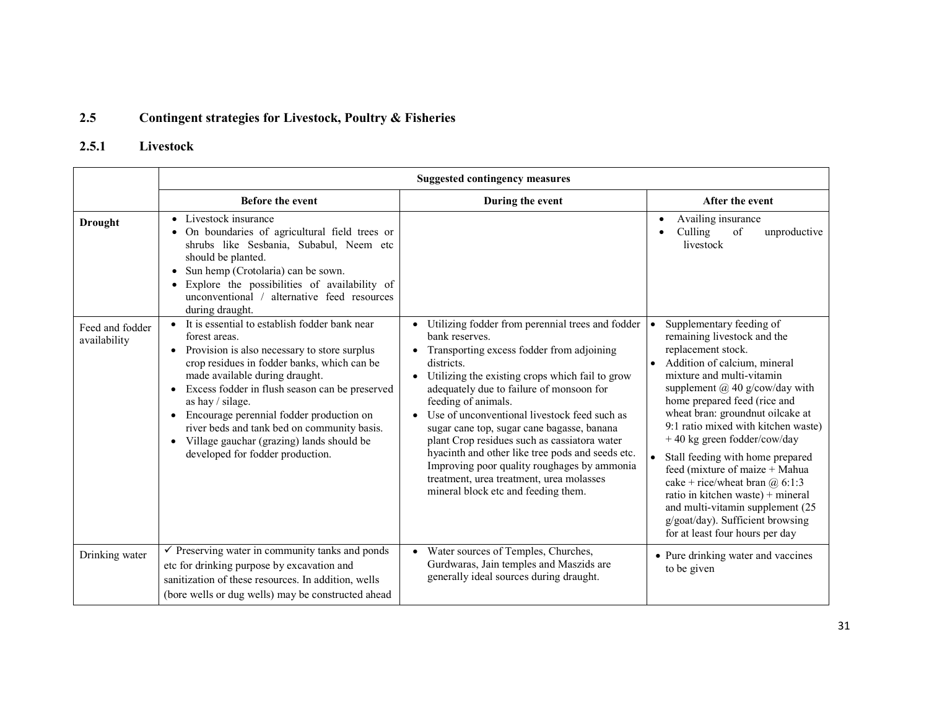#### 2.5Contingent strategies for Livestock, Poultry & Fisheries

### 2.5.1 Livestock

|                                 | <b>Suggested contingency measures</b>                                                                                                                                                                                                                                                                                                                                                                                                                                                     |                                                                                                                                                                                                                                                                                                                                                                                                                                                                                                                                                                                         |                                                                                                                                                                                                                                                                                                                                                                                                                                                                                                                                                                                                         |  |  |
|---------------------------------|-------------------------------------------------------------------------------------------------------------------------------------------------------------------------------------------------------------------------------------------------------------------------------------------------------------------------------------------------------------------------------------------------------------------------------------------------------------------------------------------|-----------------------------------------------------------------------------------------------------------------------------------------------------------------------------------------------------------------------------------------------------------------------------------------------------------------------------------------------------------------------------------------------------------------------------------------------------------------------------------------------------------------------------------------------------------------------------------------|---------------------------------------------------------------------------------------------------------------------------------------------------------------------------------------------------------------------------------------------------------------------------------------------------------------------------------------------------------------------------------------------------------------------------------------------------------------------------------------------------------------------------------------------------------------------------------------------------------|--|--|
|                                 | <b>Before the event</b>                                                                                                                                                                                                                                                                                                                                                                                                                                                                   | During the event                                                                                                                                                                                                                                                                                                                                                                                                                                                                                                                                                                        | After the event                                                                                                                                                                                                                                                                                                                                                                                                                                                                                                                                                                                         |  |  |
| <b>Drought</b>                  | Livestock insurance<br>$\bullet$<br>On boundaries of agricultural field trees or<br>shrubs like Sesbania, Subabul, Neem etc<br>should be planted.<br>Sun hemp (Crotolaria) can be sown.<br>$\bullet$<br>Explore the possibilities of availability of<br>unconventional /<br>alternative feed resources<br>during draught.                                                                                                                                                                 |                                                                                                                                                                                                                                                                                                                                                                                                                                                                                                                                                                                         | Availing insurance<br>of<br>Culling<br>unproductive<br>livestock                                                                                                                                                                                                                                                                                                                                                                                                                                                                                                                                        |  |  |
| Feed and fodder<br>availability | It is essential to establish fodder bank near<br>$\bullet$<br>forest areas.<br>Provision is also necessary to store surplus<br>crop residues in fodder banks, which can be<br>made available during draught.<br>Excess fodder in flush season can be preserved<br>as hay $\frac{1}{3}$ silage.<br>• Encourage perennial fodder production on<br>river beds and tank bed on community basis.<br>Village gauchar (grazing) lands should be<br>$\bullet$<br>developed for fodder production. | Utilizing fodder from perennial trees and fodder<br>bank reserves.<br>Transporting excess fodder from adjoining<br>districts.<br>Utilizing the existing crops which fail to grow<br>adequately due to failure of monsoon for<br>feeding of animals.<br>Use of unconventional livestock feed such as<br>sugar cane top, sugar cane bagasse, banana<br>plant Crop residues such as cassiatora water<br>hyacinth and other like tree pods and seeds etc.<br>Improving poor quality roughages by ammonia<br>treatment, urea treatment, urea molasses<br>mineral block etc and feeding them. | Supplementary feeding of<br>remaining livestock and the<br>replacement stock.<br>Addition of calcium, mineral<br>$\bullet$<br>mixture and multi-vitamin<br>supplement $(a)$ 40 g/cow/day with<br>home prepared feed (rice and<br>wheat bran: groundnut oilcake at<br>9:1 ratio mixed with kitchen waste)<br>+40 kg green fodder/cow/day<br>Stall feeding with home prepared<br>feed (mixture of maize + Mahua<br>cake + rice/wheat bran $\omega$ 6:1:3<br>ratio in kitchen waste) + mineral<br>and multi-vitamin supplement (25)<br>g/goat/day). Sufficient browsing<br>for at least four hours per day |  |  |
| Drinking water                  | $\checkmark$ Preserving water in community tanks and ponds<br>etc for drinking purpose by excavation and<br>sanitization of these resources. In addition, wells<br>(bore wells or dug wells) may be constructed ahead                                                                                                                                                                                                                                                                     | Water sources of Temples, Churches,<br>$\bullet$<br>Gurdwaras, Jain temples and Maszids are<br>generally ideal sources during draught.                                                                                                                                                                                                                                                                                                                                                                                                                                                  | • Pure drinking water and vaccines<br>to be given                                                                                                                                                                                                                                                                                                                                                                                                                                                                                                                                                       |  |  |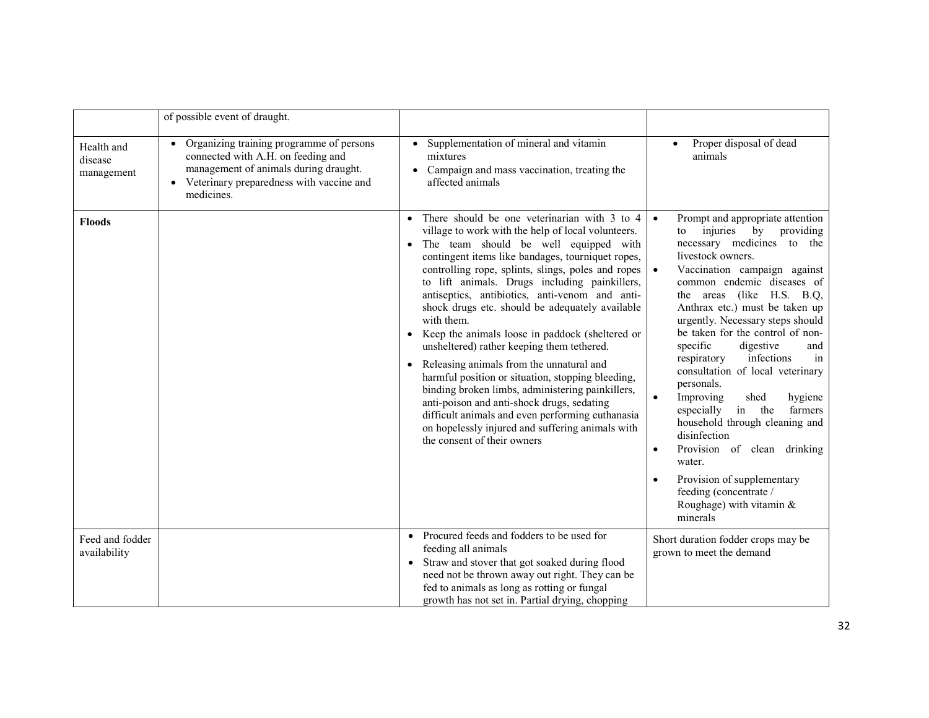|                                     | of possible event of draught.                                                                                                                                                         |                                                                                                                                                                                                                                                                                                                                                                                                                                                                                                                                                                                                                                                                                                                                                                                                                                                                                                     |                                                                                                                                                                                                                                                                                                                                                                                                                                                                                                                                                                                                                                                                                                                                                                                |
|-------------------------------------|---------------------------------------------------------------------------------------------------------------------------------------------------------------------------------------|-----------------------------------------------------------------------------------------------------------------------------------------------------------------------------------------------------------------------------------------------------------------------------------------------------------------------------------------------------------------------------------------------------------------------------------------------------------------------------------------------------------------------------------------------------------------------------------------------------------------------------------------------------------------------------------------------------------------------------------------------------------------------------------------------------------------------------------------------------------------------------------------------------|--------------------------------------------------------------------------------------------------------------------------------------------------------------------------------------------------------------------------------------------------------------------------------------------------------------------------------------------------------------------------------------------------------------------------------------------------------------------------------------------------------------------------------------------------------------------------------------------------------------------------------------------------------------------------------------------------------------------------------------------------------------------------------|
| Health and<br>disease<br>management | • Organizing training programme of persons<br>connected with A.H. on feeding and<br>management of animals during draught.<br>• Veterinary preparedness with vaccine and<br>medicines. | • Supplementation of mineral and vitamin<br>mixtures<br>Campaign and mass vaccination, treating the<br>affected animals                                                                                                                                                                                                                                                                                                                                                                                                                                                                                                                                                                                                                                                                                                                                                                             | Proper disposal of dead<br>$\bullet$<br>animals                                                                                                                                                                                                                                                                                                                                                                                                                                                                                                                                                                                                                                                                                                                                |
| <b>Floods</b>                       |                                                                                                                                                                                       | • There should be one veterinarian with $\overline{3}$ to 4<br>village to work with the help of local volunteers.<br>• The team should be well equipped with<br>contingent items like bandages, tourniquet ropes,<br>controlling rope, splints, slings, poles and ropes<br>to lift animals. Drugs including painkillers,<br>antiseptics, antibiotics, anti-venom and anti-<br>shock drugs etc. should be adequately available<br>with them.<br>Keep the animals loose in paddock (sheltered or<br>unsheltered) rather keeping them tethered.<br>Releasing animals from the unnatural and<br>$\bullet$<br>harmful position or situation, stopping bleeding,<br>binding broken limbs, administering painkillers,<br>anti-poison and anti-shock drugs, sedating<br>difficult animals and even performing euthanasia<br>on hopelessly injured and suffering animals with<br>the consent of their owners | Prompt and appropriate attention<br>$\bullet$<br>injuries by<br>providing<br>to<br>necessary medicines to the<br>livestock owners.<br>Vaccination campaign against<br>$\bullet$<br>common endemic diseases of<br>the areas (like H.S. B.Q,<br>Anthrax etc.) must be taken up<br>urgently. Necessary steps should<br>be taken for the control of non-<br>specific<br>digestive<br>and<br>respiratory<br>infections<br>in<br>consultation of local veterinary<br>personals.<br>Improving<br>$\bullet$<br>shed<br>hygiene<br>especially<br>in the<br>farmers<br>household through cleaning and<br>disinfection<br>Provision of clean drinking<br>$\bullet$<br>water.<br>Provision of supplementary<br>$\bullet$<br>feeding (concentrate /<br>Roughage) with vitamin &<br>minerals |
| Feed and fodder<br>availability     |                                                                                                                                                                                       | Procured feeds and fodders to be used for<br>feeding all animals<br>Straw and stover that got soaked during flood<br>need not be thrown away out right. They can be<br>fed to animals as long as rotting or fungal<br>growth has not set in. Partial drying, chopping                                                                                                                                                                                                                                                                                                                                                                                                                                                                                                                                                                                                                               | Short duration fodder crops may be<br>grown to meet the demand                                                                                                                                                                                                                                                                                                                                                                                                                                                                                                                                                                                                                                                                                                                 |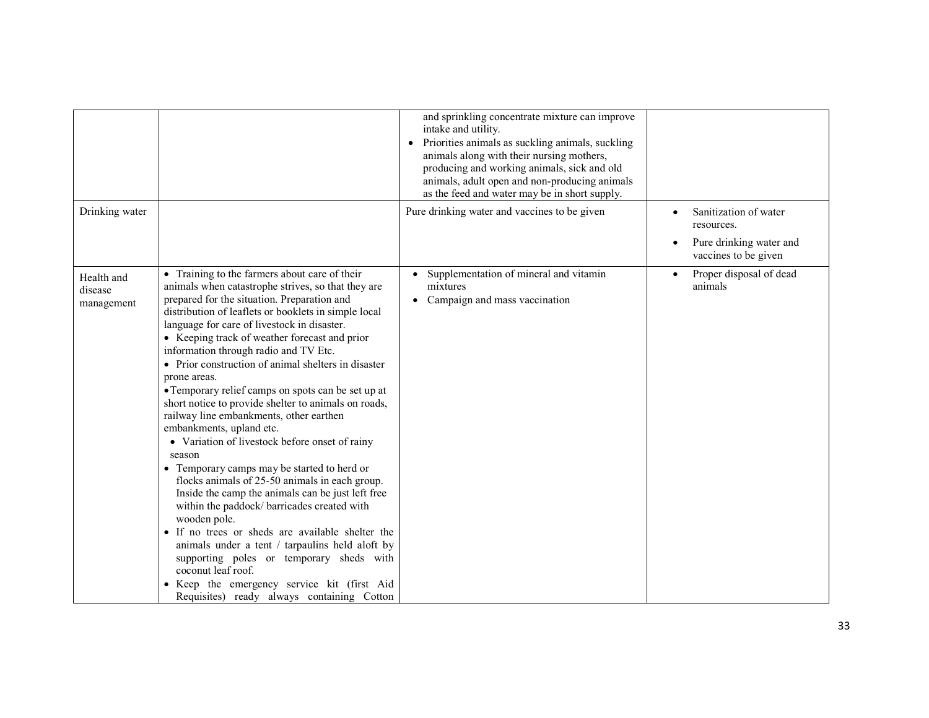|                                     |                                                                                                                                                                                                                                                                                                                                                                                                                                                                                                                                                                                                                                                                                                                                                                                                                                                                                                                                                                                                                                                                                                                                                                        | and sprinkling concentrate mixture can improve<br>intake and utility.<br>Priorities animals as suckling animals, suckling<br>$\bullet$<br>animals along with their nursing mothers,<br>producing and working animals, sick and old<br>animals, adult open and non-producing animals<br>as the feed and water may be in short supply. |                                                                                                                  |
|-------------------------------------|------------------------------------------------------------------------------------------------------------------------------------------------------------------------------------------------------------------------------------------------------------------------------------------------------------------------------------------------------------------------------------------------------------------------------------------------------------------------------------------------------------------------------------------------------------------------------------------------------------------------------------------------------------------------------------------------------------------------------------------------------------------------------------------------------------------------------------------------------------------------------------------------------------------------------------------------------------------------------------------------------------------------------------------------------------------------------------------------------------------------------------------------------------------------|--------------------------------------------------------------------------------------------------------------------------------------------------------------------------------------------------------------------------------------------------------------------------------------------------------------------------------------|------------------------------------------------------------------------------------------------------------------|
| Drinking water                      |                                                                                                                                                                                                                                                                                                                                                                                                                                                                                                                                                                                                                                                                                                                                                                                                                                                                                                                                                                                                                                                                                                                                                                        | Pure drinking water and vaccines to be given                                                                                                                                                                                                                                                                                         | Sanitization of water<br>$\bullet$<br>resources.<br>Pure drinking water and<br>$\bullet$<br>vaccines to be given |
| Health and<br>disease<br>management | • Training to the farmers about care of their<br>animals when catastrophe strives, so that they are<br>prepared for the situation. Preparation and<br>distribution of leaflets or booklets in simple local<br>language for care of livestock in disaster.<br>• Keeping track of weather forecast and prior<br>information through radio and TV Etc.<br>• Prior construction of animal shelters in disaster<br>prone areas.<br>• Temporary relief camps on spots can be set up at<br>short notice to provide shelter to animals on roads,<br>railway line embankments, other earthen<br>embankments, upland etc.<br>• Variation of livestock before onset of rainy<br>season<br>• Temporary camps may be started to herd or<br>flocks animals of 25-50 animals in each group.<br>Inside the camp the animals can be just left free<br>within the paddock/ barricades created with<br>wooden pole.<br>• If no trees or sheds are available shelter the<br>animals under a tent / tarpaulins held aloft by<br>supporting poles or temporary sheds with<br>coconut leaf roof.<br>• Keep the emergency service kit (first Aid<br>Requisites) ready always containing Cotton | Supplementation of mineral and vitamin<br>mixtures<br>Campaign and mass vaccination                                                                                                                                                                                                                                                  | Proper disposal of dead<br>animals                                                                               |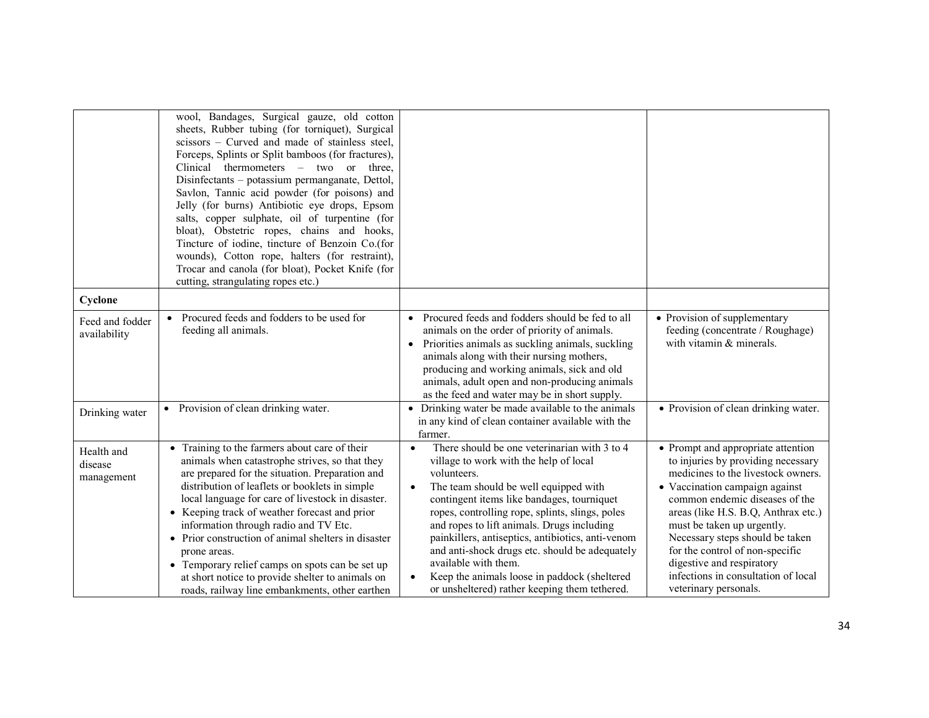|                                     | wool, Bandages, Surgical gauze, old cotton<br>sheets, Rubber tubing (for torniquet), Surgical<br>scissors - Curved and made of stainless steel,<br>Forceps, Splints or Split bamboos (for fractures),<br>Clinical thermometers - two or three,<br>Disinfectants - potassium permanganate, Dettol,<br>Savlon, Tannic acid powder (for poisons) and<br>Jelly (for burns) Antibiotic eye drops, Epsom<br>salts, copper sulphate, oil of turpentine (for<br>bloat), Obstetric ropes, chains and hooks,<br>Tincture of iodine, tincture of Benzoin Co.(for<br>wounds), Cotton rope, halters (for restraint),<br>Trocar and canola (for bloat), Pocket Knife (for<br>cutting, strangulating ropes etc.) |                                                                                                                                                                                                                                                                                                                                                                                                                                                                                                                               |                                                                                                                                                                                                                                                                                                                                                                                                                            |
|-------------------------------------|---------------------------------------------------------------------------------------------------------------------------------------------------------------------------------------------------------------------------------------------------------------------------------------------------------------------------------------------------------------------------------------------------------------------------------------------------------------------------------------------------------------------------------------------------------------------------------------------------------------------------------------------------------------------------------------------------|-------------------------------------------------------------------------------------------------------------------------------------------------------------------------------------------------------------------------------------------------------------------------------------------------------------------------------------------------------------------------------------------------------------------------------------------------------------------------------------------------------------------------------|----------------------------------------------------------------------------------------------------------------------------------------------------------------------------------------------------------------------------------------------------------------------------------------------------------------------------------------------------------------------------------------------------------------------------|
| Cyclone                             |                                                                                                                                                                                                                                                                                                                                                                                                                                                                                                                                                                                                                                                                                                   |                                                                                                                                                                                                                                                                                                                                                                                                                                                                                                                               |                                                                                                                                                                                                                                                                                                                                                                                                                            |
| Feed and fodder<br>availability     | Procured feeds and fodders to be used for<br>feeding all animals.                                                                                                                                                                                                                                                                                                                                                                                                                                                                                                                                                                                                                                 | Procured feeds and fodders should be fed to all<br>animals on the order of priority of animals.<br>Priorities animals as suckling animals, suckling<br>animals along with their nursing mothers,<br>producing and working animals, sick and old<br>animals, adult open and non-producing animals<br>as the feed and water may be in short supply.                                                                                                                                                                             | • Provision of supplementary<br>feeding (concentrate / Roughage)<br>with vitamin $&$ minerals.                                                                                                                                                                                                                                                                                                                             |
| Drinking water                      | Provision of clean drinking water.<br>$\bullet$                                                                                                                                                                                                                                                                                                                                                                                                                                                                                                                                                                                                                                                   | Drinking water be made available to the animals<br>in any kind of clean container available with the<br>farmer.                                                                                                                                                                                                                                                                                                                                                                                                               | • Provision of clean drinking water.                                                                                                                                                                                                                                                                                                                                                                                       |
| Health and<br>disease<br>management | Training to the farmers about care of their<br>animals when catastrophe strives, so that they<br>are prepared for the situation. Preparation and<br>distribution of leaflets or booklets in simple<br>local language for care of livestock in disaster.<br>• Keeping track of weather forecast and prior<br>information through radio and TV Etc.<br>• Prior construction of animal shelters in disaster<br>prone areas.<br>• Temporary relief camps on spots can be set up<br>at short notice to provide shelter to animals on<br>roads, railway line embankments, other earthen                                                                                                                 | There should be one veterinarian with 3 to 4<br>village to work with the help of local<br>volunteers.<br>The team should be well equipped with<br>contingent items like bandages, tourniquet<br>ropes, controlling rope, splints, slings, poles<br>and ropes to lift animals. Drugs including<br>painkillers, antiseptics, antibiotics, anti-venom<br>and anti-shock drugs etc. should be adequately<br>available with them.<br>Keep the animals loose in paddock (sheltered<br>or unsheltered) rather keeping them tethered. | • Prompt and appropriate attention<br>to injuries by providing necessary<br>medicines to the livestock owners.<br>• Vaccination campaign against<br>common endemic diseases of the<br>areas (like H.S. B.Q, Anthrax etc.)<br>must be taken up urgently.<br>Necessary steps should be taken<br>for the control of non-specific<br>digestive and respiratory<br>infections in consultation of local<br>veterinary personals. |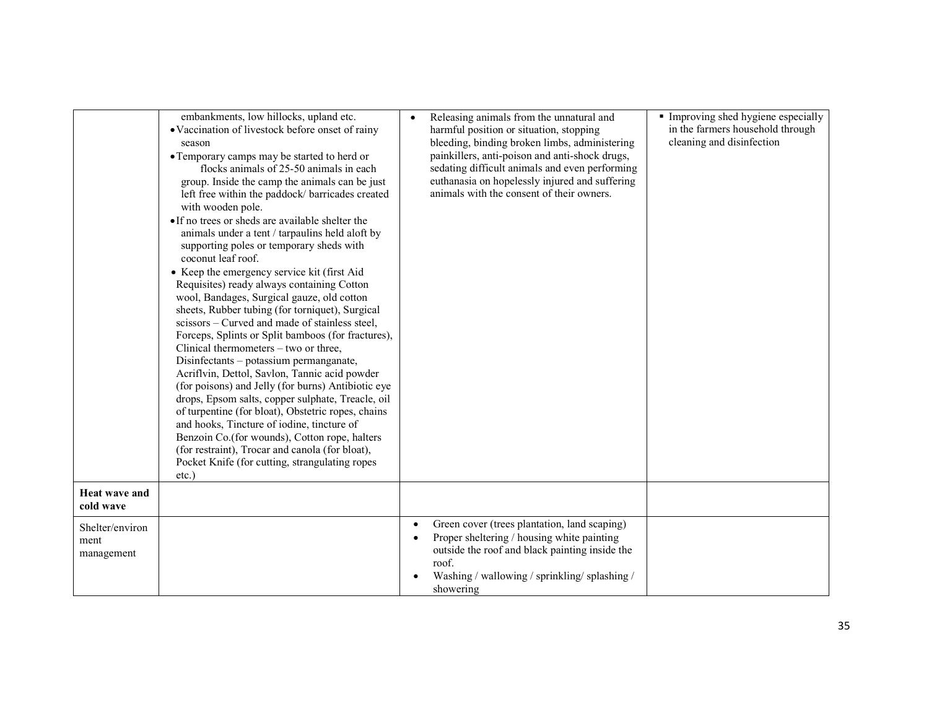|                                       | embankments, low hillocks, upland etc.<br>• Vaccination of livestock before onset of rainy<br>season<br>• Temporary camps may be started to herd or<br>flocks animals of 25-50 animals in each<br>group. Inside the camp the animals can be just<br>left free within the paddock/ barricades created<br>with wooden pole.<br>• If no trees or sheds are available shelter the<br>animals under a tent / tarpaulins held aloft by<br>supporting poles or temporary sheds with<br>coconut leaf roof.<br>• Keep the emergency service kit (first Aid)<br>Requisites) ready always containing Cotton<br>wool, Bandages, Surgical gauze, old cotton<br>sheets, Rubber tubing (for torniquet), Surgical<br>scissors – Curved and made of stainless steel,<br>Forceps, Splints or Split bamboos (for fractures),<br>Clinical thermometers – two or three,<br>Disinfectants - potassium permanganate,<br>Acriflvin, Dettol, Savlon, Tannic acid powder<br>(for poisons) and Jelly (for burns) Antibiotic eye<br>drops, Epsom salts, copper sulphate, Treacle, oil<br>of turpentine (for bloat), Obstetric ropes, chains<br>and hooks, Tincture of iodine, tincture of<br>Benzoin Co.(for wounds), Cotton rope, halters<br>(for restraint), Trocar and canola (for bloat),<br>Pocket Knife (for cutting, strangulating ropes<br>$etc.$ ) | Releasing animals from the unnatural and<br>harmful position or situation, stopping<br>bleeding, binding broken limbs, administering<br>painkillers, anti-poison and anti-shock drugs,<br>sedating difficult animals and even performing<br>euthanasia on hopelessly injured and suffering<br>animals with the consent of their owners. | Improving shed hygiene especially<br>in the farmers household through<br>cleaning and disinfection |
|---------------------------------------|---------------------------------------------------------------------------------------------------------------------------------------------------------------------------------------------------------------------------------------------------------------------------------------------------------------------------------------------------------------------------------------------------------------------------------------------------------------------------------------------------------------------------------------------------------------------------------------------------------------------------------------------------------------------------------------------------------------------------------------------------------------------------------------------------------------------------------------------------------------------------------------------------------------------------------------------------------------------------------------------------------------------------------------------------------------------------------------------------------------------------------------------------------------------------------------------------------------------------------------------------------------------------------------------------------------------------------|-----------------------------------------------------------------------------------------------------------------------------------------------------------------------------------------------------------------------------------------------------------------------------------------------------------------------------------------|----------------------------------------------------------------------------------------------------|
| <b>Heat wave and</b><br>cold wave     |                                                                                                                                                                                                                                                                                                                                                                                                                                                                                                                                                                                                                                                                                                                                                                                                                                                                                                                                                                                                                                                                                                                                                                                                                                                                                                                                 |                                                                                                                                                                                                                                                                                                                                         |                                                                                                    |
| Shelter/environ<br>ment<br>management |                                                                                                                                                                                                                                                                                                                                                                                                                                                                                                                                                                                                                                                                                                                                                                                                                                                                                                                                                                                                                                                                                                                                                                                                                                                                                                                                 | Green cover (trees plantation, land scaping)<br>Proper sheltering / housing white painting<br>outside the roof and black painting inside the<br>roof.<br>Washing / wallowing / sprinkling/ splashing /<br>showering                                                                                                                     |                                                                                                    |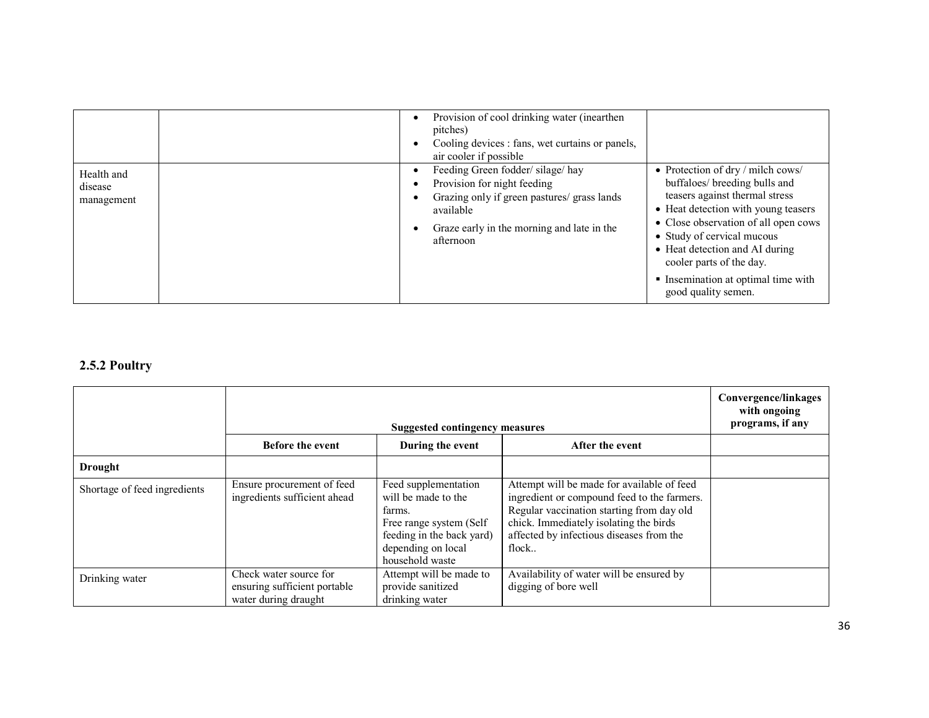|                                     | Provision of cool drinking water (inearthen<br>pitches)<br>Cooling devices : fans, wet curtains or panels,<br>air cooler if possible                                                  |                                                                                                                                                                                                                                                                                                                                                         |
|-------------------------------------|---------------------------------------------------------------------------------------------------------------------------------------------------------------------------------------|---------------------------------------------------------------------------------------------------------------------------------------------------------------------------------------------------------------------------------------------------------------------------------------------------------------------------------------------------------|
| Health and<br>disease<br>management | Feeding Green fodder/silage/hay<br>Provision for night feeding<br>Grazing only if green pastures/ grass lands<br>available<br>Graze early in the morning and late in the<br>afternoon | • Protection of $\frac{dy}{dy}$ milch cows/<br>buffaloes/ breeding bulls and<br>teasers against thermal stress<br>• Heat detection with young teasers<br>• Close observation of all open cows<br>• Study of cervical mucous<br>• Heat detection and AI during<br>cooler parts of the day.<br>• Insemination at optimal time with<br>good quality semen. |

#### 2.5.2 Poultry

|                              | Suggested contingency measures                                                 |                                                                                                                                                        |                                                                                                                                                                                                                                       | Convergence/linkages<br>with ongoing<br>programs, if any |
|------------------------------|--------------------------------------------------------------------------------|--------------------------------------------------------------------------------------------------------------------------------------------------------|---------------------------------------------------------------------------------------------------------------------------------------------------------------------------------------------------------------------------------------|----------------------------------------------------------|
|                              | <b>Before the event</b>                                                        | During the event                                                                                                                                       | After the event                                                                                                                                                                                                                       |                                                          |
| <b>Drought</b>               |                                                                                |                                                                                                                                                        |                                                                                                                                                                                                                                       |                                                          |
| Shortage of feed ingredients | Ensure procurement of feed<br>ingredients sufficient ahead                     | Feed supplementation<br>will be made to the<br>farms.<br>Free range system (Self<br>feeding in the back yard)<br>depending on local<br>household waste | Attempt will be made for available of feed<br>ingredient or compound feed to the farmers.<br>Regular vaccination starting from day old<br>chick. Immediately isolating the birds<br>affected by infectious diseases from the<br>flock |                                                          |
| Drinking water               | Check water source for<br>ensuring sufficient portable<br>water during draught | Attempt will be made to<br>provide sanitized<br>drinking water                                                                                         | Availability of water will be ensured by<br>digging of bore well                                                                                                                                                                      |                                                          |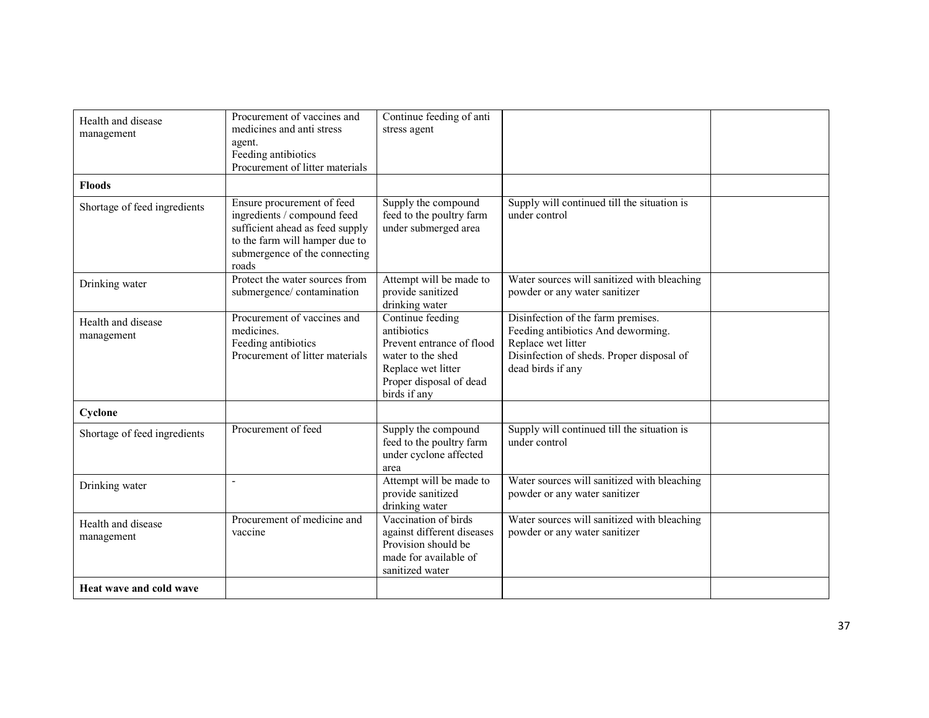| Health and disease<br>management | Procurement of vaccines and<br>medicines and anti stress<br>agent.<br>Feeding antibiotics<br>Procurement of litter materials                                             | Continue feeding of anti<br>stress agent                                                                                                           |                                                                                                                                                                  |  |
|----------------------------------|--------------------------------------------------------------------------------------------------------------------------------------------------------------------------|----------------------------------------------------------------------------------------------------------------------------------------------------|------------------------------------------------------------------------------------------------------------------------------------------------------------------|--|
| <b>Floods</b>                    |                                                                                                                                                                          |                                                                                                                                                    |                                                                                                                                                                  |  |
| Shortage of feed ingredients     | Ensure procurement of feed<br>ingredients / compound feed<br>sufficient ahead as feed supply<br>to the farm will hamper due to<br>submergence of the connecting<br>roads | Supply the compound<br>feed to the poultry farm<br>under submerged area                                                                            | Supply will continued till the situation is<br>under control                                                                                                     |  |
| Drinking water                   | Protect the water sources from<br>submergence/contamination                                                                                                              | Attempt will be made to<br>provide sanitized<br>drinking water                                                                                     | Water sources will sanitized with bleaching<br>powder or any water sanitizer                                                                                     |  |
| Health and disease<br>management | Procurement of vaccines and<br>medicines.<br>Feeding antibiotics<br>Procurement of litter materials                                                                      | Continue feeding<br>antibiotics<br>Prevent entrance of flood<br>water to the shed<br>Replace wet litter<br>Proper disposal of dead<br>birds if any | Disinfection of the farm premises.<br>Feeding antibiotics And deworming.<br>Replace wet litter<br>Disinfection of sheds. Proper disposal of<br>dead birds if any |  |
| Cyclone                          |                                                                                                                                                                          |                                                                                                                                                    |                                                                                                                                                                  |  |
| Shortage of feed ingredients     | Procurement of feed                                                                                                                                                      | Supply the compound<br>feed to the poultry farm<br>under cyclone affected<br>area                                                                  | Supply will continued till the situation is<br>under control                                                                                                     |  |
| Drinking water                   |                                                                                                                                                                          | Attempt will be made to<br>provide sanitized<br>drinking water                                                                                     | Water sources will sanitized with bleaching<br>powder or any water sanitizer                                                                                     |  |
| Health and disease<br>management | Procurement of medicine and<br>vaccine                                                                                                                                   | Vaccination of birds<br>against different diseases<br>Provision should be<br>made for available of<br>sanitized water                              | Water sources will sanitized with bleaching<br>powder or any water sanitizer                                                                                     |  |
| Heat wave and cold wave          |                                                                                                                                                                          |                                                                                                                                                    |                                                                                                                                                                  |  |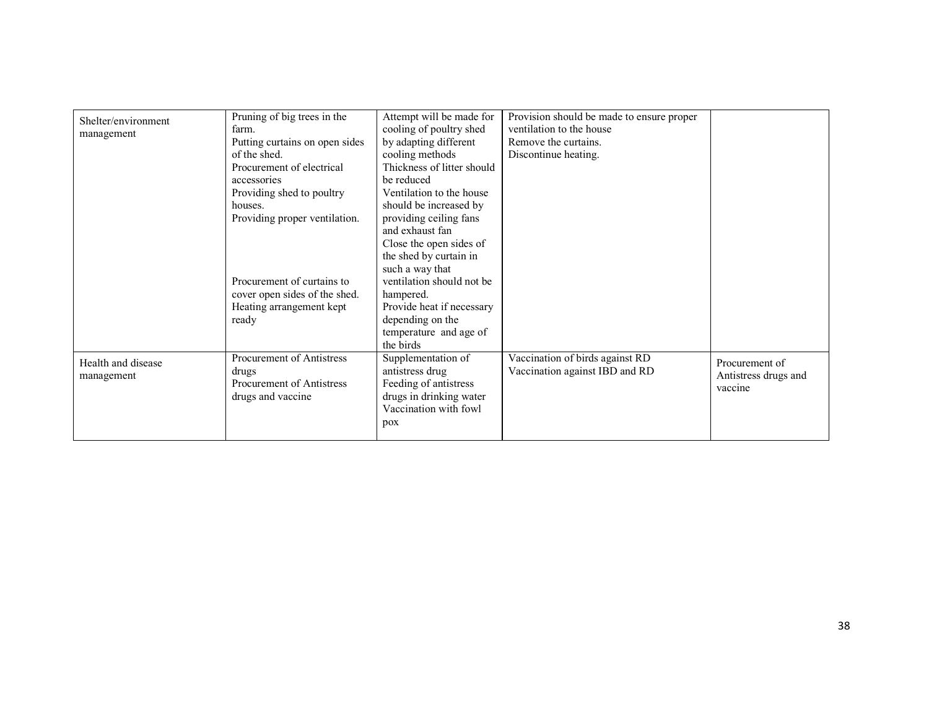|                     | Pruning of big trees in the    | Attempt will be made for   | Provision should be made to ensure proper |                      |
|---------------------|--------------------------------|----------------------------|-------------------------------------------|----------------------|
| Shelter/environment | farm.                          | cooling of poultry shed    | ventilation to the house                  |                      |
| management          | Putting curtains on open sides | by adapting different      | Remove the curtains.                      |                      |
|                     | of the shed.                   | cooling methods            |                                           |                      |
|                     |                                |                            | Discontinue heating.                      |                      |
|                     | Procurement of electrical      | Thickness of litter should |                                           |                      |
|                     | accessories                    | be reduced                 |                                           |                      |
|                     | Providing shed to poultry      | Ventilation to the house   |                                           |                      |
|                     | houses.                        | should be increased by     |                                           |                      |
|                     | Providing proper ventilation.  | providing ceiling fans     |                                           |                      |
|                     |                                | and exhaust fan            |                                           |                      |
|                     |                                | Close the open sides of    |                                           |                      |
|                     |                                | the shed by curtain in     |                                           |                      |
|                     |                                | such a way that            |                                           |                      |
|                     | Procurement of curtains to     | ventilation should not be. |                                           |                      |
|                     | cover open sides of the shed.  | hampered.                  |                                           |                      |
|                     |                                |                            |                                           |                      |
|                     | Heating arrangement kept       | Provide heat if necessary  |                                           |                      |
|                     | ready                          | depending on the           |                                           |                      |
|                     |                                | temperature and age of     |                                           |                      |
|                     |                                | the birds                  |                                           |                      |
| Health and disease  | Procurement of Antistress      | Supplementation of         | Vaccination of birds against RD           | Procurement of       |
| management          | drugs                          | antistress drug            | Vaccination against IBD and RD            | Antistress drugs and |
|                     | Procurement of Antistress      | Feeding of antistress      |                                           | vaccine              |
|                     | drugs and vaccine              | drugs in drinking water    |                                           |                      |
|                     |                                | Vaccination with fowl      |                                           |                      |
|                     |                                |                            |                                           |                      |
|                     |                                | pox                        |                                           |                      |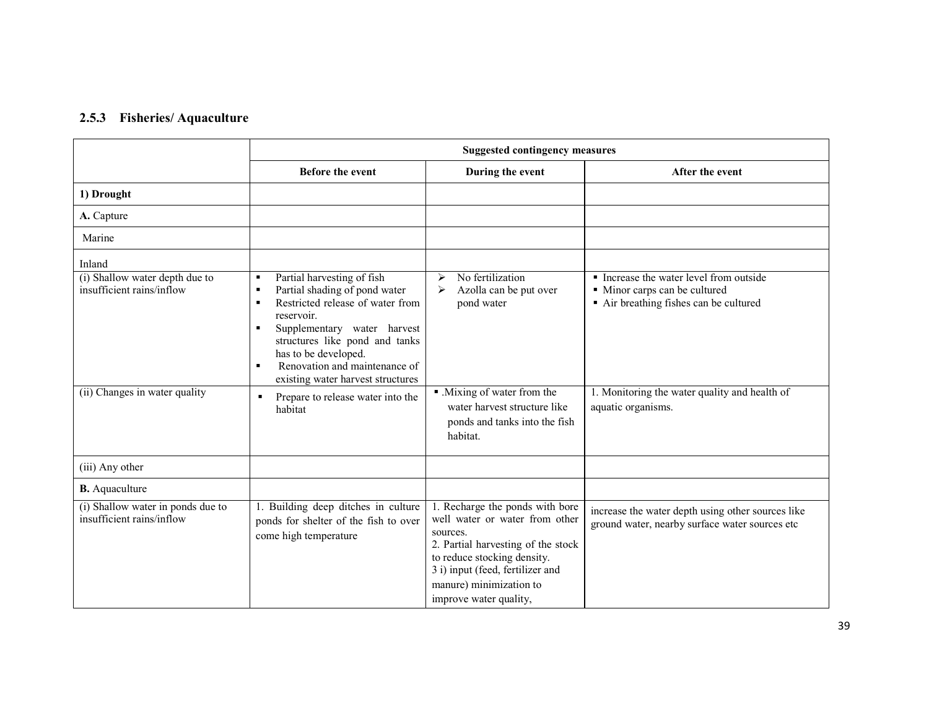#### 2.5.3 Fisheries/ Aquaculture

|                                                                                                        | <b>Suggested contingency measures</b>                                                                                                                                                                                                                                                                                                                                                                          |                                                                                                                                                                                                                                             |                                                                                                                                                                                         |
|--------------------------------------------------------------------------------------------------------|----------------------------------------------------------------------------------------------------------------------------------------------------------------------------------------------------------------------------------------------------------------------------------------------------------------------------------------------------------------------------------------------------------------|---------------------------------------------------------------------------------------------------------------------------------------------------------------------------------------------------------------------------------------------|-----------------------------------------------------------------------------------------------------------------------------------------------------------------------------------------|
|                                                                                                        | <b>Before the event</b>                                                                                                                                                                                                                                                                                                                                                                                        | During the event                                                                                                                                                                                                                            | After the event                                                                                                                                                                         |
| 1) Drought                                                                                             |                                                                                                                                                                                                                                                                                                                                                                                                                |                                                                                                                                                                                                                                             |                                                                                                                                                                                         |
| A. Capture                                                                                             |                                                                                                                                                                                                                                                                                                                                                                                                                |                                                                                                                                                                                                                                             |                                                                                                                                                                                         |
| Marine                                                                                                 |                                                                                                                                                                                                                                                                                                                                                                                                                |                                                                                                                                                                                                                                             |                                                                                                                                                                                         |
| Inland<br>(i) Shallow water depth due to<br>insufficient rains/inflow<br>(ii) Changes in water quality | Partial harvesting of fish<br>٠<br>Partial shading of pond water<br>٠<br>Restricted release of water from<br>$\blacksquare$<br>reservoir.<br>Supplementary water harvest<br>$\blacksquare$<br>structures like pond and tanks<br>has to be developed.<br>Renovation and maintenance of<br>$\blacksquare$<br>existing water harvest structures<br>Prepare to release water into the<br>$\blacksquare$<br>habitat | No fertilization<br>$\blacktriangleright$<br>Azolla can be put over<br>➤<br>pond water<br>• Mixing of water from the<br>water harvest structure like<br>ponds and tanks into the fish<br>habitat.                                           | • Increase the water level from outside<br>• Minor carps can be cultured<br>Air breathing fishes can be cultured<br>1. Monitoring the water quality and health of<br>aquatic organisms. |
| (iii) Any other                                                                                        |                                                                                                                                                                                                                                                                                                                                                                                                                |                                                                                                                                                                                                                                             |                                                                                                                                                                                         |
| <b>B.</b> Aquaculture                                                                                  |                                                                                                                                                                                                                                                                                                                                                                                                                |                                                                                                                                                                                                                                             |                                                                                                                                                                                         |
| (i) Shallow water in ponds due to<br>insufficient rains/inflow                                         | 1. Building deep ditches in culture<br>ponds for shelter of the fish to over<br>come high temperature                                                                                                                                                                                                                                                                                                          | 1. Recharge the ponds with bore<br>well water or water from other<br>sources.<br>2. Partial harvesting of the stock<br>to reduce stocking density.<br>3 i) input (feed, fertilizer and<br>manure) minimization to<br>improve water quality, | increase the water depth using other sources like<br>ground water, nearby surface water sources etc                                                                                     |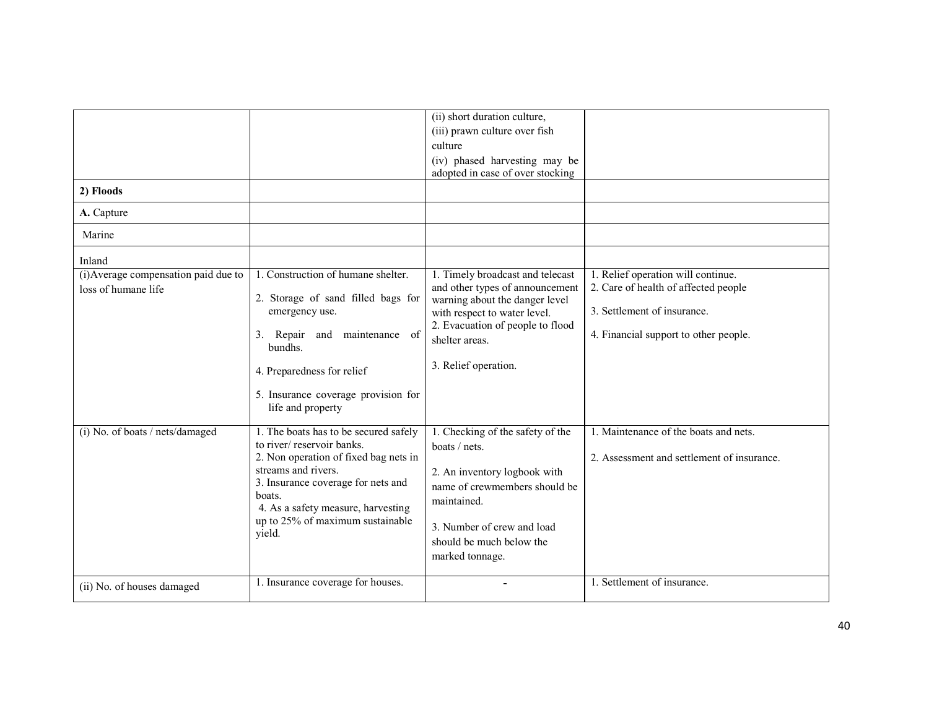| 2) Floods<br>A. Capture<br>Marine                                     |                                                                                                                                                                                                                                                                        | (ii) short duration culture,<br>(iii) prawn culture over fish<br>culture<br>(iv) phased harvesting may be<br>adopted in case of over stocking                                                                       |                                                                                                                                                    |
|-----------------------------------------------------------------------|------------------------------------------------------------------------------------------------------------------------------------------------------------------------------------------------------------------------------------------------------------------------|---------------------------------------------------------------------------------------------------------------------------------------------------------------------------------------------------------------------|----------------------------------------------------------------------------------------------------------------------------------------------------|
|                                                                       |                                                                                                                                                                                                                                                                        |                                                                                                                                                                                                                     |                                                                                                                                                    |
| Inland<br>(i) Average compensation paid due to<br>loss of humane life | 1. Construction of humane shelter.<br>2. Storage of sand filled bags for<br>emergency use.<br>Repair and<br>maintenance<br>3.<br><sub>of</sub><br>bundhs.<br>4. Preparedness for relief<br>5. Insurance coverage provision for<br>life and property                    | 1. Timely broadcast and telecast<br>and other types of announcement<br>warning about the danger level<br>with respect to water level.<br>2. Evacuation of people to flood<br>shelter areas.<br>3. Relief operation. | 1. Relief operation will continue.<br>2. Care of health of affected people<br>3. Settlement of insurance.<br>4. Financial support to other people. |
| (i) No. of boats / nets/damaged                                       | 1. The boats has to be secured safely<br>to river/reservoir banks.<br>2. Non operation of fixed bag nets in<br>streams and rivers.<br>3. Insurance coverage for nets and<br>boats.<br>4. As a safety measure, harvesting<br>up to 25% of maximum sustainable<br>yield. | 1. Checking of the safety of the<br>boats / nets.<br>2. An inventory logbook with<br>name of crewmembers should be<br>maintained.<br>3. Number of crew and load<br>should be much below the<br>marked tonnage.      | 1. Maintenance of the boats and nets.<br>2. Assessment and settlement of insurance.                                                                |
| (ii) No. of houses damaged                                            | 1. Insurance coverage for houses.                                                                                                                                                                                                                                      |                                                                                                                                                                                                                     | 1. Settlement of insurance.                                                                                                                        |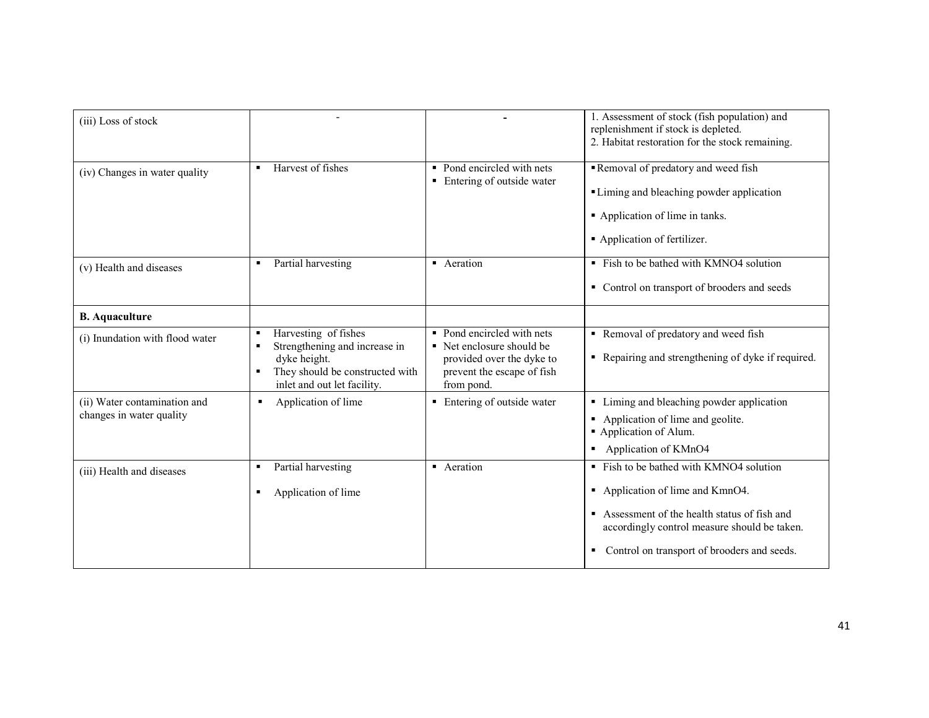| (iii) Loss of stock                                      |                                                                                                                                                                     |                                                                                                                                  | 1. Assessment of stock (fish population) and<br>replenishment if stock is depleted.<br>2. Habitat restoration for the stock remaining.                                                                                         |
|----------------------------------------------------------|---------------------------------------------------------------------------------------------------------------------------------------------------------------------|----------------------------------------------------------------------------------------------------------------------------------|--------------------------------------------------------------------------------------------------------------------------------------------------------------------------------------------------------------------------------|
| (iv) Changes in water quality                            | Harvest of fishes                                                                                                                                                   | • Pond encircled with nets<br>• Entering of outside water                                                                        | Removal of predatory and weed fish<br>• Liming and bleaching powder application<br>Application of lime in tanks.<br>• Application of fertilizer.                                                                               |
| (v) Health and diseases                                  | Partial harvesting<br>$\blacksquare$                                                                                                                                | • Aeration                                                                                                                       | • Fish to be bathed with KMNO4 solution<br>• Control on transport of brooders and seeds                                                                                                                                        |
| <b>B.</b> Aquaculture                                    |                                                                                                                                                                     |                                                                                                                                  |                                                                                                                                                                                                                                |
| (i) Inundation with flood water                          | Harvesting of fishes<br>٠<br>Strengthening and increase in<br>$\blacksquare$<br>dyke height.<br>They should be constructed with<br>٠<br>inlet and out let facility. | • Pond encircled with nets<br>• Net enclosure should be<br>provided over the dyke to<br>prevent the escape of fish<br>from pond. | Removal of predatory and weed fish<br>Repairing and strengthening of dyke if required.                                                                                                                                         |
| (ii) Water contamination and<br>changes in water quality | Application of lime<br>п                                                                                                                                            | • Entering of outside water                                                                                                      | Liming and bleaching powder application<br>٠.<br>Application of lime and geolite.<br>٠<br>Application of Alum.<br>Application of KMnO4<br>٠                                                                                    |
| (iii) Health and diseases                                | Partial harvesting<br>$\blacksquare$<br>Application of lime<br>$\blacksquare$                                                                                       | • Aeration                                                                                                                       | • Fish to be bathed with KMNO4 solution<br>• Application of lime and KmnO4.<br>Assessment of the health status of fish and<br>accordingly control measure should be taken.<br>Control on transport of brooders and seeds.<br>٠ |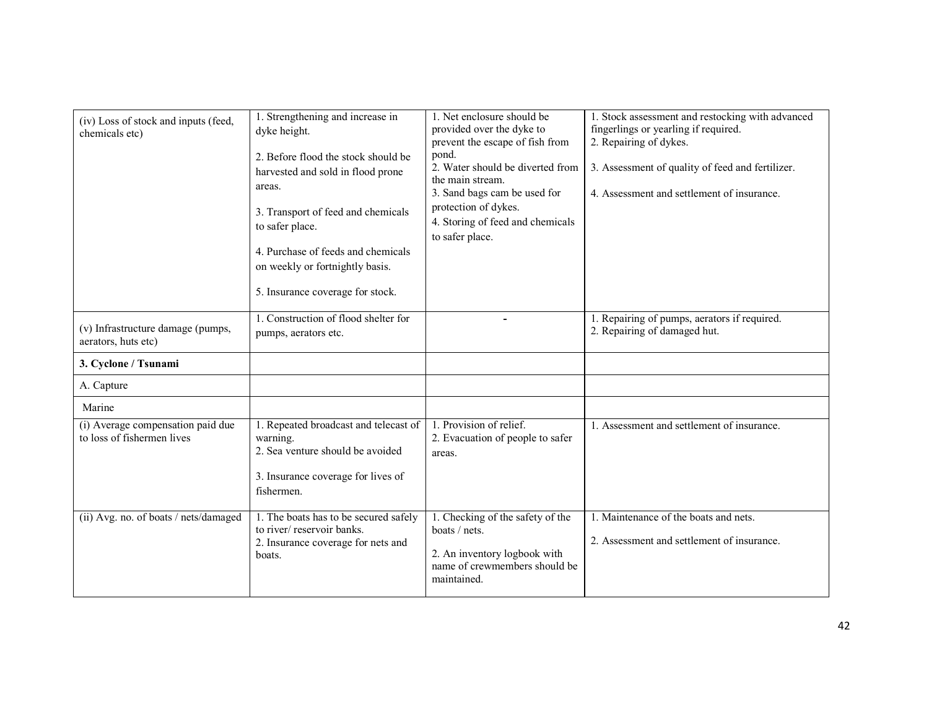| (iv) Loss of stock and inputs (feed,<br>chemicals etc)          | 1. Strengthening and increase in<br>dyke height.<br>2. Before flood the stock should be<br>harvested and sold in flood prone<br>areas.<br>3. Transport of feed and chemicals<br>to safer place.<br>4. Purchase of feeds and chemicals<br>on weekly or fortnightly basis.<br>5. Insurance coverage for stock. | 1. Net enclosure should be<br>provided over the dyke to<br>prevent the escape of fish from<br>pond.<br>2. Water should be diverted from<br>the main stream.<br>3. Sand bags cam be used for<br>protection of dykes.<br>4. Storing of feed and chemicals<br>to safer place. | 1. Stock assessment and restocking with advanced<br>fingerlings or yearling if required.<br>2. Repairing of dykes.<br>3. Assessment of quality of feed and fertilizer.<br>4. Assessment and settlement of insurance. |
|-----------------------------------------------------------------|--------------------------------------------------------------------------------------------------------------------------------------------------------------------------------------------------------------------------------------------------------------------------------------------------------------|----------------------------------------------------------------------------------------------------------------------------------------------------------------------------------------------------------------------------------------------------------------------------|----------------------------------------------------------------------------------------------------------------------------------------------------------------------------------------------------------------------|
| (v) Infrastructure damage (pumps,<br>aerators, huts etc)        | 1. Construction of flood shelter for<br>pumps, aerators etc.                                                                                                                                                                                                                                                 | ۰                                                                                                                                                                                                                                                                          | 1. Repairing of pumps, aerators if required.<br>2. Repairing of damaged hut.                                                                                                                                         |
| 3. Cyclone / Tsunami                                            |                                                                                                                                                                                                                                                                                                              |                                                                                                                                                                                                                                                                            |                                                                                                                                                                                                                      |
| A. Capture                                                      |                                                                                                                                                                                                                                                                                                              |                                                                                                                                                                                                                                                                            |                                                                                                                                                                                                                      |
| Marine                                                          |                                                                                                                                                                                                                                                                                                              |                                                                                                                                                                                                                                                                            |                                                                                                                                                                                                                      |
| (i) Average compensation paid due<br>to loss of fishermen lives | 1. Repeated broadcast and telecast of<br>warning.<br>2. Sea venture should be avoided<br>3. Insurance coverage for lives of<br>fishermen.                                                                                                                                                                    | 1. Provision of relief.<br>2. Evacuation of people to safer<br>areas.                                                                                                                                                                                                      | 1. Assessment and settlement of insurance.                                                                                                                                                                           |
| (ii) Avg. no. of boats / nets/damaged                           | 1. The boats has to be secured safely<br>to river/reservoir banks.<br>2. Insurance coverage for nets and<br>boats.                                                                                                                                                                                           | 1. Checking of the safety of the<br>boats / nets.<br>2. An inventory logbook with<br>name of crewmembers should be<br>maintained.                                                                                                                                          | 1. Maintenance of the boats and nets.<br>2. Assessment and settlement of insurance.                                                                                                                                  |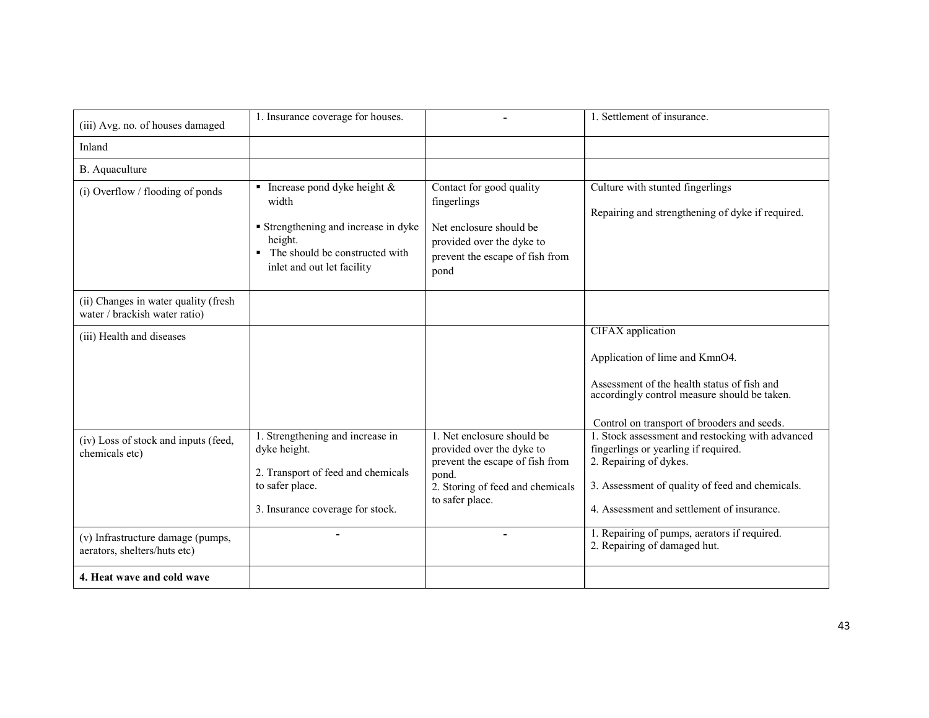| (iii) Avg. no. of houses damaged                                      | 1. Insurance coverage for houses.                                                                                                                                                   |                                                                                                                                                            | 1. Settlement of insurance.                                                                                                                                                                                         |
|-----------------------------------------------------------------------|-------------------------------------------------------------------------------------------------------------------------------------------------------------------------------------|------------------------------------------------------------------------------------------------------------------------------------------------------------|---------------------------------------------------------------------------------------------------------------------------------------------------------------------------------------------------------------------|
| Inland                                                                |                                                                                                                                                                                     |                                                                                                                                                            |                                                                                                                                                                                                                     |
| B. Aquaculture                                                        |                                                                                                                                                                                     |                                                                                                                                                            |                                                                                                                                                                                                                     |
| (i) Overflow / flooding of ponds                                      | • Increase pond dyke height $\&$<br>width<br><b>Strengthening and increase in dyke</b><br>height.<br>The should be constructed with<br>$\blacksquare$<br>inlet and out let facility | Contact for good quality<br>fingerlings<br>Net enclosure should be<br>provided over the dyke to<br>prevent the escape of fish from<br>pond                 | Culture with stunted fingerlings<br>Repairing and strengthening of dyke if required.                                                                                                                                |
| (ii) Changes in water quality (fresh<br>water / brackish water ratio) |                                                                                                                                                                                     |                                                                                                                                                            |                                                                                                                                                                                                                     |
| (iii) Health and diseases                                             |                                                                                                                                                                                     |                                                                                                                                                            | <b>CIFAX</b> application<br>Application of lime and KmnO4.<br>Assessment of the health status of fish and<br>accordingly control measure should be taken.<br>Control on transport of brooders and seeds.            |
| (iv) Loss of stock and inputs (feed,<br>chemicals etc)                | 1. Strengthening and increase in<br>dyke height.<br>2. Transport of feed and chemicals<br>to safer place.<br>3. Insurance coverage for stock.                                       | 1. Net enclosure should be<br>provided over the dyke to<br>prevent the escape of fish from<br>pond.<br>2. Storing of feed and chemicals<br>to safer place. | 1. Stock assessment and restocking with advanced<br>fingerlings or yearling if required.<br>2. Repairing of dykes.<br>3. Assessment of quality of feed and chemicals.<br>4. Assessment and settlement of insurance. |
| (v) Infrastructure damage (pumps,<br>aerators, shelters/huts etc)     |                                                                                                                                                                                     |                                                                                                                                                            | 1. Repairing of pumps, aerators if required.<br>2. Repairing of damaged hut.                                                                                                                                        |
| 4. Heat wave and cold wave                                            |                                                                                                                                                                                     |                                                                                                                                                            |                                                                                                                                                                                                                     |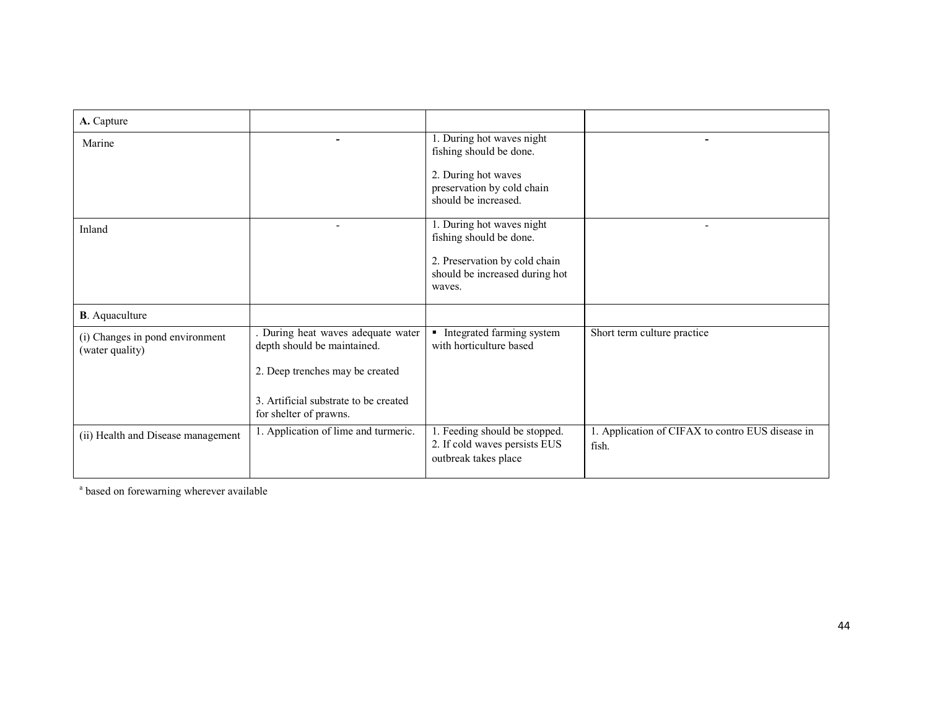| ۰                                                               | $\overline{1.}$ During hot waves night<br>fishing should be done.                      | ۰                                                         |
|-----------------------------------------------------------------|----------------------------------------------------------------------------------------|-----------------------------------------------------------|
|                                                                 | 2. During hot waves<br>preservation by cold chain<br>should be increased.              |                                                           |
|                                                                 | 1. During hot waves night<br>fishing should be done.                                   |                                                           |
|                                                                 | 2. Preservation by cold chain<br>should be increased during hot<br>waves.              |                                                           |
|                                                                 |                                                                                        |                                                           |
| depth should be maintained.                                     | Integrated farming system<br>with horticulture based                                   | Short term culture practice                               |
| 2. Deep trenches may be created                                 |                                                                                        |                                                           |
| 3. Artificial substrate to be created<br>for shelter of prawns. |                                                                                        |                                                           |
| 1. Application of lime and turmeric.                            | 1. Feeding should be stopped.<br>2. If cold waves persists EUS<br>outbreak takes place | 1. Application of CIFAX to contro EUS disease in<br>fish. |
|                                                                 |                                                                                        | During heat waves adequate water                          |

<sup>a</sup> based on forewarning wherever available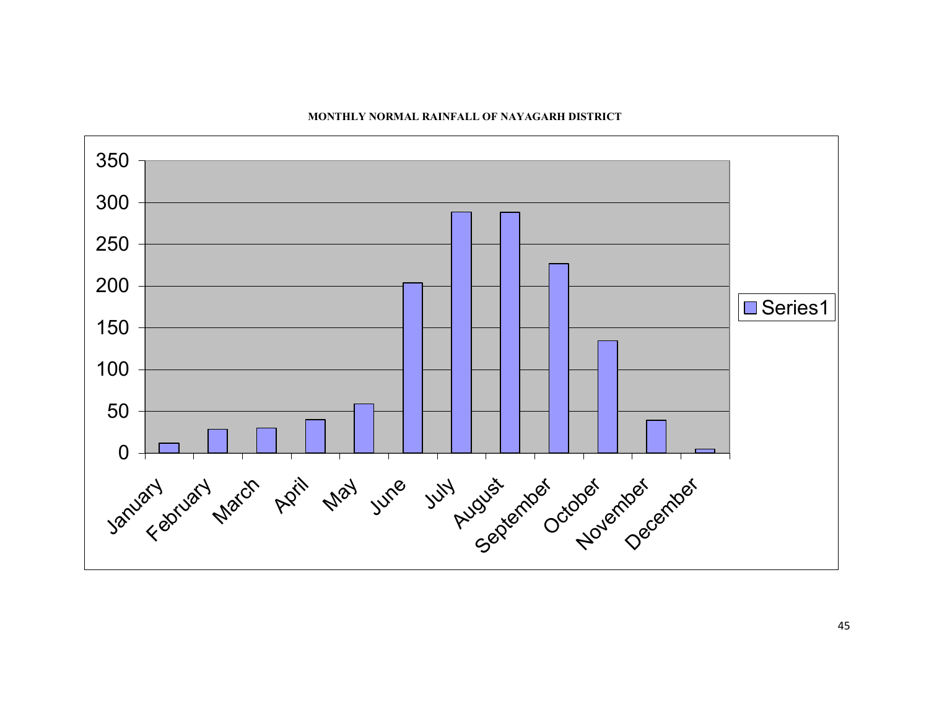

#### MONTHLY NORMAL RAINFALL OF NAYAGARH DISTRICT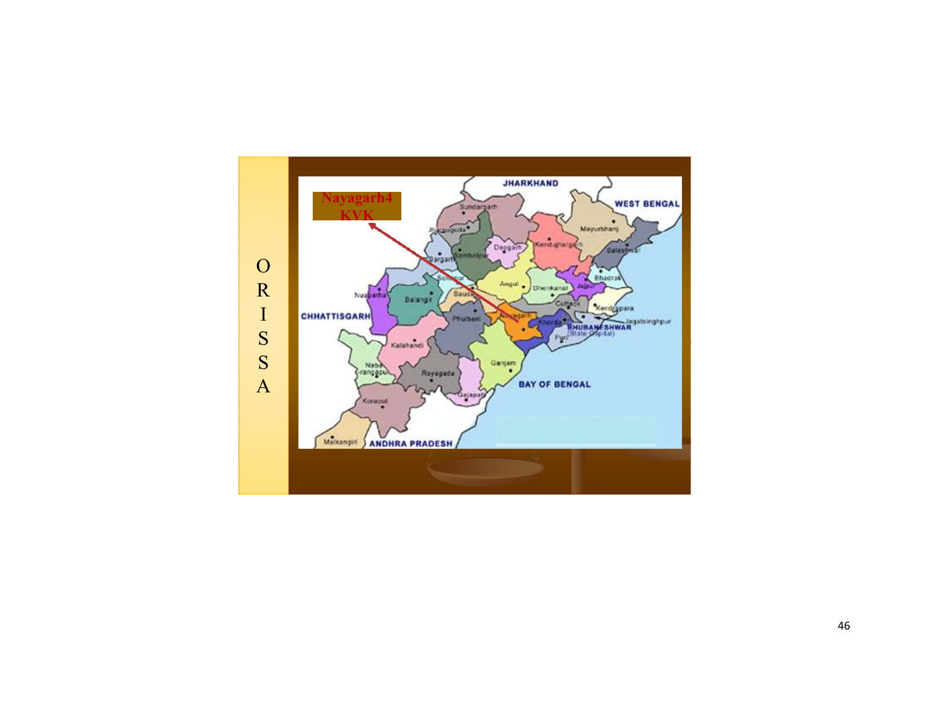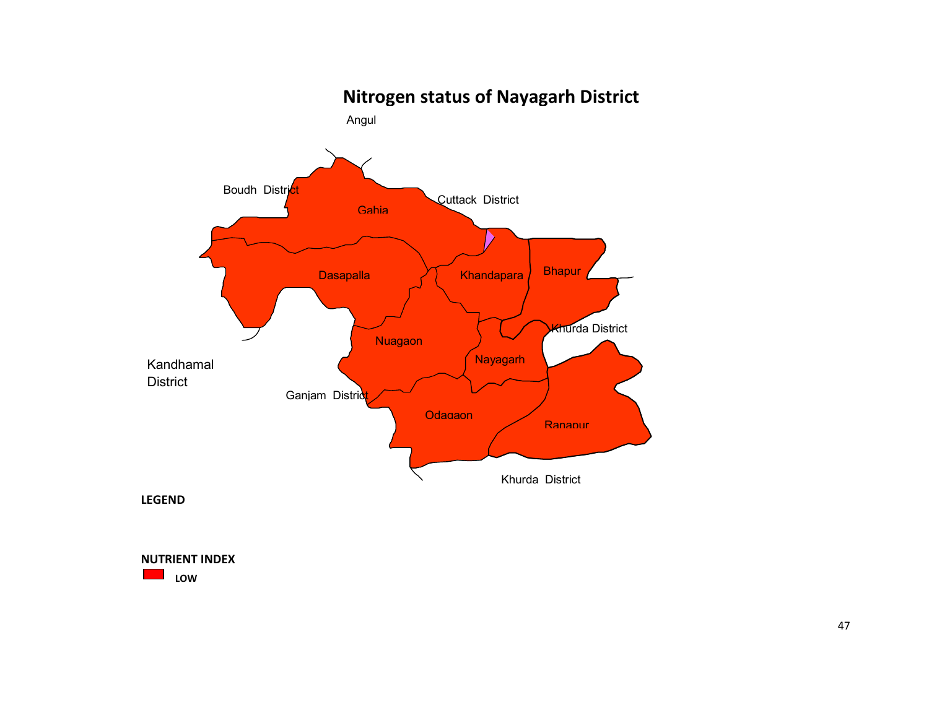

47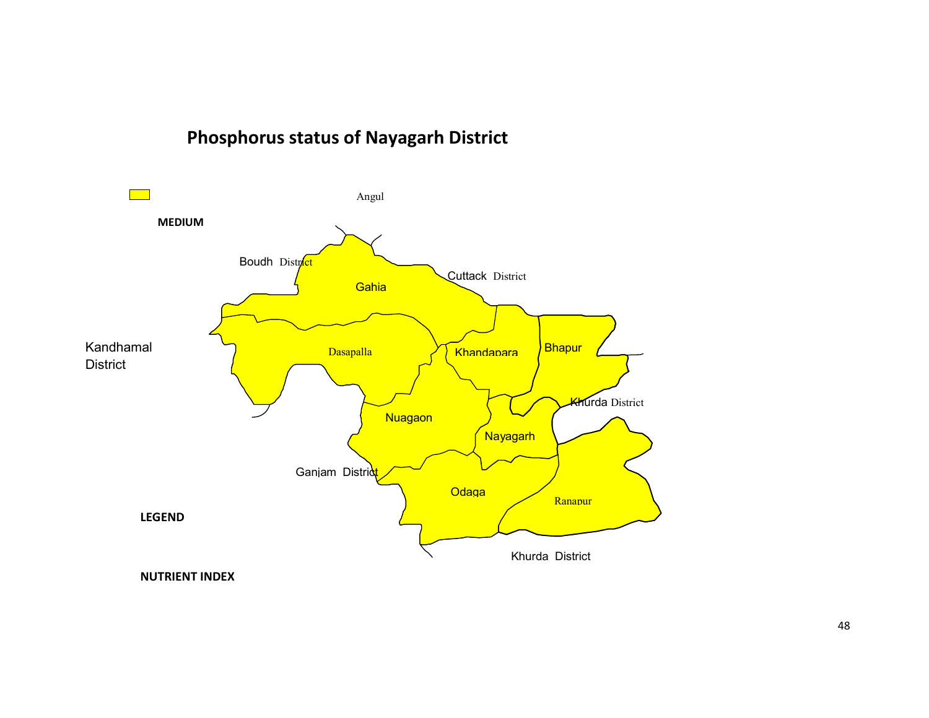# Phosphorus status of Nayagarh District



NUTRIENT INDEX